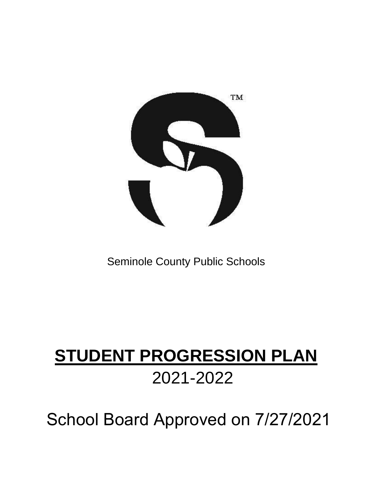

# Seminole County Public Schools

# **STUDENT PROGRESSION PLAN** 2021-2022

School Board Approved on 7/27/2021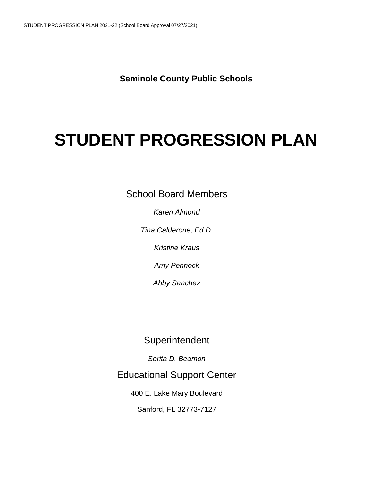**Seminole County Public Schools**

# **STUDENT PROGRESSION PLAN**

School Board Members

*Karen Almond* 

*Tina Calderone, Ed.D.*

*Kristine Kraus*

*Amy Pennock*

*Abby Sanchez*

# **Superintendent**

*Serita D. Beamon*

Educational Support Center

400 E. Lake Mary Boulevard

Sanford, FL 32773-7127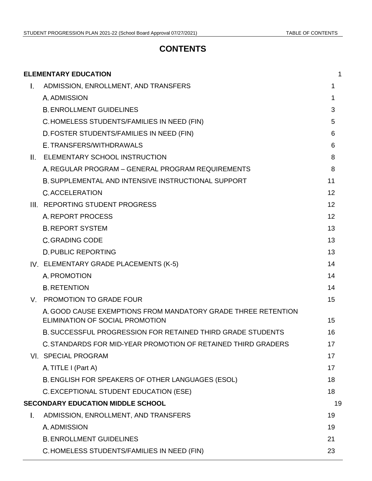# **CONTENTS**

|              | <b>ELEMENTARY EDUCATION</b>                                                                      | 1  |
|--------------|--------------------------------------------------------------------------------------------------|----|
| $\mathbf{L}$ | ADMISSION, ENROLLMENT, AND TRANSFERS                                                             | 1  |
|              | A. ADMISSION                                                                                     | 1  |
|              | <b>B. ENROLLMENT GUIDELINES</b>                                                                  | 3  |
|              | C.HOMELESS STUDENTS/FAMILIES IN NEED (FIN)                                                       | 5  |
|              | D. FOSTER STUDENTS/FAMILIES IN NEED (FIN)                                                        | 6  |
|              | E. TRANSFERS/WITHDRAWALS                                                                         | 6  |
| $\Pi$ .      | ELEMENTARY SCHOOL INSTRUCTION                                                                    | 8  |
|              | A. REGULAR PROGRAM - GENERAL PROGRAM REQUIREMENTS                                                | 8  |
|              | <b>B. SUPPLEMENTAL AND INTENSIVE INSTRUCTIONAL SUPPORT</b>                                       | 11 |
|              | <b>C.ACCELERATION</b>                                                                            | 12 |
|              | III. REPORTING STUDENT PROGRESS                                                                  | 12 |
|              | A. REPORT PROCESS                                                                                | 12 |
|              | <b>B. REPORT SYSTEM</b>                                                                          | 13 |
|              | <b>C. GRADING CODE</b>                                                                           | 13 |
|              | <b>D. PUBLIC REPORTING</b>                                                                       | 13 |
|              | IV. ELEMENTARY GRADE PLACEMENTS (K-5)                                                            | 14 |
|              | A. PROMOTION                                                                                     | 14 |
|              | <b>B. RETENTION</b>                                                                              | 14 |
| V.           | <b>PROMOTION TO GRADE FOUR</b>                                                                   | 15 |
|              | A, GOOD CAUSE EXEMPTIONS FROM MANDATORY GRADE THREE RETENTION<br>ELIMINATION OF SOCIAL PROMOTION | 15 |
|              | <b>B. SUCCESSFUL PROGRESSION FOR RETAINED THIRD GRADE STUDENTS</b>                               | 16 |
|              | C. STANDARDS FOR MID-YEAR PROMOTION OF RETAINED THIRD GRADERS                                    | 17 |
|              | VI. SPECIAL PROGRAM                                                                              | 17 |
|              | A. TITLE I (Part A)                                                                              | 17 |
|              | B. ENGLISH FOR SPEAKERS OF OTHER LANGUAGES (ESOL)                                                | 18 |
|              | C. EXCEPTIONAL STUDENT EDUCATION (ESE)                                                           | 18 |
|              | <b>SECONDARY EDUCATION MIDDLE SCHOOL</b>                                                         | 19 |
| L.           | ADMISSION, ENROLLMENT, AND TRANSFERS                                                             | 19 |
|              | A. ADMISSION                                                                                     | 19 |
|              | <b>B. ENROLLMENT GUIDELINES</b>                                                                  | 21 |
|              | C.HOMELESS STUDENTS/FAMILIES IN NEED (FIN)                                                       | 23 |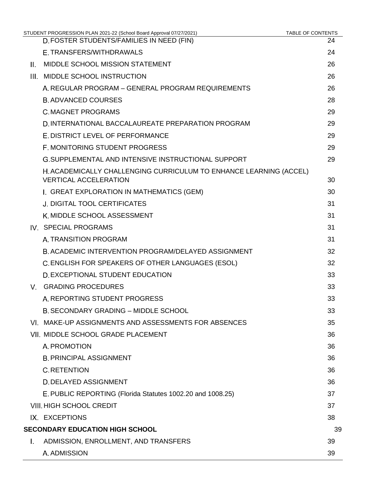|    | STUDENT PROGRESSION PLAN 2021-22 (School Board Approval 07/27/2021)                                | <b>TABLE OF CONTENTS</b> |
|----|----------------------------------------------------------------------------------------------------|--------------------------|
|    | D. FOSTER STUDENTS/FAMILIES IN NEED (FIN)                                                          | 24                       |
|    | E. TRANSFERS/WITHDRAWALS                                                                           | 24                       |
| Ш. | MIDDLE SCHOOL MISSION STATEMENT                                                                    | 26                       |
|    | III. MIDDLE SCHOOL INSTRUCTION                                                                     | 26                       |
|    | A. REGULAR PROGRAM – GENERAL PROGRAM REQUIREMENTS                                                  | 26                       |
|    | <b>B. ADVANCED COURSES</b>                                                                         | 28                       |
|    | <b>C. MAGNET PROGRAMS</b>                                                                          | 29                       |
|    | D. INTERNATIONAL BACCALAUREATE PREPARATION PROGRAM                                                 | 29                       |
|    | E. DISTRICT LEVEL OF PERFORMANCE                                                                   | 29                       |
|    | F. MONITORING STUDENT PROGRESS                                                                     | 29                       |
|    | <b>G.SUPPLEMENTAL AND INTENSIVE INSTRUCTIONAL SUPPORT</b>                                          | 29                       |
|    | H. ACADEMICALLY CHALLENGING CURRICULUM TO ENHANCE LEARNING (ACCEL)<br><b>VERTICAL ACCELERATION</b> | 30                       |
|    | I. GREAT EXPLORATION IN MATHEMATICS (GEM)                                                          | 30                       |
|    | <b>J. DIGITAL TOOL CERTIFICATES</b>                                                                | 31                       |
|    | K. MIDDLE SCHOOL ASSESSMENT                                                                        | 31                       |
|    | IV. SPECIAL PROGRAMS                                                                               | 31                       |
|    | A. TRANSITION PROGRAM                                                                              | 31                       |
|    | B. ACADEMIC INTERVENTION PROGRAM/DELAYED ASSIGNMENT                                                | 32                       |
|    | C. ENGLISH FOR SPEAKERS OF OTHER LANGUAGES (ESOL)                                                  | 32                       |
|    | <b>D. EXCEPTIONAL STUDENT EDUCATION</b>                                                            | 33                       |
| V. | <b>GRADING PROCEDURES</b>                                                                          | 33                       |
|    | A. REPORTING STUDENT PROGRESS                                                                      | 33                       |
|    | <b>B. SECONDARY GRADING - MIDDLE SCHOOL</b>                                                        | 33                       |
|    | VI. MAKE-UP ASSIGNMENTS AND ASSESSMENTS FOR ABSENCES                                               | 35                       |
|    | VII. MIDDLE SCHOOL GRADE PLACEMENT                                                                 | 36                       |
|    | A. PROMOTION                                                                                       | 36                       |
|    | <b>B. PRINCIPAL ASSIGNMENT</b>                                                                     | 36                       |
|    | <b>C. RETENTION</b>                                                                                | 36                       |
|    | <b>D. DELAYED ASSIGNMENT</b>                                                                       | 36                       |
|    | E. PUBLIC REPORTING (Florida Statutes 1002.20 and 1008.25)                                         | 37                       |
|    | <b>VIII. HIGH SCHOOL CREDIT</b>                                                                    | 37                       |
|    | IX. EXCEPTIONS                                                                                     | 38                       |
|    | <b>SECONDARY EDUCATION HIGH SCHOOL</b>                                                             | 39                       |
| Ι. | ADMISSION, ENROLLMENT, AND TRANSFERS                                                               | 39                       |
|    | A. ADMISSION                                                                                       | 39                       |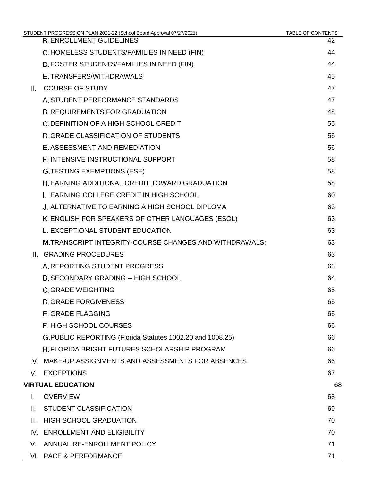|      | STUDENT PROGRESSION PLAN 2021-22 (School Board Approval 07/27/2021) | <b>TABLE OF CONTENTS</b> |
|------|---------------------------------------------------------------------|--------------------------|
|      | <b>B. ENROLLMENT GUIDELINES</b>                                     | 42                       |
|      | C.HOMELESS STUDENTS/FAMILIES IN NEED (FIN)                          | 44                       |
|      | D. FOSTER STUDENTS/FAMILIES IN NEED (FIN)                           | 44                       |
|      | E. TRANSFERS/WITHDRAWALS                                            | 45                       |
| Ш.   | <b>COURSE OF STUDY</b>                                              | 47                       |
|      | A. STUDENT PERFORMANCE STANDARDS                                    | 47                       |
|      | <b>B. REQUIREMENTS FOR GRADUATION</b>                               | 48                       |
|      | C. DEFINITION OF A HIGH SCHOOL CREDIT                               | 55                       |
|      | D. GRADE CLASSIFICATION OF STUDENTS                                 | 56                       |
|      | E. ASSESSMENT AND REMEDIATION                                       | 56                       |
|      | F. INTENSIVE INSTRUCTIONAL SUPPORT                                  | 58                       |
|      | <b>G.TESTING EXEMPTIONS (ESE)</b>                                   | 58                       |
|      | H. EARNING ADDITIONAL CREDIT TOWARD GRADUATION                      | 58                       |
|      | I. EARNING COLLEGE CREDIT IN HIGH SCHOOL                            | 60                       |
|      | J. ALTERNATIVE TO EARNING A HIGH SCHOOL DIPLOMA                     | 63                       |
|      | K. ENGLISH FOR SPEAKERS OF OTHER LANGUAGES (ESOL)                   | 63                       |
|      | L. EXCEPTIONAL STUDENT EDUCATION                                    | 63                       |
|      | M.TRANSCRIPT INTEGRITY-COURSE CHANGES AND WITHDRAWALS:              | 63                       |
|      | III. GRADING PROCEDURES                                             | 63                       |
|      | A. REPORTING STUDENT PROGRESS                                       | 63                       |
|      | <b>B. SECONDARY GRADING -- HIGH SCHOOL</b>                          | 64                       |
|      | <b>C. GRADE WEIGHTING</b>                                           | 65                       |
|      | <b>D. GRADE FORGIVENESS</b>                                         | 65                       |
|      | E. GRADE FLAGGING                                                   | 65                       |
|      | F. HIGH SCHOOL COURSES                                              | 66                       |
|      | G.PUBLIC REPORTING (Florida Statutes 1002.20 and 1008.25)           | 66                       |
|      | H. FLORIDA BRIGHT FUTURES SCHOLARSHIP PROGRAM                       | 66                       |
|      | IV. MAKE-UP ASSIGNMENTS AND ASSESSMENTS FOR ABSENCES                | 66                       |
| V.   | <b>EXCEPTIONS</b>                                                   | 67                       |
|      | <b>VIRTUAL EDUCATION</b>                                            | 68                       |
| L.   | <b>OVERVIEW</b>                                                     | 68                       |
| Ш.   | <b>STUDENT CLASSIFICATION</b>                                       | 69                       |
| III. | <b>HIGH SCHOOL GRADUATION</b>                                       | 70                       |
|      | IV. ENROLLMENT AND ELIGIBILITY                                      | 70                       |
| V.   | ANNUAL RE-ENROLLMENT POLICY                                         | 71                       |
|      | VI. PACE & PERFORMANCE                                              | 71                       |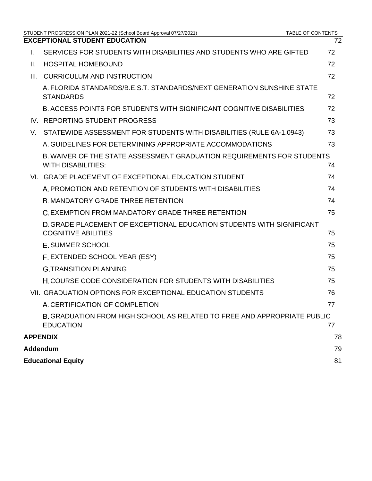|      | STUDENT PROGRESSION PLAN 2021-22 (School Board Approval 07/27/2021)                                 | <b>TABLE OF CONTENTS</b> |
|------|-----------------------------------------------------------------------------------------------------|--------------------------|
|      | <b>EXCEPTIONAL STUDENT EDUCATION</b>                                                                | 72                       |
| L.   | SERVICES FOR STUDENTS WITH DISABILITIES AND STUDENTS WHO ARE GIFTED                                 | 72                       |
| Ш.   | <b>HOSPITAL HOMEBOUND</b>                                                                           | 72                       |
| III. | <b>CURRICULUM AND INSTRUCTION</b>                                                                   | 72                       |
|      | A. FLORIDA STANDARDS/B.E.S.T. STANDARDS/NEXT GENERATION SUNSHINE STATE<br><b>STANDARDS</b>          | 72                       |
|      | B. ACCESS POINTS FOR STUDENTS WITH SIGNIFICANT COGNITIVE DISABILITIES                               | 72                       |
|      | IV. REPORTING STUDENT PROGRESS                                                                      | 73                       |
| V.   | STATEWIDE ASSESSMENT FOR STUDENTS WITH DISABILITIES (RULE 6A-1.0943)                                | 73                       |
|      | A. GUIDELINES FOR DETERMINING APPROPRIATE ACCOMMODATIONS                                            | 73                       |
|      | B. WAIVER OF THE STATE ASSESSMENT GRADUATION REQUIREMENTS FOR STUDENTS<br><b>WITH DISABILITIES:</b> | 74                       |
|      | VI. GRADE PLACEMENT OF EXCEPTIONAL EDUCATION STUDENT                                                | 74                       |
|      | A. PROMOTION AND RETENTION OF STUDENTS WITH DISABILITIES                                            | 74                       |
|      | <b>B. MANDATORY GRADE THREE RETENTION</b>                                                           | 74                       |
|      | C. EXEMPTION FROM MANDATORY GRADE THREE RETENTION                                                   | 75                       |
|      | D. GRADE PLACEMENT OF EXCEPTIONAL EDUCATION STUDENTS WITH SIGNIFICANT<br><b>COGNITIVE ABILITIES</b> | 75                       |
|      | <b>E. SUMMER SCHOOL</b>                                                                             | 75                       |
|      | F. EXTENDED SCHOOL YEAR (ESY)                                                                       | 75                       |
|      | <b>G. TRANSITION PLANNING</b>                                                                       | 75                       |
|      | <b>H. COURSE CODE CONSIDERATION FOR STUDENTS WITH DISABILITIES</b>                                  | 75                       |
|      | VII. GRADUATION OPTIONS FOR EXCEPTIONAL EDUCATION STUDENTS                                          | 76                       |
|      | A. CERTIFICATION OF COMPLETION                                                                      | 77                       |
|      | B. GRADUATION FROM HIGH SCHOOL AS RELATED TO FREE AND APPROPRIATE PUBLIC<br><b>EDUCATION</b>        | 77                       |
|      | <b>APPENDIX</b>                                                                                     | 78                       |
|      | Addendum                                                                                            | 79                       |
|      | <b>Educational Equity</b>                                                                           | 81                       |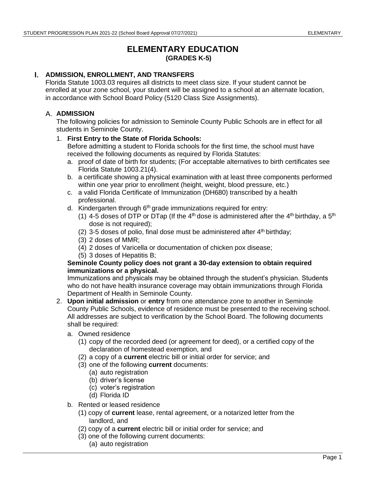# **ELEMENTARY EDUCATION (GRADES K-5)**

# <span id="page-6-1"></span><span id="page-6-0"></span>**ADMISSION, ENROLLMENT, AND TRANSFERS**

Florida Statute 1003.03 requires all districts to meet class size. If your student cannot be enrolled at your zone school, your student will be assigned to a school at an alternate location, in accordance with School Board Policy (5120 Class Size Assignments).

# <span id="page-6-2"></span>**A. ADMISSION**

The following policies for admission to Seminole County Public Schools are in effect for all students in Seminole County.

### 1. **First Entry to the State of Florida Schools:**

Before admitting a student to Florida schools for the first time, the school must have received the following documents as required by Florida Statutes:

- a. proof of date of birth for students; (For acceptable alternatives to birth certificates see Florida Statute 1003.21(4).
- b. a certificate showing a physical examination with at least three components performed within one year prior to enrollment (height, weight, blood pressure, etc.)
- c. a valid Florida Certificate of Immunization (DH680) transcribed by a health professional.
- d. Kindergarten through 6<sup>th</sup> grade immunizations required for entry:
	- (1) 4-5 doses of DTP or DTap (If the 4<sup>th</sup> dose is administered after the 4<sup>th</sup> birthday, a 5<sup>th</sup> dose is not required);
	- (2) 3-5 doses of polio, final dose must be administered after  $4<sup>th</sup>$  birthday;
	- (3) 2 doses of MMR;
	- (4) 2 doses of Varicella or documentation of chicken pox disease;
	- (5) 3 doses of Hepatitis B;

#### **Seminole County policy does not grant a 30-day extension to obtain required immunizations or a physical.**

Immunizations and physicals may be obtained through the student's physician. Students who do not have health insurance coverage may obtain immunizations through Florida Department of Health in Seminole County.

- 2. **Upon initial admission** or **entry** from one attendance zone to another in Seminole County Public Schools, evidence of residence must be presented to the receiving school. All addresses are subject to verification by the School Board. The following documents shall be required:
	- a. Owned residence
		- (1) copy of the recorded deed (or agreement for deed), or a certified copy of the declaration of homestead exemption, and
		- (2) a copy of a **current** electric bill or initial order for service; and
		- (3) one of the following **current** documents:
			- (a) auto registration
			- (b) driver's license
			- (c) voter's registration
			- (d) Florida ID
	- b. Rented or leased residence
		- (1) copy of **current** lease, rental agreement, or a notarized letter from the landlord, and
		- (2) copy of a **current** electric bill or initial order for service; and
		- (3) one of the following current documents:
			- (a) auto registration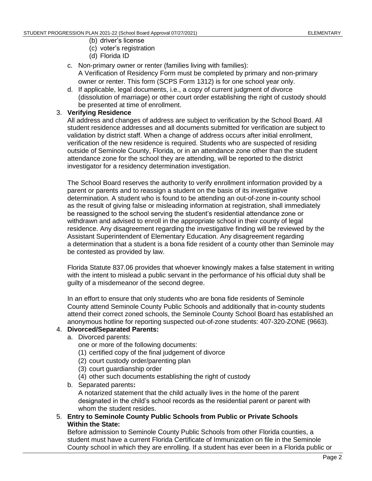- (b) driver's license
- (c) voter's registration
- (d) Florida ID
- c. Non-primary owner or renter (families living with families): A Verification of Residency Form must be completed by primary and non-primary owner or renter. This form (SCPS Form 1312) is for one school year only.
- d. If applicable, legal documents, i.e., a copy of current judgment of divorce (dissolution of marriage) or other court order establishing the right of custody should be presented at time of enrollment.

### 3. **Verifying Residence**

All address and changes of address are subject to verification by the School Board. All student residence addresses and all documents submitted for verification are subject to validation by district staff. When a change of address occurs after initial enrollment, verification of the new residence is required. Students who are suspected of residing outside of Seminole County, Florida, or in an attendance zone other than the student attendance zone for the school they are attending, will be reported to the district investigator for a residency determination investigation.

The School Board reserves the authority to verify enrollment information provided by a parent or parents and to reassign a student on the basis of its investigative determination. A student who is found to be attending an out-of-zone in-county school as the result of giving false or misleading information at registration, shall immediately be reassigned to the school serving the student's residential attendance zone or withdrawn and advised to enroll in the appropriate school in their county of legal residence. Any disagreement regarding the investigative finding will be reviewed by the Assistant Superintendent of Elementary Education. Any disagreement regarding a determination that a student is a bona fide resident of a county other than Seminole may be contested as provided by law.

Florida Statute 837.06 provides that whoever knowingly makes a false statement in writing with the intent to mislead a public servant in the performance of his official duty shall be guilty of a misdemeanor of the second degree.

In an effort to ensure that only students who are bona fide residents of Seminole County attend Seminole County Public Schools and additionally that in-county students attend their correct zoned schools, the Seminole County School Board has established an anonymous hotline for reporting suspected out-of-zone students: 407-320-ZONE (9663).

#### 4. **Divorced/Separated Parents:**

- a. Divorced parents:
	- one or more of the following documents:
	- (1) certified copy of the final judgement of divorce
	- (2) court custody order/parenting plan
	- (3) court guardianship order
	- (4) other such documents establishing the right of custody
- b. Separated parents**:**

A notarized statement that the child actually lives in the home of the parent designated in the child's school records as the residential parent or parent with whom the student resides.

5. **Entry to Seminole County Public Schools from Public or Private Schools Within the State:**

Before admission to Seminole County Public Schools from other Florida counties, a student must have a current Florida Certificate of Immunization on file in the Seminole County school in which they are enrolling. If a student has ever been in a Florida public or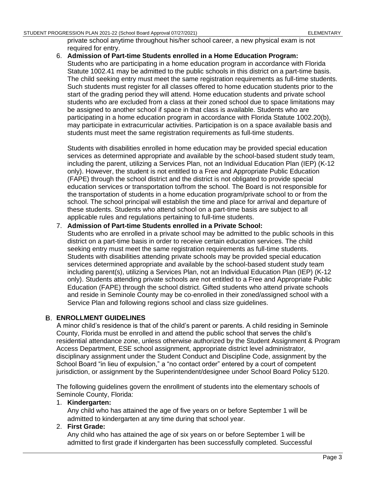#### STUDENT PROGRESSION PLAN 2021-22 (School Board Approval 07/27/2021) STUDENT ARE SELEMENTARY

private school anytime throughout his/her school career, a new physical exam is not required for entry.

6. **Admission of Part-time Students enrolled in a Home Education Program:**  Students who are participating in a home education program in accordance with Florida Statute 1002.41 may be admitted to the public schools in this district on a part-time basis. The child seeking entry must meet the same registration requirements as full-time students. Such students must register for all classes offered to home education students prior to the start of the grading period they will attend. Home education students and private school students who are excluded from a class at their zoned school due to space limitations may be assigned to another school if space in that class is available. Students who are participating in a home education program in accordance with Florida Statute 1002.20(b), may participate in extracurricular activities. Participation is on a space available basis and students must meet the same registration requirements as full-time students.

Students with disabilities enrolled in home education may be provided special education services as determined appropriate and available by the school-based student study team, including the parent, utilizing a Services Plan, not an Individual Education Plan (IEP) (K-12 only). However, the student is not entitled to a Free and Appropriate Public Education (FAPE) through the school district and the district is not obligated to provide special education services or transportation to/from the school. The Board is not responsible for the transportation of students in a home education program/private school to or from the school. The school principal will establish the time and place for arrival and departure of these students. Students who attend school on a part-time basis are subject to all applicable rules and regulations pertaining to full-time students.

#### 7. **Admission of Part-time Students enrolled in a Private School:**

Students who are enrolled in a private school may be admitted to the public schools in this district on a part-time basis in order to receive certain education services. The child seeking entry must meet the same registration requirements as full-time students. Students with disabilities attending private schools may be provided special education services determined appropriate and available by the school-based student study team including parent(s), utilizing a Services Plan, not an Individual Education Plan (IEP) (K-12 only). Students attending private schools are not entitled to a Free and Appropriate Public Education (FAPE) through the school district. Gifted students who attend private schools and reside in Seminole County may be co-enrolled in their zoned/assigned school with a Service Plan and following regions school and class size guidelines.

#### <span id="page-8-0"></span>**ENROLLMENT GUIDELINES**

A minor child's residence is that of the child's parent or parents. A child residing in Seminole County, Florida must be enrolled in and attend the public school that serves the child's residential attendance zone, unless otherwise authorized by the Student Assignment & Program Access Department, ESE school assignment, appropriate district level administrator, disciplinary assignment under the Student Conduct and Discipline Code, assignment by the School Board "in lieu of expulsion," a "no contact order" entered by a court of competent jurisdiction, or assignment by the Superintendent/designee under School [Board Policy 5](http://www.scps.k12.fl.us/Portals/53/assets/pdf/PolicyFiles/boardpolicies.pdf)120.

The following guidelines govern the enrollment of students into the elementary schools of Seminole County, Florida:

#### 1. **Kindergarten:**

Any child who has attained the age of five years on or before September 1 will be admitted to kindergarten at any time during that school year.

#### 2. **First Grade:**

Any child who has attained the age of six years on or before September 1 will be admitted to first grade if kindergarten has been successfully completed. Successful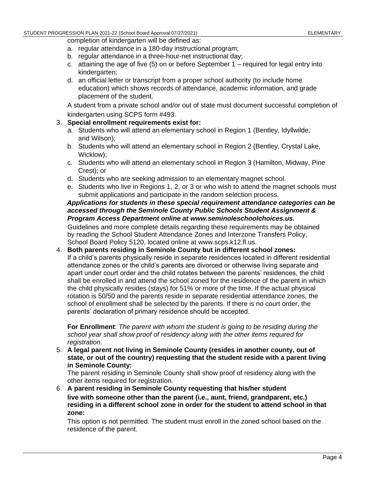completion of kindergarten will be defined as:

- a. regular attendance in a 180-day instructional program;
- b. regular attendance in a three-hour-net instructional day;
- c. attaining the age of five  $(5)$  on or before September 1 required for legal entry into kindergarten;
- d. an official letter or transcript from a proper school authority (to include home education) which shows records of attendance, academic information, and grade placement of the student.

A student from a private school and/or out of state must document successful completion of kindergarten using SCPS form #493.

### 3. **Special enrollment requirements exist for:**

- a. Students who will attend an elementary school in Region 1 (Bentley, Idyllwilde, and Wilson);
- b. Students who will attend an elementary school in Region 2 (Bentley, Crystal Lake, Wicklow);
- c. Students who will attend an elementary school in Region 3 (Hamilton, Midway, Pine Crest); or
- d. Students who are seeking admission to an elementary magnet school.
- e. Students who live in Regions 1, 2, or 3 or who wish to attend the magnet schools must submit applications and participate in the random selection process.

# *Applications for students in these special requirement attendance categories can be accessed through the Seminole County Public Schools Student Assignment & Program Access Department online at www.seminoleschoolchoices.us.*

Guidelines and more complete details regarding these requirements may be obtained by reading the School Student Attendance Zones and Interzone Transfers Policy, School Board Policy 5120, located online at www.scps.k12.fl.us.

4. **Both parents residing in Seminole County but in different school zones:** If a child's parents physically reside in separate residences located in different residential attendance zones or the child's parents are divorced or otherwise living separate and apart under court order and the child rotates between the parents' residences, the child shall be enrolled in and attend the school zoned for the residence of the parent in which the child physically resides (stays) for 51% or more of the time. If the actual physical rotation is 50/50 and the parents reside in separate residential attendance zones, the school of enrollment shall be selected by the parents. If there is no court order, the parents' declaration of primary residence should be accepted.

**For Enrollment**: *The parent with whom the student is going to be residing during the school year shall show proof of residency along with the other items required for registration.*

5. **A legal parent not living in Seminole County (resides in another county, out of state, or out of the country) requesting that the student reside with a parent living in Seminole County:**

The parent residing in Seminole County shall show proof of residency along with the other items required for registration.

6. **A parent residing in Seminole County requesting that his/her student live with someone other than the parent (i.e., aunt, friend, grandparent, etc.) residing in a different school zone in order for the student to attend school in that zone:**

This option is not permitted. The student must enroll in the zoned school based on the residence of the parent.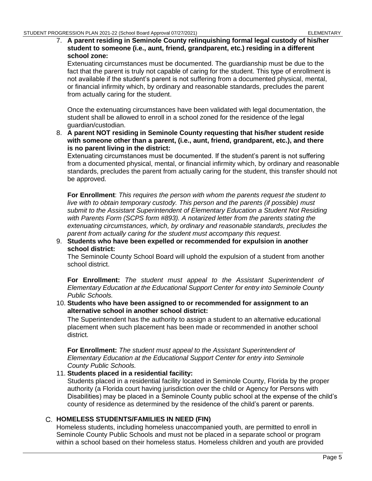#### 7. **A parent residing in Seminole County relinquishing formal legal custody of his/her student to someone (i.e., aunt, friend, grandparent, etc.) residing in a different school zone:**

Extenuating circumstances must be documented. The guardianship must be due to the fact that the parent is truly not capable of caring for the student. This type of enrollment is not available if the student's parent is not suffering from a documented physical, mental, or financial infirmity which, by ordinary and reasonable standards, precludes the parent from actually caring for the student.

Once the extenuating circumstances have been validated with legal documentation, the student shall be allowed to enroll in a school zoned for the residence of the legal guardian/custodian.

8. **A parent NOT residing in Seminole County requesting that his/her student reside with someone other than a parent, (i.e., aunt, friend, grandparent, etc.), and there is no parent living in the district:**

Extenuating circumstances must be documented. If the student's parent is not suffering from a documented physical, mental, or financial infirmity which, by ordinary and reasonable standards, precludes the parent from actually caring for the student, this transfer should not be approved.

**For Enrollment**: *This requires the person with whom the parents request the student to live with to obtain temporary custody. This person and the parents (if possible) must submit to the Assistant Superintendent of Elementary Education a Student Not Residing with Parents Form (SCPS form #893). A notarized letter from the parents stating the extenuating circumstances, which, by ordinary and reasonable standards, precludes the parent from actually caring for the student must accompany this request.*

9. **Students who have been expelled or recommended for expulsion in another school district:**

The Seminole County School Board will uphold the expulsion of a student from another school district.

**For Enrollment:** *The student must appeal to the Assistant Superintendent of Elementary Education at the Educational Support Center for entry into Seminole County Public Schools.*

10. **Students who have been assigned to or recommended for assignment to an alternative school in another school district:**

The Superintendent has the authority to assign a student to an alternative educational placement when such placement has been made or recommended in another school district.

**For Enrollment:** *The student must appeal to the Assistant Superintendent of Elementary Education at the Educational Support Center for entry into Seminole County Public Schools.*

#### 11. **Students placed in a residential facility:**

Students placed in a residential facility located in Seminole County, Florida by the proper authority (a Florida court having jurisdiction over the child or Agency for Persons with Disabilities) may be placed in a Seminole County public school at the expense of the child's county of residence as determined by the residence of the child's parent or parents.

# <span id="page-10-0"></span>**HOMELESS STUDENTS/FAMILIES IN NEED (FIN)**

Homeless students, including homeless unaccompanied youth, are permitted to enroll in Seminole County Public Schools and must not be placed in a separate school or program within a school based on their homeless status. Homeless children and youth are provided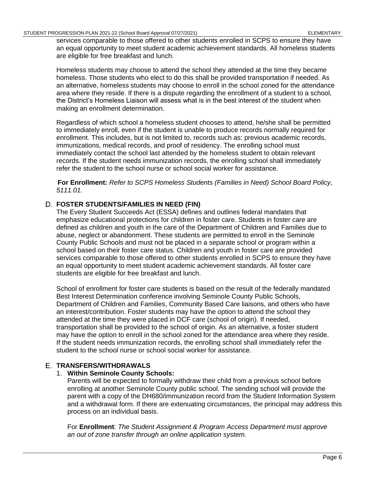services comparable to those offered to other students enrolled in SCPS to ensure they have an equal opportunity to meet student academic achievement standards. All homeless students are eligible for free breakfast and lunch.

Homeless students may choose to attend the school they attended at the time they became homeless. Those students who elect to do this shall be provided transportation if needed. As an alternative, homeless students may choose to enroll in the school zoned for the attendance area where they reside. If there is a dispute regarding the enrollment of a student to a school, the District's Homeless Liaison will assess what is in the best interest of the student when making an enrollment determination.

Regardless of which school a homeless student chooses to attend, he/she shall be permitted to immediately enroll, even if the student is unable to produce records normally required for enrollment. This includes, but is not limited to, records such as: previous academic records, immunizations, medical records, and proof of residency. The enrolling school must immediately contact the school last attended by the homeless student to obtain relevant records. If the student needs immunization records, the enrolling school shall immediately refer the student to the school nurse or school social worker for assistance.

**For Enrollment:** *Refer to SCPS Homeless Students (Families in Need) School Board Policy, 5111.01.*

### <span id="page-11-0"></span>**FOSTER STUDENTS/FAMILIES IN NEED (FIN)**

The Every Student Succeeds Act (ESSA) defines and outlines federal mandates that emphasize educational protections for children in foster care. Students in foster care are defined as children and youth in the care of the Department of Children and Families due to abuse, neglect or abandonment. These students are permitted to enroll in the Seminole County Public Schools and must not be placed in a separate school or program within a school based on their foster care status. Children and youth in foster care are provided services comparable to those offered to other students enrolled in SCPS to ensure they have an equal opportunity to meet student academic achievement standards. All foster care students are eligible for free breakfast and lunch.

School of enrollment for foster care students is based on the result of the federally mandated Best Interest Determination conference involving Seminole County Public Schools, Department of Children and Families, Community Based Care liaisons, and others who have an interest/contribution. Foster students may have the option to attend the school they attended at the time they were placed in DCF care (school of origin). If needed, transportation shall be provided to the school of origin. As an alternative, a foster student may have the option to enroll in the school zoned for the attendance area where they reside. If the student needs immunization records, the enrolling school shall immediately refer the student to the school nurse or school social worker for assistance.

# <span id="page-11-1"></span>**TRANSFERS/WITHDRAWALS**

#### 1. **Within Seminole County Schools:**

Parents will be expected to formally withdraw their child from a previous school before enrolling at another Seminole County public school. The sending school will provide the parent with a copy of the DH680/immunization record from the Student Information System and a withdrawal form. If there are extenuating circumstances, the principal may address this process on an individual basis.

For **Enrollment**: *The Student Assignment & Program Access Department must approve an out of zone transfer through an online application system.*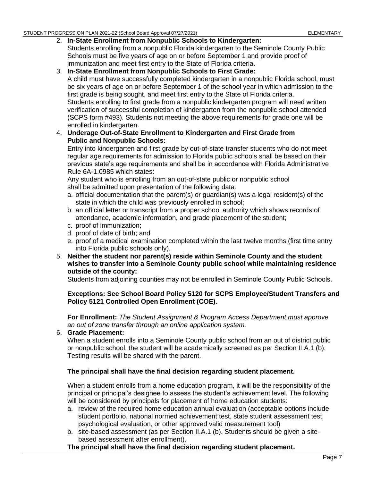#### 2. **In-State Enrollment from Nonpublic Schools to Kindergarten:**

Students enrolling from a nonpublic Florida kindergarten to the Seminole County Public Schools must be five years of age on or before September 1 and provide proof of immunization and meet first entry to the State of Florida criteria.

3. **In-State Enrollment from Nonpublic Schools to First Grade:** A child must have successfully completed kindergarten in a nonpublic Florida school, must be six years of age on or before September 1 of the school year in which admission to the first grade is being sought, and meet first entry to the State of Florida criteria. Students enrolling to first grade from a nonpublic kindergarten program will need written verification of successful completion of kindergarten from the nonpublic school attended (SCPS form #493). Students not meeting the above requirements for grade one will be enrolled in kindergarten.

#### 4. **Underage Out-of-State Enrollment to Kindergarten and First Grade from Public and Nonpublic Schools:**

Entry into kindergarten and first grade by out-of-state transfer students who do not meet regular age requirements for admission to Florida public schools shall be based on their previous state's age requirements and shall be in accordance with Florida Administrative Rule 6A-1.098[5](https://www.flrules.org/gateway/ruleno.asp?id=6A-1.0985) which states:

Any student who is enrolling from an out-of-state public or nonpublic school shall be admitted upon presentation of the following data:

- a. official documentation that the parent(s) or guardian(s) was a legal resident(s) of the state in which the child was previously enrolled in school;
- b. an official letter or transcript from a proper school authority which shows records of attendance, academic information, and grade placement of the student;
- c. proof of immunization;
- d. proof of date of birth; and
- e. proof of a medical examination completed within the last twelve months (first time entry into Florida public schools only).
- 5. **Neither the student nor parent(s) reside within Seminole County and the student wishes to transfer into a Seminole County public school while maintaining residence outside of the county:**

Students from adjoining counties may not be enrolled in Seminole County Public Schools.

#### **Exceptions: See School Board [Policy 5120 f](http://www.scps.k12.fl.us/Portals/53/assets/pdf/PolicyFiles/boardpolicies.pdf)or SCPS Employee/Student Transfers and Policy 5121 Controlled Open Enrollment (COE).**

**For Enrollment:** *The Student Assignment & Program Access Department must approve an out of zone transfer through an online application system.*

#### 6. **Grade Placement:**

When a student enrolls into a Seminole County public school from an out of district public or nonpublic school, the student will be academically screened as per Section II.A.1 (b). Testing results will be shared with the parent.

#### **The principal shall have the final decision regarding student placement.**

When a student enrolls from a home education program, it will be the responsibility of the principal or principal's designee to assess the student's achievement level. The following will be considered by principals for placement of home education students:

- a. review of the required home education annual evaluation (acceptable options include student portfolio, national normed achievement test, state student assessment test, psychological evaluation, or other approved valid measurement tool)
- b. site-based assessment (as per Section II.A.1 (b). Students should be given a sitebased assessment after enrollment).

#### **The principal shall have the final decision regarding student placement.**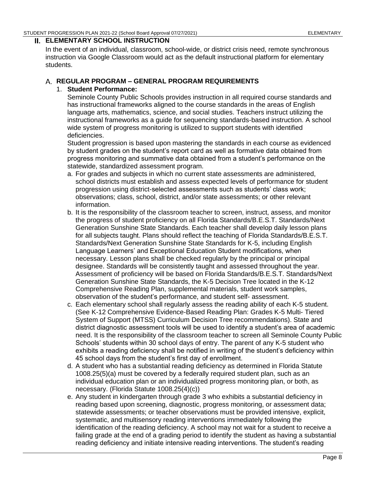#### <span id="page-13-0"></span>**ELEMENTARY SCHOOL INSTRUCTION**

In the event of an individual, classroom, school-wide, or district crisis need, remote synchronous instruction via Google Classroom would act as the default instructional platform for elementary students.

# <span id="page-13-1"></span>**REGULAR PROGRAM – GENERAL PROGRAM REQUIREMENTS**

## 1. **Student Performance:**

Seminole County Public Schools provides instruction in all required course standards and has instructional frameworks aligned to the course standards in the areas of English language arts, mathematics, science, and social studies. Teachers instruct utilizing the instructional frameworks as a guide for sequencing standards-based instruction. A school wide system of progress monitoring is utilized to support students with identified deficiencies.

Student progression is based upon mastering the standards in each course as evidenced by student grades on the student's report card as well as formative data obtained from progress monitoring and summative data obtained from a student's performance on the statewide, standardized assessment program.

- a. For grades and subjects in which no current state assessments are administered, school districts must establish and assess expected levels of performance for student progression using district-selected assessments such as students' class work; observations; class, school, district, and/or state assessments; or other relevant information.
- b. It is the responsibility of the classroom teacher to screen, instruct, assess, and monitor the progress of student proficiency on all Florida Standards/B.E.S.T. Standards/Next Generation Sunshine State Standards. Each teacher shall develop daily lesson plans for all subjects taught. Plans should reflect the teaching of Florida Standards/B.E.S.T. Standards/Next Generation Sunshine State Standards for K-5, including English Language Learners' and Exceptional Education Student modifications, when necessary. Lesson plans shall be checked regularly by the principal or principal designee. Standards will be consistently taught and assessed throughout the year. Assessment of proficiency will be based on Florida Standards/B.E.S.T. Standards/Next Generation Sunshine State Standards, the K-5 Decision Tree located in the K-12 Comprehensive Reading Plan, supplemental materials, student work samples, observation of the student's performance, and student self- assessment.
- c. Each elementary school shall regularly assess the reading ability of each K-5 student. (See K-12 Comprehensive Evidence-Based Reading Plan: Grades K-5 Multi- Tiered System of Support (MTSS) Curriculum Decision Tree recommendations). State and district diagnostic assessment tools will be used to identify a student's area of academic need. It is the responsibility of the classroom teacher to screen all Seminole County Public Schools' students within 30 school days of entry. The parent of any K-5 student who exhibits a reading deficiency shall be notified in writing of the student's deficiency within 45 school days from the student's first day of enrollment.
- d. A student who has a substantial reading deficiency as determined in Florida Statute 1008.25(5)(a) must be covered by a federally required student plan, such as an individual education plan or an individualized progress monitoring plan, or both, as necessary. (Florida Statute 1008.25(4)(c))
- e. Any student in kindergarten through grade 3 who exhibits a substantial deficiency in reading based upon screening, diagnostic, progress monitoring, or assessment data; statewide assessments; or teacher observations must be provided intensive, explicit, systematic, and multisensory reading interventions immediately following the identification of the reading deficiency. A school may not wait for a student to receive a failing grade at the end of a grading period to identify the student as having a substantial reading deficiency and initiate intensive reading interventions. The student's reading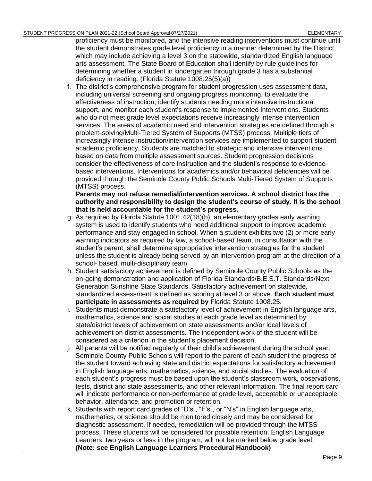proficiency must be monitored, and the intensive reading interventions must continue until the student demonstrates grade level proficiency in a manner determined by the District, which may include achieving a level 3 on the statewide, standardized English language arts assessment. The State Board of Education shall identify by rule guidelines for determining whether a student in kindergarten through grade 3 has a substantial deficiency in reading. (Florida Statute 1008.25(5)(a))

f. The district's comprehensive program for student progression uses assessment data, including universal screening and ongoing progress monitoring, to evaluate the effectiveness of instruction, identify students needing more intensive instructional support, and monitor each student's response to implemented interventions. Students who do not meet grade level expectations receive increasingly intense intervention services. The areas of academic need and intervention strategies are defined through a problem-solving/Multi-Tiered System of Supports (MTSS) process. Multiple tiers of increasingly intense instruction/intervention services are implemented to support student academic proficiency. Students are matched to strategic and intensive interventions based on data from multiple assessment sources. Student progression decisions consider the effectiveness of core instruction and the student's response to evidencebased interventions. Interventions for academics and/or behavioral deficiencies will be provided through the Seminole County Public Schools Multi-Tiered System of Supports (MTSS) process.

**Parents may not refuse remedial/intervention services. A school district has the authority and responsibility to design the student's course of study. It is the school that is held accountable for the student's progress.**

- g. As required by Florida Statute 1001.42(18)(b), an elementary grades early warning system is used to identify students who need additional support to improve academic performance and stay engaged in school. When a student exhibits two (2) or more early warning indicators as required by law, a school-based team, in consultation with the student's parent, shall determine appropriative intervention strategies for the student unless the student is already being served by an intervention program at the direction of a school- based, multi-disciplinary team.
- h. Student satisfactory achievement is defined by Seminole County Public Schools as the on-going demonstration and application of Florida Standards/B.E.S.T. Standards/Next Generation Sunshine State Standards. Satisfactory achievement on statewide, standardized assessment is defined as scoring at level 3 or above. **Each student must participate in assessments as required by** Florida Statute 1008.25.
- i. Students must demonstrate a satisfactory level of achievement in English language arts, mathematics, science and social studies at each grade level as determined by state/district levels of achievement on state assessments and/or local levels of achievement on district assessments. The independent work of the student will be considered as a criterion in the student's placement decision.
- j. All parents will be notified regularly of their child's achievement during the school year. Seminole County Public Schools will report to the parent of each student the progress of the student toward achieving state and district expectations for satisfactory achievement in English language arts, mathematics, science, and social studies. The evaluation of each student's progress must be based upon the student's classroom work, observations, tests, district and state assessments, and other relevant information. The final report card will indicate performance or non-performance at grade level, acceptable or unacceptable behavior, attendance, and promotion or retention.
- k. Students with report card grades of "D's", "F's", or "N's" in English language arts, mathematics, or science should be monitored closely and may be considered for diagnostic assessment. If needed, remediation will be provided through the MTSS process. These students will be considered for possible retention. English Language Learners, two years or less in the program, will not be marked below grade level. **(Note: see English Language Learners Procedural Handbook)**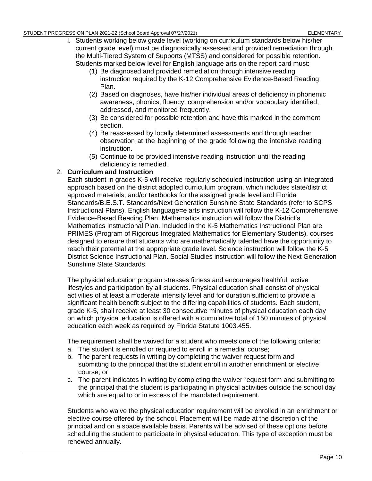- l. Students working below grade level (working on curriculum standards below his/her current grade level) must be diagnostically assessed and provided remediation through the Multi-Tiered System of Supports (MTSS) and considered for possible retention. Students marked below level for English language arts on the report card must:
	- (1) Be diagnosed and provided remediation through intensive reading instruction required by the K-12 Comprehensive Evidence-Based Reading Plan.
	- (2) Based on diagnoses, have his/her individual areas of deficiency in phonemic awareness, phonics, fluency, comprehension and/or vocabulary identified, addressed, and monitored frequently.
	- (3) Be considered for possible retention and have this marked in the comment section.
	- (4) Be reassessed by locally determined assessments and through teacher observation at the beginning of the grade following the intensive reading instruction.
	- (5) Continue to be provided intensive reading instruction until the reading deficiency is remedied.

### 2. **Curriculum and Instruction**

Each student in grades K-5 will receive regularly scheduled instruction using an integrated approach based on the district adopted curriculum program, which includes state/district approved materials, and/or textbooks for the assigned grade level and Florida Standards/B.E.S.T. Standards/Next Generation Sunshine State Standards (refer to SCPS Instructional Plans). English language=e arts instruction will follow the K-12 Comprehensive Evidence-Based Reading Plan. Mathematics instruction will follow the District's Mathematics Instructional Plan. Included in the K-5 Mathematics Instructional Plan are PRIMES (Program of Rigorous Integrated Mathematics for Elementary Students), courses designed to ensure that students who are mathematically talented have the opportunity to reach their potential at the appropriate grade level. Science instruction will follow the K-5 District Science Instructional Plan. Social Studies instruction will follow the Next Generation Sunshine State Standards.

The physical education program stresses fitness and encourages healthful, active lifestyles and participation by all students. Physical education shall consist of physical activities of at least a moderate intensity level and for duration sufficient to provide a significant health benefit subject to the differing capabilities of students. Each student, grade K-5, shall receive at least 30 consecutive minutes of physical education each day on which physical education is offered with a cumulative total of 150 minutes of physical education each week as required by Florida Statute 1003.455.

The requirement shall be waived for a student who meets one of the following criteria:

- a. The student is enrolled or required to enroll in a remedial course;
- b. The parent requests in writing by completing the waiver request form and submitting to the principal that the student enroll in another enrichment or elective course; or
- c. The parent indicates in writing by completing the waiver request form and submitting to the principal that the student is participating in physical activities outside the school day which are equal to or in excess of the mandated requirement.

Students who waive the physical education requirement will be enrolled in an enrichment or elective course offered by the school. Placement will be made at the discretion of the principal and on a space available basis. Parents will be advised of these options before scheduling the student to participate in physical education. This type of exception must be renewed annually.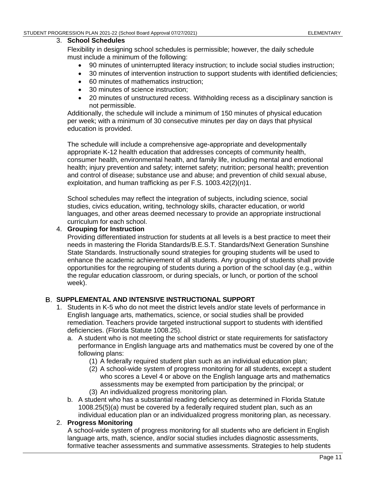#### 3. **School Schedules**

Flexibility in designing school schedules is permissible; however, the daily schedule must include a minimum of the following:

- 90 minutes of uninterrupted literacy instruction; to include social studies instruction;
- 30 minutes of intervention instruction to support students with identified deficiencies;
- 60 minutes of mathematics instruction;
- 30 minutes of science instruction;
- 20 minutes of unstructured recess. Withholding recess as a disciplinary sanction is not permissible.

Additionally, the schedule will include a minimum of 150 minutes of physical education per week; with a minimum of 30 consecutive minutes per day on days that physical education is provided.

The schedule will include a comprehensive age-appropriate and developmentally appropriate K-12 health education that addresses concepts of community health, consumer health, environmental health, and family life, including mental and emotional health; injury prevention and safety; internet safety; nutrition; personal health; prevention and control of disease; substance use and abuse; and prevention of child sexual abuse, exploitation, and human trafficking as per F.S. 1003.42(2)(n)1.

School schedules may reflect the integration of subjects, including science, social studies, civics education, writing, technology skills, character education, or world languages, and other areas deemed necessary to provide an appropriate instructional curriculum for each school.

#### 4. **Grouping for Instruction**

Providing differentiated instruction for students at all levels is a best practice to meet their needs in mastering the Florida Standards/B.E.S.T. Standards/Next Generation Sunshine State Standards. Instructionally sound strategies for grouping students will be used to enhance the academic achievement of all students. Any grouping of students shall provide opportunities for the regrouping of students during a portion of the school day (e.g., within the regular education classroom, or during specials, or lunch, or portion of the school week).

#### <span id="page-16-0"></span>**SUPPLEMENTAL AND INTENSIVE INSTRUCTIONAL SUPPORT**

- 1. Students in K-5 who do not meet the district levels and/or state levels of performance in English language arts, mathematics, science, or social studies shall be provided remediation. Teachers provide targeted instructional support to students with identified deficiencies. (Florida Statute 1008.25).
	- a. A student who is not meeting the school district or state requirements for satisfactory performance in English language arts and mathematics must be covered by one of the following plans:
		- (1) A federally required student plan such as an individual education plan;
		- (2) A school-wide system of progress monitoring for all students, except a student who scores a Level 4 or above on the English language arts and mathematics assessments may be exempted from participation by the principal; or (3) An individualized progress monitoring plan.
	- b. A student who has a substantial reading deficiency as determined in Florida Statute 1008.25(5)(a) must be covered by a federally required student plan, such as an individual education plan or an individualized progress monitoring plan, as necessary.

#### 2. **Progress Monitoring**

A school-wide system of progress monitoring for all students who are deficient in English language arts, math, science, and/or social studies includes diagnostic assessments, formative teacher assessments and summative assessments. Strategies to help students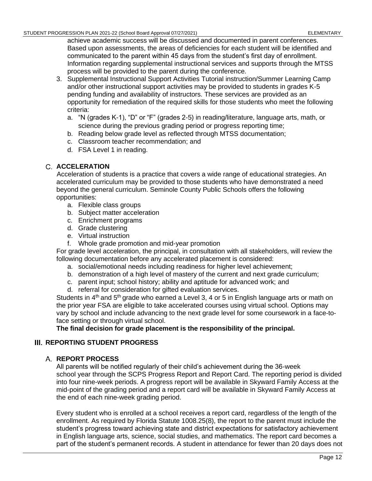achieve academic success will be discussed and documented in parent conferences. Based upon assessments, the areas of deficiencies for each student will be identified and communicated to the parent within 45 days from the student's first day of enrollment. Information regarding supplemental instructional services and supports through the MTSS process will be provided to the parent during the conference.

- 3. Supplemental Instructional Support Activities Tutorial instruction/Summer Learning Camp and/or other instructional support activities may be provided to students in grades K-5 pending funding and availability of instructors. These services are provided as an opportunity for remediation of the required skills for those students who meet the following criteria:
	- a. "N (grades K-1), "D" or "F" (grades 2-5) in reading/literature, language arts, math, or science during the previous grading period or progress reporting time;
	- b. Reading below grade level as reflected through MTSS documentation;
	- c. Classroom teacher recommendation; and
	- d. FSA Level 1 in reading.

# <span id="page-17-0"></span>**ACCELERATION**

Acceleration of students is a practice that covers a wide range of educational strategies. An accelerated curriculum may be provided to those students who have demonstrated a need beyond the general curriculum. Seminole County Public Schools offers the following opportunities:

- a. Flexible class groups
- b. Subject matter acceleration
- c. Enrichment programs
- d. Grade clustering
- e. Virtual instruction
- f. Whole grade promotion and mid-year promotion

For grade level acceleration, the principal, in consultation with all stakeholders, will review the following documentation before any accelerated placement is considered:

- a. social/emotional needs including readiness for higher level achievement;
- b. demonstration of a high level of mastery of the current and next grade curriculum;
- c. parent input; school history; ability and aptitude for advanced work; and
- d. referral for consideration for gifted evaluation services.

Students in  $4<sup>th</sup>$  and  $5<sup>th</sup>$  grade who earned a Level 3, 4 or 5 in English language arts or math on the prior year FSA are eligible to take accelerated courses using virtual school. Options may vary by school and include advancing to the next grade level for some coursework in a face-toface setting or through virtual school.

**The final decision for grade placement is the responsibility of the principal.**

# <span id="page-17-2"></span><span id="page-17-1"></span>**III. REPORTING STUDENT PROGRESS**

# **REPORT PROCESS**

All parents will be notified regularly of their child's achievement during the 36-week school year through the SCPS Progress Report and Report Card. The reporting period is divided into four nine-week periods. A progress report will be available in Skyward Family Access at the mid-point of the grading period and a report card will be available in Skyward Family Access at the end of each nine-week grading period.

Every student who is enrolled at a school receives a report card, regardless of the length of the enrollment. As required by Florida Statute 1008.25(8), the report to the parent must include the student's progress toward achieving state and district expectations for satisfactory achievement in English language arts, science, social studies, and mathematics. The report card becomes a part of the student's permanent records. A student in attendance for fewer than 20 days does not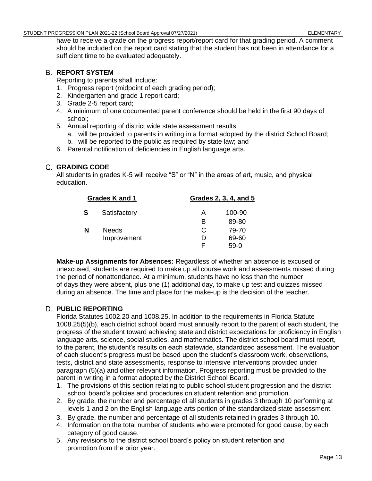have to receive a grade on the progress report/report card for that grading period. A comment should be included on the report card stating that the student has not been in attendance for a sufficient time to be evaluated adequately.

# <span id="page-18-0"></span>**REPORT SYSTEM**

Reporting to parents shall include:

- 1. Progress report (midpoint of each grading period);
- 2. Kindergarten and grade 1 report card;
- 3. Grade 2-5 report card;
- 4. A minimum of one documented parent conference should be held in the first 90 days of school;
- 5. Annual reporting of district wide state assessment results:
	- a. will be provided to parents in writing in a format adopted by the district School Board; b. will be reported to the public as required by state law; and
- 6. Parental notification of deficiencies in English language arts.

# <span id="page-18-1"></span>**GRADING CODE**

All students in grades K-5 will receive "S" or "N" in the areas of art, music, and physical education.

| Grades K and 1 |              |   | Grades 2, 3, 4, and 5 |  |
|----------------|--------------|---|-----------------------|--|
| <b>S</b>       | Satisfactory | А | 100-90                |  |
|                |              | в | 89-80                 |  |
| N              | <b>Needs</b> | C | 79-70                 |  |
|                | Improvement  | D | 69-60                 |  |
|                |              | ⊢ | 59-0                  |  |

**Make-up Assignments for Absences:** Regardless of whether an absence is excused or unexcused, students are required to make up all course work and assessments missed during the period of nonattendance. At a minimum, students have no less than the number of days they were absent, plus one (1) additional day, to make up test and quizzes missed during an absence. The time and place for the make-up is the decision of the teacher.

# <span id="page-18-2"></span>**PUBLIC REPORTING**

Florida Statutes 1002.20 and 1008.25. In addition to the requirements in Florida Statute 1008.25(5)(b), each district school board must annually report to the parent of each student, the progress of the student toward achieving state and district expectations for proficiency in English language arts, science, social studies, and mathematics. The district school board must report, to the parent, the student's results on each statewide, standardized assessment. The evaluation of each student's progress must be based upon the student's classroom work, observations, tests, district and state assessments, response to intensive interventions provided under paragraph (5)(a) and other relevant information. Progress reporting must be provided to the parent in writing in a format adopted by the District School Board.

- 1. The provisions of this section relating to public school student progression and the district school board's policies and procedures on student retention and promotion.
- 2. By grade, the number and percentage of all students in grades 3 through 10 performing at levels 1 and 2 on the English language arts portion of the standardized state assessment.
- 3. By grade, the number and percentage of all students retained in grades 3 through 10.
- 4. Information on the total number of students who were promoted for good cause, by each category of good cause.
- 5. Any revisions to the district school board's policy on student retention and promotion from the prior year.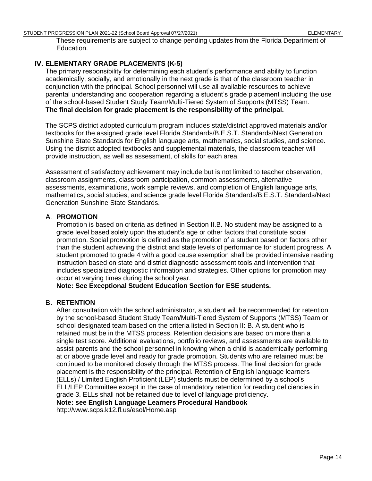#### STUDENT PROGRESSION PLAN 2021-22 (School Board Approval 07/27/2021) STUDENT ARY ELEMENTARY

These requirements are subject to change pending updates from the Florida Department of Education.

# <span id="page-19-0"></span>**ELEMENTARY GRADE PLACEMENTS (K-5)**

The primary responsibility for determining each student's performance and ability to function academically, socially, and emotionally in the next grade is that of the classroom teacher in conjunction with the principal. School personnel will use all available resources to achieve parental understanding and cooperation regarding a student's grade placement including the use of the school-based Student Study Team/Multi-Tiered System of Supports (MTSS) Team. **The final decision for grade placement is the responsibility of the principal.**

The SCPS district adopted curriculum program includes state/district approved materials and/or textbooks for the assigned grade level Florida Standards/B.E.S.T. Standards/Next Generation Sunshine State Standards for English language arts, mathematics, social studies, and science. Using the district adopted textbooks and supplemental materials, the classroom teacher will provide instruction, as well as assessment, of skills for each area.

Assessment of satisfactory achievement may include but is not limited to teacher observation, classroom assignments, classroom participation, common assessments, alternative assessments, examinations, work sample reviews, and completion of English language arts, mathematics, social studies, and science grade level Florida Standards/B.E.S.T. Standards/Next Generation Sunshine State Standards.

# <span id="page-19-1"></span>**PROMOTION**

Promotion is based on criteria as defined in Section II.B. No student may be assigned to a grade level based solely upon the student's age or other factors that constitute social promotion. Social promotion is defined as the promotion of a student based on factors other than the student achieving the district and state levels of performance for student progress. A student promoted to grade 4 with a good cause exemption shall be provided intensive reading instruction based on state and district diagnostic assessment tools and intervention that includes specialized diagnostic information and strategies. Other options for promotion may occur at varying times during the school year.

**Note: See Exceptional Student Education Section for ESE students.**

# <span id="page-19-2"></span>**B. RETENTION**

After consultation with the school administrator, a student will be recommended for retention by the school-based Student Study Team/Multi-Tiered System of Supports (MTSS) Team or school designated team based on the criteria listed in Section II: B. A student who is retained must be in the MTSS process. Retention decisions are based on more than a single test score. Additional evaluations, portfolio reviews, and assessments are available to assist parents and the school personnel in knowing when a child is academically performing at or above grade level and ready for grade promotion. Students who are retained must be continued to be monitored closely through the MTSS process. The final decision for grade placement is the responsibility of the principal. Retention of English language learners (ELLs) / Limited English Proficient (LEP) students must be determined by a school's ELL/LEP Committee except in the case of mandatory retention for reading deficiencies in grade 3. ELLs shall not be retained due to level of language proficiency.

**Note: see English Language Learners Procedural Handbook**

http://www.scps.k12.fl.us/esol/Home.asp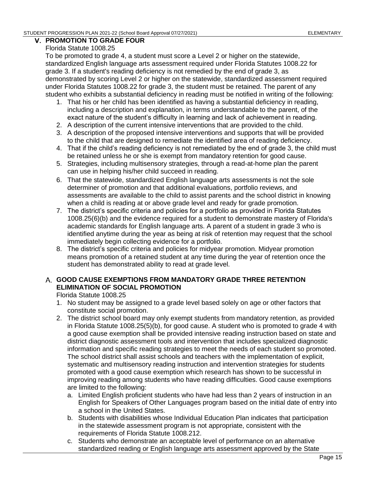### <span id="page-20-0"></span>**PROMOTION TO GRADE FOUR**

#### Florida Statute 1008.25

To be promoted to grade 4, a student must score a Level 2 or higher on the statewide, standardized English language arts assessment required under Florida Statutes 1008.22 for grade 3. If a student's reading deficiency is not remedied by the end of grade 3, as demonstrated by scoring Level 2 or higher on the statewide, standardized assessment required under Florida Statutes 1008.22 for grade 3, the student must be retained. The parent of any student who exhibits a substantial deficiency in reading must be notified in writing of the following:

- 1. That his or her child has been identified as having a substantial deficiency in reading, including a description and explanation, in terms understandable to the parent, of the exact nature of the student's difficulty in learning and lack of achievement in reading.
- 2. A description of the current intensive interventions that are provided to the child.
- 3. A description of the proposed intensive interventions and supports that will be provided to the child that are designed to remediate the identified area of reading deficiency.
- 4. That if the child's reading deficiency is not remediated by the end of grade 3, the child must be retained unless he or she is exempt from mandatory retention for good cause.
- 5. Strategies, including multisensory strategies, through a read-at-home plan the parent can use in helping his/her child succeed in reading.
- 6. That the statewide, standardized English language arts assessments is not the sole determiner of promotion and that additional evaluations, portfolio reviews, and assessments are available to the child to assist parents and the school district in knowing when a child is reading at or above grade level and ready for grade promotion.
- 7. The district's specific criteria and policies for a portfolio as provided in Florida Statutes 1008.25(6)(b) and the evidence required for a student to demonstrate mastery of Florida's academic standards for English language arts. A parent of a student in grade 3 who is identified anytime during the year as being at risk of retention may request that the school immediately begin collecting evidence for a portfolio.
- 8. The district's specific criteria and policies for midyear promotion. Midyear promotion means promotion of a retained student at any time during the year of retention once the student has demonstrated ability to read at grade level.

# <span id="page-20-1"></span>**GOOD CAUSE EXEMPTIONS FROM MANDATORY GRADE THREE RETENTION ELIMINATION OF SOCIAL PROMOTION**

Florida Statute 1008.25

- 1. No student may be assigned to a grade level based solely on age or other factors that constitute social promotion.
- 2. The district school board may only exempt students from mandatory retention, as provided in Florida Statute 1008.25(5)(b), for good cause. A student who is promoted to grade 4 with a good cause exemption shall be provided intensive reading instruction based on state and district diagnostic assessment tools and intervention that includes specialized diagnostic information and specific reading strategies to meet the needs of each student so promoted. The school district shall assist schools and teachers with the implementation of explicit, systematic and multisensory reading instruction and intervention strategies for students promoted with a good cause exemption which research has shown to be successful in improving reading among students who have reading difficulties. Good cause exemptions are limited to the following:
	- a. Limited English proficient students who have had less than 2 years of instruction in an English for Speakers of Other Languages program based on the initial date of entry into a school in the United States.
	- b. Students with disabilities whose Individual Education Plan indicates that participation in the statewide assessment program is not appropriate, consistent with the requirements of Florida Statute 1008.212.
	- c. Students who demonstrate an acceptable level of performance on an alternative standardized reading or English language arts assessment approved by the State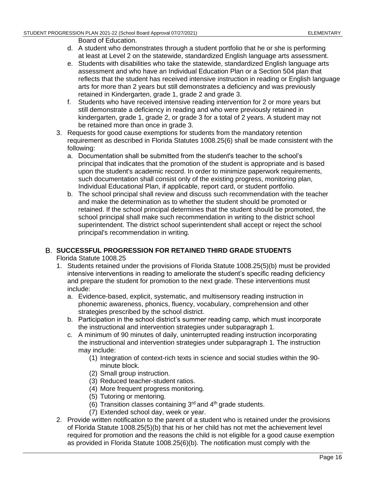Board of Education.

- d. A student who demonstrates through a student portfolio that he or she is performing at least at Level 2 on the statewide, standardized English language arts assessment.
- e. Students with disabilities who take the statewide, standardized English language arts assessment and who have an Individual Education Plan or a Section 504 plan that reflects that the student has received intensive instruction in reading or English language arts for more than 2 years but still demonstrates a deficiency and was previously retained in Kindergarten, grade 1, grade 2 and grade 3.
- f. Students who have received intensive reading intervention for 2 or more years but still demonstrate a deficiency in reading and who were previously retained in kindergarten, grade 1, grade 2, or grade 3 for a total of 2 years. A student may not be retained more than once in grade 3.
- 3. Requests for good cause exemptions for students from the mandatory retention requirement as described in Florida Statutes 1008.25(6) shall be made consistent with the following:
	- a. Documentation shall be submitted from the student's teacher to the school's principal that indicates that the promotion of the student is appropriate and is based upon the student's academic record. In order to minimize paperwork requirements, such documentation shall consist only of the existing progress, monitoring plan, Individual Educational Plan, if applicable, report card, or student portfolio.
	- b. The school principal shall review and discuss such recommendation with the teacher and make the determination as to whether the student should be promoted or retained. If the school principal determines that the student should be promoted, the school principal shall make such recommendation in writing to the district school superintendent. The district school superintendent shall accept or reject the school principal's recommendation in writing.

# <span id="page-21-0"></span>**SUCCESSFUL PROGRESSION FOR RETAINED THIRD GRADE STUDENTS**

Florida Statute 1008.25

- 1. Students retained under the provisions of Florida Statute 1008.25(5)(b) must be provided intensive interventions in reading to ameliorate the student's specific reading deficiency and prepare the student for promotion to the next grade. These interventions must include:
	- a. Evidence-based, explicit, systematic, and multisensory reading instruction in phonemic awareness, phonics, fluency, vocabulary, comprehension and other strategies prescribed by the school district.
	- b. Participation in the school district's summer reading camp, which must incorporate the instructional and intervention strategies under subparagraph 1.
	- c. A minimum of 90 minutes of daily, uninterrupted reading instruction incorporating the instructional and intervention strategies under subparagraph 1. The instruction may include:
		- (1) Integration of context-rich texts in science and social studies within the 90 minute block.
		- (2) Small group instruction.
		- (3) Reduced teacher-student ratios.
		- (4) More frequent progress monitoring.
		- (5) Tutoring or mentoring.
		- (6) Transition classes containing  $3<sup>rd</sup>$  and  $4<sup>th</sup>$  grade students.
		- (7) Extended school day, week or year.
- 2. Provide written notification to the parent of a student who is retained under the provisions of Florida Statute 1008.25(5)(b) that his or her child has not met the achievement level required for promotion and the reasons the child is not eligible for a good cause exemption as provided in Florida Statute 1008.25(6)(b). The notification must comply with the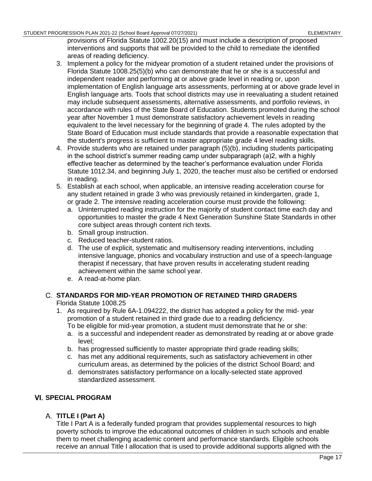provisions of Florida Statute 1002.20(15) and must include a description of proposed interventions and supports that will be provided to the child to remediate the identified areas of reading deficiency.

- 3. Implement a policy for the midyear promotion of a student retained under the provisions of Florida Statute 1008.25(5)(b) who can demonstrate that he or she is a successful and independent reader and performing at or above grade level in reading or, upon implementation of English language arts assessments, performing at or above grade level in English language arts. Tools that school districts may use in reevaluating a student retained may include subsequent assessments, alternative assessments, and portfolio reviews, in accordance with rules of the State Board of Education. Students promoted during the school year after November 1 must demonstrate satisfactory achievement levels in reading equivalent to the level necessary for the beginning of grade 4. The rules adopted by the State Board of Education must include standards that provide a reasonable expectation that the student's progress is sufficient to master appropriate grade 4 level reading skills.
- 4. Provide students who are retained under paragraph (5)(b), including students participating in the school district's summer reading camp under subparagraph (a)2, with a highly effective teacher as determined by the teacher's performance evaluation under Florida Statute 1012.34, and beginning July 1, 2020, the teacher must also be certified or endorsed in reading.
- 5. Establish at each school, when applicable, an intensive reading acceleration course for any student retained in grade 3 who was previously retained in kindergarten, grade 1, or grade 2. The intensive reading acceleration course must provide the following:
	- a. Uninterrupted reading instruction for the majority of student contact time each day and opportunities to master the grade 4 Next Generation Sunshine State Standards in other core subject areas through content rich texts.
	- b. Small group instruction.
	- c. Reduced teacher-student ratios.
	- d. The use of explicit, systematic and multisensory reading interventions, including intensive language, phonics and vocabulary instruction and use of a speech-language therapist if necessary, that have proven results in accelerating student reading achievement within the same school year.
	- e. A read-at-home plan.

# <span id="page-22-0"></span>**STANDARDS FOR MID-YEAR PROMOTION OF RETAINED THIRD GRADERS**

Florida Statute 1008.25

- 1. As required by [Rule 6A-1.094222,](https://www.flrules.org/gateway/ruleno.asp?id=6A-1.094222) the district has adopted a policy for the mid- year promotion of a student retained in third grade due to a reading deficiency.
	- To be eligible for mid-year promotion, a student must demonstrate that he or she:
	- a. is a successful and independent reader as demonstrated by reading at or above grade level;
	- b. has progressed sufficiently to master appropriate third grade reading skills;
	- c. has met any additional requirements, such as satisfactory achievement in other curriculum areas, as determined by the policies of the district School Board; and
	- d. demonstrates satisfactory performance on a locally-selected state approved standardized assessment.

# <span id="page-22-2"></span><span id="page-22-1"></span>**VI. SPECIAL PROGRAM**

# **TITLE I (Part A)**

Title I Part A is a federally funded program that provides supplemental resources to high poverty schools to improve the educational outcomes of children in such schools and enable them to meet challenging academic content and performance standards. Eligible schools receive an annual Title I allocation that is used to provide additional supports aligned with the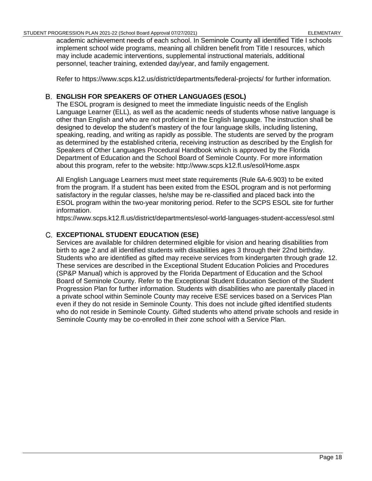academic achievement needs of each school. In Seminole County all identified Title I schools implement school wide programs, meaning all children benefit from Title I resources, which may include academic interventions, supplemental instructional materials, additional personnel, teacher training, extended day/year, and family engagement.

Refer to https://www.scps.k12.us/district/departments/federal-projects/ for further information.

# <span id="page-23-0"></span>**ENGLISH FOR SPEAKERS OF OTHER LANGUAGES (ESOL)**

The ESOL program is designed to meet the immediate linguistic needs of the English Language Learner (ELL), as well as the academic needs of students whose native language is other than English and who are not proficient in the English language. The instruction shall be designed to develop the student's mastery of the four language skills, including listening, speaking, reading, and writing as rapidly as possible. The students are served by the program as determined by the established criteria, receiving instruction as described by the English for Speakers of Other Languages Procedural Handbook which is approved by the Florida Department of Education and the School Board of Seminole County. For more information about this program, refer to the website: http://www.scps.k12.fl.us/esol/Home.aspx

All English Language Learners must meet state requirements (Rule 6A-6.903) to be exited from the program. If a student has been exited from the ESOL program and is not performing satisfactory in the regular classes, he/she may be re-classified and placed back into the ESOL program within the two-year monitoring period. Refer to the SCPS ESOL site for further information.

https://www.scps.k12.fl.us/district/departments/esol-world-languages-student-access/esol.stml

### <span id="page-23-1"></span>**EXCEPTIONAL STUDENT EDUCATION (ESE)**

Services are available for children determined eligible for vision and hearing disabilities from birth to age 2 and all identified students with disabilities ages 3 through their 22nd birthday. Students who are identified as gifted may receive services from kindergarten through grade 12. These services are described in the Exceptional Student Education Policies and Procedures (SP&P Manual) which is approved by the Florida Department of Education and the School Board of Seminole County. Refer to the Exceptional Student Education Section of the Student Progression Plan for further information. Students with disabilities who are parentally placed in a private school within Seminole County may receive ESE services based on a Services Plan even if they do not reside in Seminole County. This does not include gifted identified students who do not reside in Seminole County. Gifted students who attend private schools and reside in Seminole County may be co-enrolled in their zone school with a Service Plan.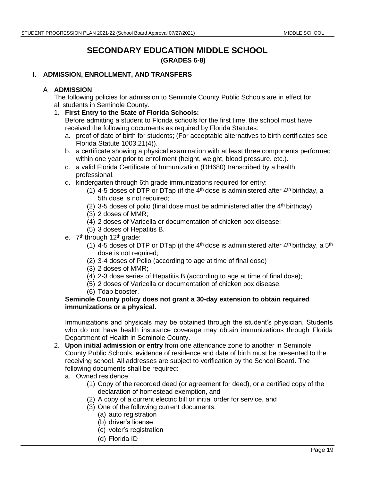# **SECONDARY EDUCATION MIDDLE SCHOOL (GRADES 6-8)**

#### <span id="page-24-2"></span><span id="page-24-1"></span><span id="page-24-0"></span>**ADMISSION, ENROLLMENT, AND TRANSFERS**

#### **A. ADMISSION**

The following policies for admission to Seminole County Public Schools are in effect for all students in Seminole County.

1. **First Entry to the State of Florida Schools:**

Before admitting a student to Florida schools for the first time, the school must have received the following documents as required by Florida Statutes:

- a. proof of date of birth for students; (For acceptable alternatives to birth certificates see Florida Statute 1003.21(4)).
- b. a certificate showing a physical examination with at least three components performed within one year prior to enrollment (height, weight, blood pressure, etc.).
- c. a valid Florida Certificate of Immunization (DH680) transcribed by a health professional.
- d. kindergarten through 6th grade immunizations required for entry:
	- (1) 4-5 doses of DTP or DTap (if the  $4<sup>th</sup>$  dose is administered after  $4<sup>th</sup>$  birthday, a 5th dose is not required;
	- (2) 3-5 doses of polio (final dose must be administered after the  $4<sup>th</sup>$  birthday);
	- (3) 2 doses of MMR;
	- (4) 2 doses of Varicella or documentation of chicken pox disease;
	- (5) 3 doses of Hepatitis B.
- e. 7<sup>th</sup> through 12<sup>th</sup> grade:
	- (1) 4-5 doses of DTP or DTap (if the 4<sup>th</sup> dose is administered after 4<sup>th</sup> birthday, a 5<sup>th</sup> dose is not required;
	- (2) 3-4 doses of Polio (according to age at time of final dose)
	- (3) 2 doses of MMR;
	- (4) 2-3 dose series of Hepatitis B (according to age at time of final dose);
	- (5) 2 doses of Varicella or documentation of chicken pox disease.
	- (6) Tdap booster.

#### **Seminole County policy does not grant a 30-day extension to obtain required immunizations or a physical.**

Immunizations and physicals may be obtained through the student's physician. Students who do not have health insurance coverage may obtain immunizations through Florida Department of Health in Seminole County.

- 2. **Upon initial admission or entry** from one attendance zone to another in Seminole County Public Schools, evidence of residence and date of birth must be presented to the receiving school. All addresses are subject to verification by the School Board. The following documents shall be required:
	- a. Owned residence
		- (1) Copy of the recorded deed (or agreement for deed), or a certified copy of the declaration of homestead exemption, and
		- (2) A copy of a current electric bill or initial order for service, and
		- (3) One of the following current documents:
			- (a) auto registration
			- (b) driver's license
			- (c) voter's registration
			- (d) Florida ID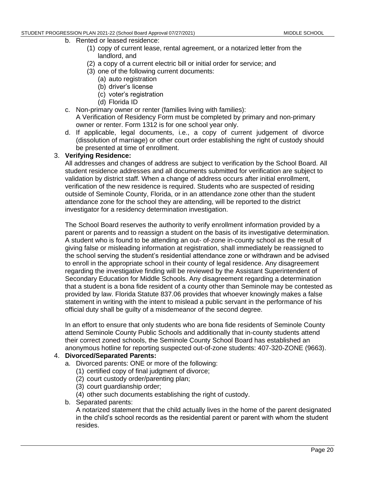- b. Rented or leased residence:
	- (1) copy of current lease, rental agreement, or a notarized letter from the landlord, and
	- (2) a copy of a current electric bill or initial order for service; and
	- (3) one of the following current documents:
		- (a) auto registration
		- (b) driver's license
		- (c) voter's registration
		- (d) Florida ID
- c. Non-primary owner or renter (families living with families): A Verification of Residency Form must be completed by primary and non-primary owner or renter. Form 1312 is for one school year only.
- d. If applicable, legal documents, i.e., a copy of current judgement of divorce (dissolution of marriage) or other court order establishing the right of custody should be presented at time of enrollment.

#### 3. **Verifying Residence:**

All addresses and changes of address are subject to verification by the School Board. All student residence addresses and all documents submitted for verification are subject to validation by district staff. When a change of address occurs after initial enrollment, verification of the new residence is required. Students who are suspected of residing outside of Seminole County, Florida, or in an attendance zone other than the student attendance zone for the school they are attending, will be reported to the district investigator for a residency determination investigation.

The School Board reserves the authority to verify enrollment information provided by a parent or parents and to reassign a student on the basis of its investigative determination. A student who is found to be attending an out- of-zone in-county school as the result of giving false or misleading information at registration, shall immediately be reassigned to the school serving the student's residential attendance zone or withdrawn and be advised to enroll in the appropriate school in their county of legal residence. Any disagreement regarding the investigative finding will be reviewed by the Assistant Superintendent of Secondary Education for Middle Schools. Any disagreement regarding a determination that a student is a bona fide resident of a county other than Seminole may be contested as provided by law. Florida Statute 837.06 provides that whoever knowingly makes a false statement in writing with the intent to mislead a public servant in the performance of his official duty shall be guilty of a misdemeanor of the second degree.

In an effort to ensure that only students who are bona fide residents of Seminole County attend Seminole County Public Schools and additionally that in-county students attend their correct zoned schools, the Seminole County School Board has established an anonymous hotline for reporting suspected out-of-zone students: 407-320-ZONE (9663).

#### 4. **Divorced/Separated Parents:**

- a. Divorced parents: ONE or more of the following:
	- (1) certified copy of final judgment of divorce;
	- (2) court custody order/parenting plan;
	- (3) court guardianship order;
	- (4) other such documents establishing the right of custody.
- b. Separated parents:

A notarized statement that the child actually lives in the home of the parent designated in the child's school records as the residential parent or parent with whom the student resides.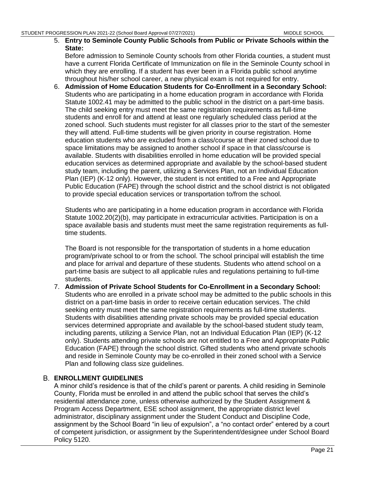5. **Entry to Seminole County Public Schools from Public or Private Schools within the State:**

Before admission to Seminole County schools from other Florida counties, a student must have a current Florida Certificate of Immunization on file in the Seminole County school in which they are enrolling. If a student has ever been in a Florida public school anytime throughout his/her school career, a new physical exam is not required for entry.

6. **Admission of Home Education Students for Co-Enrollment in a Secondary School:** Students who are participating in a home education program in accordance with Florida Statute 1002.41 may be admitted to the public school in the district on a part-time basis. The child seeking entry must meet the same registration requirements as full-time students and enroll for and attend at least one regularly scheduled class period at the zoned school. Such students must register for all classes prior to the start of the semester they will attend. Full-time students will be given priority in course registration. Home education students who are excluded from a class/course at their zoned school due to space limitations may be assigned to another school if space in that class/course is available. Students with disabilities enrolled in home education will be provided special education services as determined appropriate and available by the school-based student study team, including the parent, utilizing a Services Plan, not an Individual Education Plan (IEP) (K-12 only). However, the student is not entitled to a Free and Appropriate Public Education (FAPE) through the school district and the school district is not obligated to provide special education services or transportation to/from the school.

Students who are participating in a home education program in accordance with Florida Statute 1002.20(2)(b), may participate in extracurricular activities. Participation is on a space available basis and students must meet the same registration requirements as fulltime students.

The Board is not responsible for the transportation of students in a home education program/private school to or from the school. The school principal will establish the time and place for arrival and departure of these students. Students who attend school on a part-time basis are subject to all applicable rules and regulations pertaining to full-time students.

7. **Admission of Private School Students for Co-Enrollment in a Secondary School:** Students who are enrolled in a private school may be admitted to the public schools in this district on a part-time basis in order to receive certain education services. The child seeking entry must meet the same registration requirements as full-time students. Students with disabilities attending private schools may be provided special education services determined appropriate and available by the school-based student study team, including parents, utilizing a Service Plan, not an Individual Education Plan (IEP) (K-12 only). Students attending private schools are not entitled to a Free and Appropriate Public Education (FAPE) through the school district. Gifted students who attend private schools and reside in Seminole County may be co-enrolled in their zoned school with a Service Plan and following class size guidelines.

#### <span id="page-26-0"></span>**ENROLLMENT GUIDELINES**

A minor child's residence is that of the child's parent or parents. A child residing in Seminole County, Florida must be enrolled in and attend the public school that serves the child's residential attendance zone, unless otherwise authorized by the Student Assignment & Program Access Department, ESE school assignment, the appropriate district level administrator, disciplinary assignment under the Student Conduct and Discipline Code, assignment by the School Board "in lieu of expulsion", a "no contact order" entered by a court of competent jurisdiction, or assignment by the Superintendent/designee under School Board Policy 5120.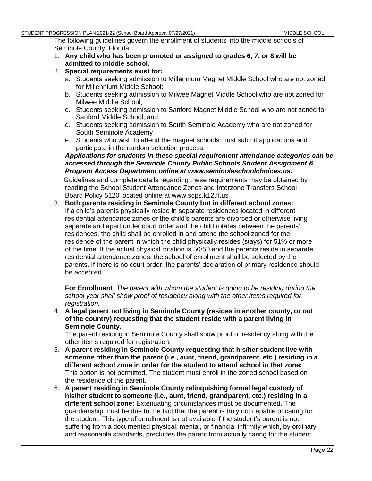The following guidelines govern the enrollment of students into the middle schools of Seminole County, Florida:

- 1. **Any child who has been promoted or assigned to grades 6, 7, or 8 will be admitted to middle school.**
- 2. **Special requirements exist for:**
	- a. Students seeking admission to Millennium Magnet Middle School who are not zoned for Millennium Middle School;
	- b. Students seeking admission to Milwee Magnet Middle School who are not zoned for Milwee Middle School;
	- c. Students seeking admission to Sanford Magnet Middle School who are not zoned for Sanford Middle School, and
	- d. Students seeking admission to South Seminole Academy who are not zoned for South Seminole Academy
	- e. Students who wish to attend the magnet schools must submit applications and participate in the random selection process.

#### *Applications for students in these special requirement attendance categories can be accessed through the Seminole County Public Schools Student Assignment & Program Access Department online at www.seminoleschoolchoices.us.*

Guidelines and complete details regarding these requirements may be obtained by reading the School Student Attendance Zones and Interzone Transfers School Board Policy 5120 located online at www.scps.k12.fl.us

3. **Both parents residing in Seminole County but in different school zones:** If a child's parents physically reside in separate residences located in different residential attendance zones or the child's parents are divorced or otherwise living separate and apart under court order and the child rotates between the parents' residences, the child shall be enrolled in and attend the school zoned for the residence of the parent in which the child physically resides (stays) for 51% or more of the time. If the actual physical rotation is 50/50 and the parents reside in separate residential attendance zones, the school of enrollment shall be selected by the parents. If there is no court order, the parents' declaration of primary residence should be accepted.

**For Enrollment**: *The parent with whom the student is going to be residing during the school year shall show proof of residency along with the other items required for registration.* 

4. **A legal parent not living in Seminole County (resides in another county, or out of the country) requesting that the student reside with a parent living in Seminole County.**

The parent residing in Seminole County shall show proof of residency along with the other items required for registration.

- 5. **A parent residing in Seminole County requesting that his/her student live with someone other than the parent (i.e., aunt, friend, grandparent, etc.) residing in a different school zone in order for the student to attend school in that zone:** This option is not permitted. The student must enroll in the zoned school based on the residence of the parent.
- 6. **A parent residing in Seminole County relinquishing formal legal custody of his/her student to someone (i.e., aunt, friend, grandparent, etc.) residing in a different school zone:** Extenuating circumstances must be documented. The guardianship must be due to the fact that the parent is truly not capable of caring for the student. This type of enrollment is not available if the student's parent is not suffering from a documented physical, mental, or financial infirmity which, by ordinary and reasonable standards, precludes the parent from actually caring for the student.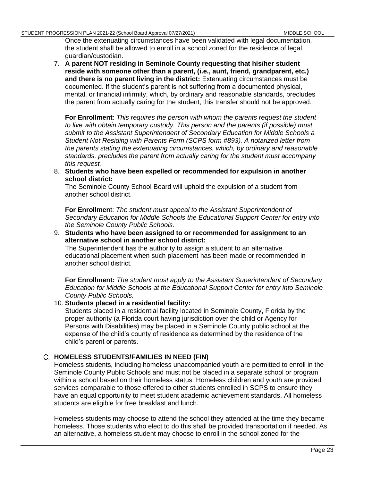Once the extenuating circumstances have been validated with legal documentation, the student shall be allowed to enroll in a school zoned for the residence of legal guardian/custodian.

7. **A parent NOT residing in Seminole County requesting that his/her student reside with someone other than a parent, (i.e., aunt, friend, grandparent, etc.) and there is no parent living in the district:** Extenuating circumstances must be documented. If the student's parent is not suffering from a documented physical, mental, or financial infirmity, which, by ordinary and reasonable standards, precludes the parent from actually caring for the student, this transfer should not be approved.

**For Enrollment**: *This requires the person with whom the parents request the student to live with obtain temporary custody. This person and the parents (if possible) must submit to the Assistant Superintendent of Secondary Education for Middle Schools a Student Not Residing with Parents Form (SCPS form #893). A notarized letter from the parents stating the extenuating circumstances, which, by ordinary and reasonable standards, precludes the parent from actually caring for the student must accompany this request.*

8. **Students who have been expelled or recommended for expulsion in another school district:**

The Seminole County School Board will uphold the expulsion of a student from another school district.

**For Enrollmen**t: *The student must appeal to the Assistant Superintendent of Secondary Education for Middle Schools the Educational Support Center for entry into the Seminole County Public Schools.*

9. **Students who have been assigned to or recommended for assignment to an alternative school in another school district:**

The Superintendent has the authority to assign a student to an alternative educational placement when such placement has been made or recommended in another school district.

**For Enrollment:** *The student must apply to the Assistant Superintendent of Secondary Education for Middle Schools at the Educational Support Center for entry into Seminole County Public Schools.*

#### 10. **Students placed in a residential facility:**

Students placed in a residential facility located in Seminole County, Florida by the proper authority (a Florida court having jurisdiction over the child or Agency for Persons with Disabilities) may be placed in a Seminole County public school at the expense of the child's county of residence as determined by the residence of the child's parent or parents.

#### <span id="page-28-0"></span>**HOMELESS STUDENTS/FAMILIES IN NEED (FIN)**

Homeless students, including homeless unaccompanied youth are permitted to enroll in the Seminole County Public Schools and must not be placed in a separate school or program within a school based on their homeless status. Homeless children and youth are provided services comparable to those offered to other students enrolled in SCPS to ensure they have an equal opportunity to meet student academic achievement standards. All homeless students are eligible for free breakfast and lunch.

Homeless students may choose to attend the school they attended at the time they became homeless. Those students who elect to do this shall be provided transportation if needed. As an alternative, a homeless student may choose to enroll in the school zoned for the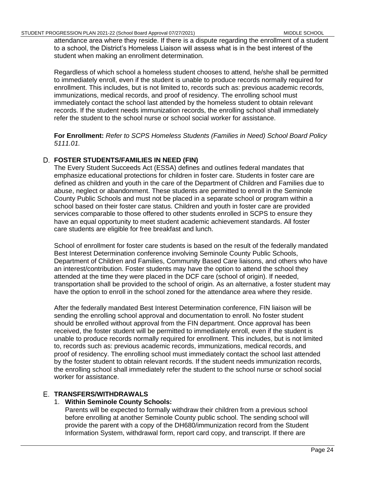attendance area where they reside. If there is a dispute regarding the enrollment of a student to a school, the District's Homeless Liaison will assess what is in the best interest of the student when making an enrollment determination.

Regardless of which school a homeless student chooses to attend, he/she shall be permitted to immediately enroll, even if the student is unable to produce records normally required for enrollment. This includes, but is not limited to, records such as: previous academic records, immunizations, medical records, and proof of residency. The enrolling school must immediately contact the school last attended by the homeless student to obtain relevant records. If the student needs immunization records, the enrolling school shall immediately refer the student to the school nurse or school social worker for assistance.

**For Enrollment:** *Refer to SCPS Homeless Students (Families in Need) School Board Policy 5111.01.*

### <span id="page-29-0"></span>**FOSTER STUDENTS/FAMILIES IN NEED (FIN)**

The Every Student Succeeds Act (ESSA) defines and outlines federal mandates that emphasize educational protections for children in foster care. Students in foster care are defined as children and youth in the care of the Department of Children and Families due to abuse, neglect or abandonment. These students are permitted to enroll in the Seminole County Public Schools and must not be placed in a separate school or program within a school based on their foster care status. Children and youth in foster care are provided services comparable to those offered to other students enrolled in SCPS to ensure they have an equal opportunity to meet student academic achievement standards. All foster care students are eligible for free breakfast and lunch.

School of enrollment for foster care students is based on the result of the federally mandated Best Interest Determination conference involving Seminole County Public Schools, Department of Children and Families, Community Based Care liaisons, and others who have an interest/contribution. Foster students may have the option to attend the school they attended at the time they were placed in the DCF care (school of origin). If needed, transportation shall be provided to the school of origin. As an alternative, a foster student may have the option to enroll in the school zoned for the attendance area where they reside.

After the federally mandated Best Interest Determination conference, FIN liaison will be sending the enrolling school approval and documentation to enroll. No foster student should be enrolled without approval from the FIN department. Once approval has been received, the foster student will be permitted to immediately enroll, even if the student is unable to produce records normally required for enrollment. This includes, but is not limited to, records such as: previous academic records, immunizations, medical records, and proof of residency. The enrolling school must immediately contact the school last attended by the foster student to obtain relevant records. If the student needs immunization records, the enrolling school shall immediately refer the student to the school nurse or school social worker for assistance.

#### <span id="page-29-1"></span>**TRANSFERS/WITHDRAWALS**

#### 1. **Within Seminole County Schools:**

Parents will be expected to formally withdraw their children from a previous school before enrolling at another Seminole County public school. The sending school will provide the parent with a copy of the DH680/immunization record from the Student Information System, withdrawal form, report card copy, and transcript. If there are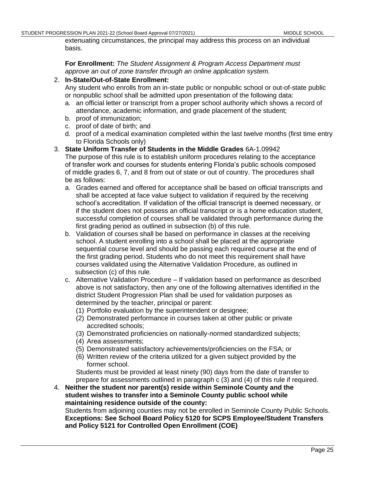extenuating circumstances, the principal may address this process on an individual basis.

**For Enrollment:** *The Student Assignment & Program Access Department must approve an out of zone transfer through an online application system.*

#### 2. **In-State/Out-of-State Enrollment:**

Any student who enrolls from an in-state public or nonpublic school or out-of-state public or nonpublic school shall be admitted upon presentation of the following data:

- a. an official letter or transcript from a proper school authority which shows a record of attendance, academic information, and grade placement of the student;
- b. proof of immunization;
- c. proof of date of birth; and
- d. proof of a medical examination completed within the last twelve months (first time entry to Florida Schools only)

#### 3. **State Uniform Transfer of Students in the Middle Grades** 6A-1.09942

The purpose of this rule is to establish uniform procedures relating to the acceptance of transfer work and courses for students entering Florida's public schools composed of middle grades 6, 7, and 8 from out of state or out of country. The procedures shall be as follows:

- a. Grades earned and offered for acceptance shall be based on official transcripts and shall be accepted at face value subject to validation if required by the receiving school's accreditation. If validation of the official transcript is deemed necessary, or if the student does not possess an official transcript or is a home education student, successful completion of courses shall be validated through performance during the first grading period as outlined in subsection (b) of this rule.
- b. Validation of courses shall be based on performance in classes at the receiving school. A student enrolling into a school shall be placed at the appropriate sequential course level and should be passing each required course at the end of the first grading period. Students who do not meet this requirement shall have courses validated using the Alternative Validation Procedure, as outlined in subsection (c) of this rule.
- c. Alternative Validation Procedure If validation based on performance as described above is not satisfactory, then any one of the following alternatives identified in the district Student Progression Plan shall be used for validation purposes as determined by the teacher, principal or parent:
	- (1) Portfolio evaluation by the superintendent or designee;
	- (2) Demonstrated performance in courses taken at other public or private accredited schools;
	- (3) Demonstrated proficiencies on nationally-normed standardized subjects;
	- (4) Area assessments;
	- (5) Demonstrated satisfactory achievements/proficiencies on the FSA; or
	- (6) Written review of the criteria utilized for a given subject provided by the former school.

Students must be provided at least ninety (90) days from the date of transfer to prepare for assessments outlined in paragraph c (3) and (4) of this rule if required.

4. **Neither the student nor parent(s) reside within Seminole County and the student wishes to transfer into a Seminole County public school while maintaining residence outside of the county:**

Students from adjoining counties may not be enrolled in Seminole County Public Schools. **Exceptions: See School Board Policy 5120 for SCPS Employee/Student Transfers and Policy 5121 for Controlled Open Enrollment (COE)**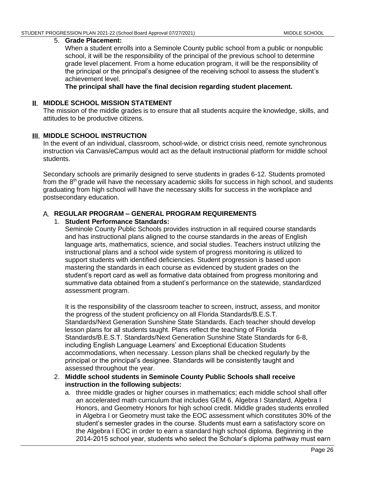#### 5. **Grade Placement:**

When a student enrolls into a Seminole County public school from a public or nonpublic school, it will be the responsibility of the principal of the previous school to determine grade level placement. From a home education program, it will be the responsibility of the principal or the principal's designee of the receiving school to assess the student's achievement level.

**The principal shall have the final decision regarding student placement.**

#### <span id="page-31-0"></span>**MIDDLE SCHOOL MISSION STATEMENT**

The mission of the middle grades is to ensure that all students acquire the knowledge, skills, and attitudes to be productive citizens.

#### <span id="page-31-1"></span>**MIDDLE SCHOOL INSTRUCTION**

In the event of an individual, classroom, school-wide, or district crisis need, remote synchronous instruction via Canvas/eCampus would act as the default instructional platform for middle school students.

Secondary schools are primarily designed to serve students in grades 6-12. Students promoted from the 8<sup>th</sup> grade will have the necessary academic skills for success in high school, and students graduating from high school will have the necessary skills for success in the workplace and postsecondary education.

#### <span id="page-31-2"></span>**REGULAR PROGRAM – GENERAL PROGRAM REQUIREMENTS**

#### 1. **Student Performance Standards:**

Seminole County Public Schools provides instruction in all required course standards and has instructional plans aligned to the course standards in the areas of English language arts, mathematics, science, and social studies. Teachers instruct utilizing the instructional plans and a school wide system of progress monitoring is utilized to support students with identified deficiencies. Student progression is based upon mastering the standards in each course as evidenced by student grades on the student's report card as well as formative data obtained from progress monitoring and summative data obtained from a student's performance on the statewide, standardized assessment program.

It is the responsibility of the classroom teacher to screen, instruct, assess, and monitor the progress of the student proficiency on all Florida Standards/B.E.S.T. Standards/Next Generation Sunshine State Standards. Each teacher should develop lesson plans for all students taught. Plans reflect the teaching of Florida Standards/B.E.S.T. Standards/Next Generation Sunshine State Standards for 6-8, including English Language Learners' and Exceptional Education Students accommodations, when necessary. Lesson plans shall be checked regularly by the principal or the principal's designee. Standards will be consistently taught and assessed throughout the year.

- 2. **Middle school students in Seminole County Public Schools shall receive instruction in the following subjects:**
	- a. three middle grades or higher courses in mathematics; each middle school shall offer an accelerated math curriculum that includes GEM 6, Algebra I Standard, Algebra I Honors, and Geometry Honors for high school credit. Middle grades students enrolled in Algebra I or Geometry must take the EOC assessment which constitutes 30% of the student's semester grades in the course. Students must earn a satisfactory score on the Algebra I EOC in order to earn a standard high school diploma. Beginning in the 2014-2015 school year, students who select the Scholar's diploma pathway must earn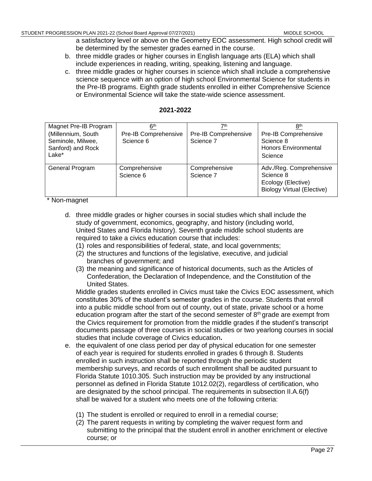a satisfactory level or above on the Geometry EOC assessment. High school credit will be determined by the semester grades earned in the course.

- b. three middle grades or higher courses in English language arts (ELA) which shall include experiences in reading, writing, speaking, listening and language.
- c. three middle grades or higher courses in science which shall include a comprehensive science sequence with an option of high school Environmental Science for students in the Pre-IB programs. Eighth grade students enrolled in either Comprehensive Science or Environmental Science will take the state-wide science assessment.

| Magnet Pre-IB Program<br>(Millennium, South | 6 <sup>th</sup><br>Pre-IB Comprehensive | 7th<br>Pre-IB Comprehensive | 8 <sup>th</sup><br>Pre-IB Comprehensive                 |
|---------------------------------------------|-----------------------------------------|-----------------------------|---------------------------------------------------------|
| Seminole, Milwee,                           | Science 6                               | Science 7                   | Science 8                                               |
| Sanford) and Rock<br>Lake*                  |                                         |                             | <b>Honors Environmental</b><br>Science                  |
|                                             |                                         |                             |                                                         |
| General Program                             | Comprehensive                           | Comprehensive               | Adv./Reg. Comprehensive                                 |
|                                             | Science 6                               | Science 7                   | Science 8                                               |
|                                             |                                         |                             | Ecology (Elective)<br><b>Biology Virtual (Elective)</b> |

\* Non-magnet

- d. three middle grades or higher courses in social studies which shall include the study of government, economics, geography, and history (including world, United States and Florida history). Seventh grade middle school students are required to take a civics education course that includes:
	- (1) roles and responsibilities of federal, state, and local governments;
	- (2) the structures and functions of the legislative, executive, and judicial branches of government; and
	- (3) the meaning and significance of historical documents, such as the Articles of Confederation, the Declaration of Independence, and the Constitution of the United States.

Middle grades students enrolled in Civics must take the Civics EOC assessment, which constitutes 30% of the student's semester grades in the course. Students that enroll into a public middle school from out of county, out of state, private school or a home education program after the start of the second semester of  $8<sup>th</sup>$  grade are exempt from the Civics requirement for promotion from the middle grades if the student's transcript documents passage of three courses in social studies or two yearlong courses in social studies that include coverage of Civics education**.**

- e. the equivalent of one class period per day of physical education for one semester of each year is required for students enrolled in grades 6 through 8. Students enrolled in such instruction shall be reported through the periodic student membership surveys, and records of such enrollment shall be audited pursuant to Florida Statute 1010.305. Such instruction may be provided by any instructional personnel as defined in Florida Statute 1012.02(2), regardless of certification, who are designated by the school principal. The requirements in subsection II.A.6(f) shall be waived for a student who meets one of the following criteria:
	- (1) The student is enrolled or required to enroll in a remedial course;
	- (2) The parent requests in writing by completing the waiver request form and submitting to the principal that the student enroll in another enrichment or elective course; or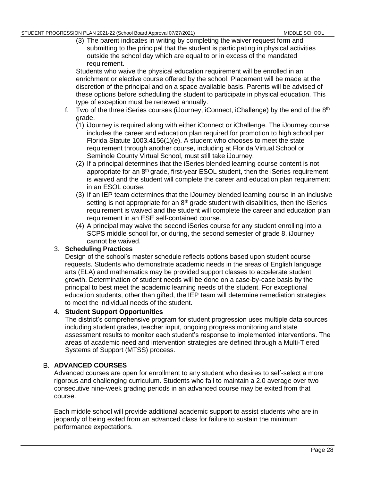(3) The parent indicates in writing by completing the waiver request form and submitting to the principal that the student is participating in physical activities outside the school day which are equal to or in excess of the mandated requirement.

Students who waive the physical education requirement will be enrolled in an enrichment or elective course offered by the school. Placement will be made at the discretion of the principal and on a space available basis. Parents will be advised of these options before scheduling the student to participate in physical education. This type of exception must be renewed annually.

- f. Two of the three iSeries courses (iJourney, iConnect, iChallenge) by the end of the  $8<sup>th</sup>$ grade.
	- (1) iJourney is required along with either iConnect or iChallenge. The iJourney course includes the career and education plan required for promotion to high school per Florida Statute 1003.4156(1)(e). A student who chooses to meet the state requirement through another course, including at Florida Virtual School or Seminole County Virtual School, must still take iJourney.
	- (2) If a principal determines that the iSeries blended learning course content is not appropriate for an  $8<sup>th</sup>$  grade, first-year ESOL student, then the iSeries requirement is waived and the student will complete the career and education plan requirement in an ESOL course.
	- (3) If an IEP team determines that the iJourney blended learning course in an inclusive setting is not appropriate for an  $8<sup>th</sup>$  grade student with disabilities, then the iSeries requirement is waived and the student will complete the career and education plan requirement in an ESE self-contained course.
	- (4) A principal may waive the second iSeries course for any student enrolling into a SCPS middle school for, or during, the second semester of grade 8. iJourney cannot be waived.

### 3. **Scheduling Practices**

Design of the school's master schedule reflects options based upon student course requests. Students who demonstrate academic needs in the areas of English language arts (ELA) and mathematics may be provided support classes to accelerate student growth. Determination of student needs will be done on a case-by-case basis by the principal to best meet the academic learning needs of the student. For exceptional education students, other than gifted, the IEP team will determine remediation strategies to meet the individual needs of the student.

#### 4. **Student Support Opportunities**

The district's comprehensive program for student progression uses multiple data sources including student grades, teacher input, ongoing progress monitoring and state assessment results to monitor each student's response to implemented interventions. The areas of academic need and intervention strategies are defined through a Multi-Tiered Systems of Support (MTSS) process.

#### <span id="page-33-0"></span>**ADVANCED COURSES**

Advanced courses are open for enrollment to any student who desires to self-select a more rigorous and challenging curriculum. Students who fail to maintain a 2.0 average over two consecutive nine-week grading periods in an advanced course may be exited from that course.

Each middle school will provide additional academic support to assist students who are in jeopardy of being exited from an advanced class for failure to sustain the minimum performance expectations.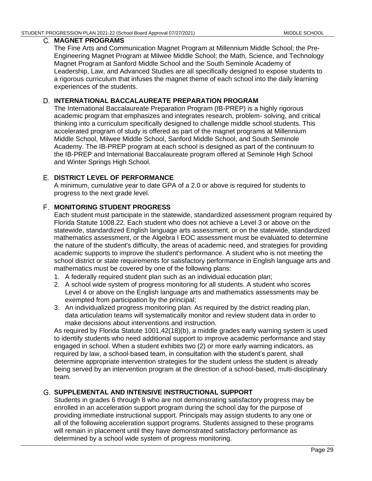#### <span id="page-34-0"></span>**MAGNET PROGRAMS**

The Fine Arts and Communication Magnet Program at Millennium Middle School; the Pre-Engineering Magnet Program at Milwee Middle School; the Math, Science, and Technology Magnet Program at Sanford Middle School and the South Seminole Academy of Leadership, Law, and Advanced Studies are all specifically designed to expose students to a rigorous curriculum that infuses the magnet theme of each school into the daily learning experiences of the students.

### <span id="page-34-1"></span>**INTERNATIONAL BACCALAUREATE PREPARATION PROGRAM**

The International Baccalaureate Preparation Program (IB-PREP) is a highly rigorous academic program that emphasizes and integrates research, problem- solving, and critical thinking into a curriculum specifically designed to challenge middle school students. This accelerated program of study is offered as part of the magnet programs at Millennium Middle School, Milwee Middle School, Sanford Middle School, and South Seminole Academy. The IB-PREP program at each school is designed as part of the continuum to the IB-PREP and International Baccalaureate program offered at Seminole High School and Winter Springs High School.

### <span id="page-34-2"></span>**DISTRICT LEVEL OF PERFORMANCE**

A minimum, cumulative year to date GPA of a 2.0 or above is required for students to progress to the next grade level.

# <span id="page-34-3"></span>**MONITORING STUDENT PROGRESS**

Each student must participate in the statewide, standardized assessment program required by Florida Statute 1008.22. Each student who does not achieve a Level 3 or above on the statewide, standardized English language arts assessment, or on the statewide, standardized mathematics assessment, or the Algebra I EOC assessment must be evaluated to determine the nature of the student's difficulty, the areas of academic need, and strategies for providing academic supports to improve the student's performance. A student who is not meeting the school district or state requirements for satisfactory performance in English language arts and mathematics must be covered by one of the following plans:

- 1. A federally required student plan such as an individual education plan;
- 2. A school wide system of progress monitoring for all students. A student who scores Level 4 or above on the English language arts and mathematics assessments may be exempted from participation by the principal;
- 3. An individualized progress monitoring plan. As required by the district reading plan, data articulation teams will systematically monitor and review student data in order to make decisions about interventions and instruction.

As required by Florida Statute 1001.42(18)(b), a middle grades early warning system is used to identify students who need additional support to improve academic performance and stay engaged in school. When a student exhibits two (2) or more early warning indicators, as required by law, a school-based team, in consultation with the student's parent, shall determine appropriate intervention strategies for the student unless the student is already being served by an intervention program at the direction of a school-based, multi-disciplinary team.

#### <span id="page-34-4"></span>**SUPPLEMENTAL AND INTENSIVE INSTRUCTIONAL SUPPORT**

Students in grades 6 through 8 who are not demonstrating satisfactory progress may be enrolled in an acceleration support program during the school day for the purpose of providing immediate instructional support. Principals may assign students to any one or all of the following acceleration support programs. Students assigned to these programs will remain in placement until they have demonstrated satisfactory performance as determined by a school wide system of progress monitoring.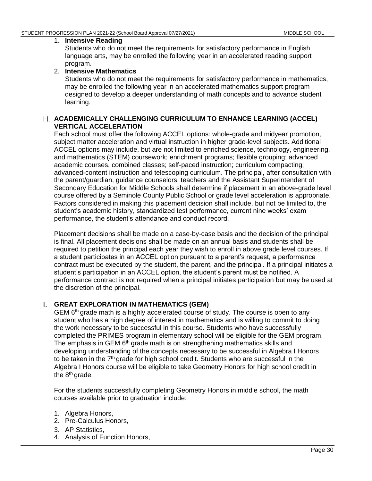#### 1. **Intensive Reading**

Students who do not meet the requirements for satisfactory performance in English language arts, may be enrolled the following year in an accelerated reading support program.

#### 2. **Intensive Mathematics**

Students who do not meet the requirements for satisfactory performance in mathematics, may be enrolled the following year in an accelerated mathematics support program designed to develop a deeper understanding of math concepts and to advance student learning.

#### <span id="page-35-0"></span>**ACADEMICALLY CHALLENGING CURRICULUM TO ENHANCE LEARNING (ACCEL) VERTICAL ACCELERATION**

Each school must offer the following ACCEL options: whole-grade and midyear promotion, subject matter acceleration and virtual instruction in higher grade-level subjects. Additional ACCEL options may include, but are not limited to enriched science, technology, engineering, and mathematics (STEM) coursework; enrichment programs; flexible grouping; advanced academic courses, combined classes; self-paced instruction; curriculum compacting; advanced-content instruction and telescoping curriculum. The principal, after consultation with the parent/guardian, guidance counselors, teachers and the Assistant Superintendent of Secondary Education for Middle Schools shall determine if placement in an above-grade level course offered by a Seminole County Public School or grade level acceleration is appropriate. Factors considered in making this placement decision shall include, but not be limited to, the student's academic history, standardized test performance, current nine weeks' exam performance, the student's attendance and conduct record.

Placement decisions shall be made on a case-by-case basis and the decision of the principal is final. All placement decisions shall be made on an annual basis and students shall be required to petition the principal each year they wish to enroll in above grade level courses. If a student participates in an ACCEL option pursuant to a parent's request, a performance contract must be executed by the student, the parent, and the principal. If a principal initiates a student's participation in an ACCEL option, the student's parent must be notified. A performance contract is not required when a principal initiates participation but may be used at the discretion of the principal.

### <span id="page-35-1"></span>**GREAT EXPLORATION IN MATHEMATICS (GEM)**

GEM  $6<sup>th</sup>$  grade math is a highly accelerated course of study. The course is open to any student who has a high degree of interest in mathematics and is willing to commit to doing the work necessary to be successful in this course. Students who have successfully completed the PRIMES program in elementary school will be eligible for the GEM program. The emphasis in GEM 6<sup>th</sup> grade math is on strengthening mathematics skills and developing understanding of the concepts necessary to be successful in Algebra I Honors to be taken in the 7<sup>th</sup> grade for high school credit. Students who are successful in the Algebra I Honors course will be eligible to take Geometry Honors for high school credit in the 8<sup>th</sup> grade.

For the students successfully completing Geometry Honors in middle school, the math courses available prior to graduation include:

- 1. Algebra Honors,
- 2. Pre-Calculus Honors,
- 3. AP Statistics,
- 4. Analysis of Function Honors,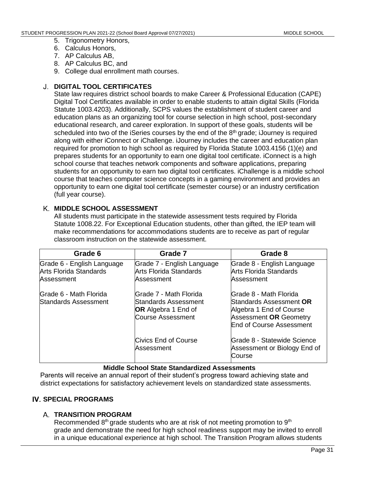- 5. Trigonometry Honors,
- 6. Calculus Honors,
- 7. AP Calculus AB,
- 8. AP Calculus BC, and
- 9. College dual enrollment math courses.

# **DIGITAL TOOL CERTIFICATES**

State law requires district school boards to make Career & Professional Education (CAPE) Digital Tool Certificates available in order to enable students to attain digital Skills (Florida Statute 1003.4203). Additionally, SCPS values the establishment of student career and education plans as an organizing tool for course selection in high school, post-secondary educational research, and career exploration. In support of these goals, students will be scheduled into two of the iSeries courses by the end of the  $8<sup>th</sup>$  grade; iJourney is required along with either iConnect or iChallenge. iJourney includes the career and education plan required for promotion to high school as required by Florida Statute 1003.4156 (1)(e) and prepares students for an opportunity to earn one digital tool certificate. iConnect is a high school course that teaches network components and software applications, preparing students for an opportunity to earn two digital tool certificates. iChallenge is a middle school course that teaches computer science concepts in a gaming environment and provides an opportunity to earn one digital tool certificate (semester course) or an industry certification (full year course).

# **MIDDLE SCHOOL ASSESSMENT**

All students must participate in the statewide assessment tests required by Florida Statute 1008.22. For Exceptional Education students, other than gifted, the IEP team will make recommendations for accommodations students are to receive as part of regular classroom instruction on the statewide assessment.

| Grade 6                                                                   | Grade 7                                                                                                   | Grade 8                                                                                                                                           |
|---------------------------------------------------------------------------|-----------------------------------------------------------------------------------------------------------|---------------------------------------------------------------------------------------------------------------------------------------------------|
| Grade 6 - English Language<br><b>Arts Florida Standards</b><br>Assessment | Grade 7 - English Language<br>Arts Florida Standards<br>Assessment                                        | Grade 8 - English Language<br>Arts Florida Standards<br>Assessment                                                                                |
| Grade 6 - Math Florida<br>Standards Assessment                            | Grade 7 - Math Florida<br>lStandards Assessment<br><b>OR</b> Algebra 1 End of<br><b>Course Assessment</b> | lGrade 8 - Math Florida<br>Standards Assessment OR<br>Algebra 1 End of Course<br><b>Assessment OR Geometry</b><br><b>End of Course Assessment</b> |
|                                                                           | Civics End of Course<br>Assessment                                                                        | Grade 8 - Statewide Science<br>Assessment or Biology End of<br>Course                                                                             |

**Middle School State Standardized Assessments**

Parents will receive an annual report of their student's progress toward achieving state and district expectations for satisfactory achievement levels on standardized state assessments.

# **IV. SPECIAL PROGRAMS**

# **A. TRANSITION PROGRAM**

Recommended  $8<sup>th</sup>$  grade students who are at risk of not meeting promotion to  $9<sup>th</sup>$ grade and demonstrate the need for high school readiness support may be invited to enroll in a unique educational experience at high school. The Transition Program allows students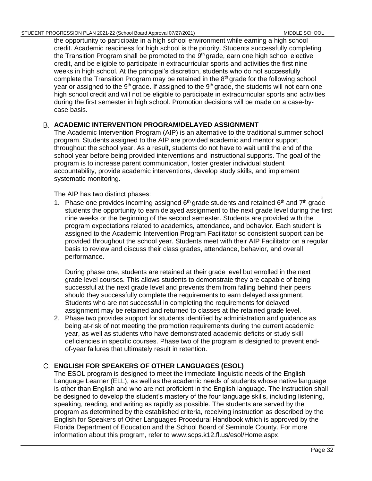the opportunity to participate in a high school environment while earning a high school credit. Academic readiness for high school is the priority. Students successfully completing the Transition Program shall be promoted to the 9<sup>th</sup> grade, earn one high school elective credit, and be eligible to participate in extracurricular sports and activities the first nine weeks in high school. At the principal's discretion, students who do not successfully complete the Transition Program may be retained in the  $8<sup>th</sup>$  grade for the following school year or assigned to the 9<sup>th</sup> grade. If assigned to the 9<sup>th</sup> grade, the students will not earn one high school credit and will not be eligible to participate in extracurricular sports and activities during the first semester in high school. Promotion decisions will be made on a case-bycase basis.

# **ACADEMIC INTERVENTION PROGRAM/DELAYED ASSIGNMENT**

The Academic Intervention Program (AIP) is an alternative to the traditional summer school program. Students assigned to the AIP are provided academic and mentor support throughout the school year. As a result, students do not have to wait until the end of the school year before being provided interventions and instructional supports. The goal of the program is to increase parent communication, foster greater individual student accountability, provide academic interventions, develop study skills, and implement systematic monitoring.

The AIP has two distinct phases:

1. Phase one provides incoming assigned  $6<sup>th</sup>$  grade students and retained  $6<sup>th</sup>$  and  $7<sup>th</sup>$  grade students the opportunity to earn delayed assignment to the next grade level during the first nine weeks or the beginning of the second semester. Students are provided with the program expectations related to academics, attendance, and behavior. Each student is assigned to the Academic Intervention Program Facilitator so consistent support can be provided throughout the school year. Students meet with their AIP Facilitator on a regular basis to review and discuss their class grades, attendance, behavior, and overall performance.

During phase one, students are retained at their grade level but enrolled in the next grade level courses. This allows students to demonstrate they are capable of being successful at the next grade level and prevents them from falling behind their peers should they successfully complete the requirements to earn delayed assignment. Students who are not successful in completing the requirements for delayed assignment may be retained and returned to classes at the retained grade level.

2. Phase two provides support for students identified by administration and guidance as being at-risk of not meeting the promotion requirements during the current academic year, as well as students who have demonstrated academic deficits or study skill deficiencies in specific courses. Phase two of the program is designed to prevent endof-year failures that ultimately result in retention.

# **ENGLISH FOR SPEAKERS OF OTHER LANGUAGES (ESOL)**

The ESOL program is designed to meet the immediate linguistic needs of the English Language Learner (ELL), as well as the academic needs of students whose native language is other than English and who are not proficient in the English language. The instruction shall be designed to develop the student's mastery of the four language skills, including listening, speaking, reading, and writing as rapidly as possible. The students are served by the program as determined by the established criteria, receiving instruction as described by the English for Speakers of Other Languages Procedural Handbook which is approved by the Florida Department of Education and the School Board of Seminole County. For more information about this program, refer to www.scps.k12.fl.us/esol/Home.aspx.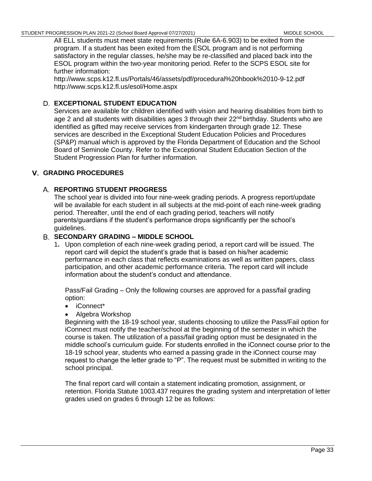All ELL students must meet state requirements (Rule 6A-6.903) to be exited from the program. If a student has been exited from the ESOL program and is not performing satisfactory in the regular classes, he/she may be re-classified and placed back into the ESOL program within the two-year monitoring period. Refer to the SCPS ESOL site for further information:

http://www.scps.k12.fl.us/Portals/46/assets/pdf/procedural%20hbook%2010-9-12.pdf http://www.scps.k12.fl.us/esol/Home.aspx

# **EXCEPTIONAL STUDENT EDUCATION**

Services are available for children identified with vision and hearing disabilities from birth to age 2 and all students with disabilities ages 3 through their 22<sup>nd</sup> birthday. Students who are identified as gifted may receive services from kindergarten through grade 12. These services are described in the Exceptional Student Education Policies and Procedures [\(SP&P\)](http://www.scps.k12.fl.us/Portals/53/assets/pdf/PolicyFiles/ESSS_PP.pdf) manual which is approved by the Florida Department of Education and the School Board of Seminole County. Refer to the Exceptional Student Education Section of the Student Progression Plan for further information.

# **GRADING PROCEDURES**

# **REPORTING STUDENT PROGRESS**

The school year is divided into four nine-week grading periods. A progress report/update will be available for each student in all subjects at the mid-point of each nine-week grading period. Thereafter, until the end of each grading period, teachers will notify parents/guardians if the student's performance drops significantly per the school's guidelines.

### **SECONDARY GRADING – MIDDLE SCHOOL**

1**.** Upon completion of each nine-week grading period, a report card will be issued. The report card will depict the student's grade that is based on his/her academic performance in each class that reflects examinations as well as written papers, class participation, and other academic performance criteria. The report card will include information about the student's conduct and attendance.

Pass/Fail Grading – Only the following courses are approved for a pass/fail grading option:

- iConnect\*
- Algebra Workshop

Beginning with the 18-19 school year, students choosing to utilize the Pass/Fail option for iConnect must notify the teacher/school at the beginning of the semester in which the course is taken. The utilization of a pass/fail grading option must be designated in the middle school's curriculum guide. For students enrolled in the iConnect course prior to the 18-19 school year, students who earned a passing grade in the iConnect course may request to change the letter grade to "P". The request must be submitted in writing to the school principal.

The final report card will contain a statement indicating promotion, assignment, or retention. Florida Statute 1003.437 requires the grading system and interpretation of letter grades used on grades 6 through 12 be as follows: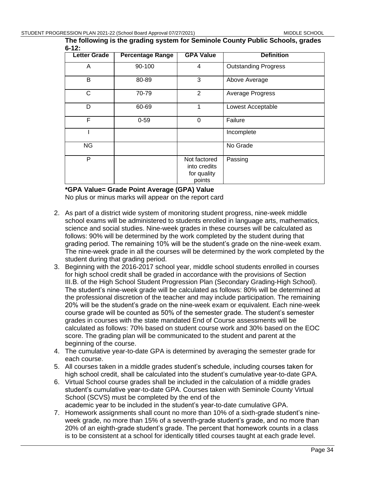**The following is the grading system for Seminole County Public Schools, grades 6-12:**

| <b>Letter Grade</b> | <b>Percentage Range</b> | <b>GPA Value</b>                                      | <b>Definition</b>           |
|---------------------|-------------------------|-------------------------------------------------------|-----------------------------|
| Α                   | 90-100                  | $\overline{4}$                                        | <b>Outstanding Progress</b> |
| B                   | 80-89                   | 3                                                     | Above Average               |
| $\mathsf{C}$        | 70-79                   | 2                                                     | Average Progress            |
| D                   | 60-69                   |                                                       | Lowest Acceptable           |
| F                   | $0 - 59$                | 0                                                     | Failure                     |
|                     |                         |                                                       | Incomplete                  |
| <b>NG</b>           |                         |                                                       | No Grade                    |
| P                   |                         | Not factored<br>into credits<br>for quality<br>points | Passing                     |

**\*GPA Value= Grade Point Average (GPA) Value**

No plus or minus marks will appear on the report card

- 2. As part of a district wide system of monitoring student progress, nine-week middle school exams will be administered to students enrolled in language arts, mathematics, science and social studies. Nine-week grades in these courses will be calculated as follows: 90% will be determined by the work completed by the student during that grading period. The remaining 10% will be the student's grade on the nine-week exam. The nine-week grade in all the courses will be determined by the work completed by the student during that grading period.
- 3. Beginning with the 2016-2017 school year, middle school students enrolled in courses for high school credit shall be graded in accordance with the provisions of Section III.B. of the High School Student Progression Plan (Secondary Grading-High School). The student's nine-week grade will be calculated as follows: 80% will be determined at the professional discretion of the teacher and may include participation. The remaining 20% will be the student's grade on the nine-week exam or equivalent. Each nine-week course grade will be counted as 50% of the semester grade. The student's semester grades in courses with the state mandated End of Course assessments will be calculated as follows: 70% based on student course work and 30% based on the EOC score. The grading plan will be communicated to the student and parent at the beginning of the course.
- 4. The cumulative year-to-date GPA is determined by averaging the semester grade for each course.
- 5. All courses taken in a middle grades student's schedule, including courses taken for high school credit, shall be calculated into the student's cumulative year-to-date GPA.
- 6. Virtual School course grades shall be included in the calculation of a middle grades student's cumulative year-to-date GPA. Courses taken with Seminole County Virtual School (SCVS) must be completed by the end of the academic year to be included in the student's year-to-date cumulative GPA.
- 7. Homework assignments shall count no more than 10% of a sixth-grade student's nineweek grade, no more than 15% of a seventh-grade student's grade, and no more than 20% of an eighth-grade student's grade. The percent that homework counts in a class is to be consistent at a school for identically titled courses taught at each grade level.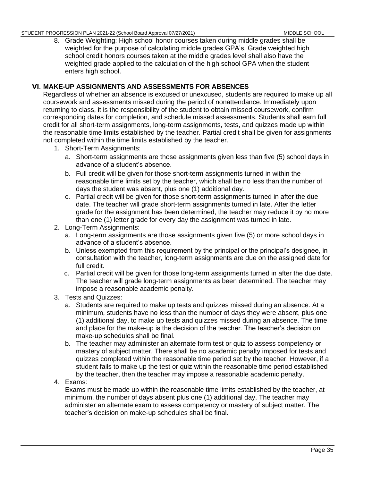8. Grade Weighting: High school honor courses taken during middle grades shall be weighted for the purpose of calculating middle grades GPA's. Grade weighted high school credit honors courses taken at the middle grades level shall also have the weighted grade applied to the calculation of the high school GPA when the student enters high school.

# **MAKE-UP ASSIGNMENTS AND ASSESSMENTS FOR ABSENCES**

Regardless of whether an absence is excused or unexcused, students are required to make up all coursework and assessments missed during the period of nonattendance. Immediately upon returning to class, it is the responsibility of the student to obtain missed coursework, confirm corresponding dates for completion, and schedule missed assessments. Students shall earn full credit for all short-term assignments, long-term assignments, tests, and quizzes made up within the reasonable time limits established by the teacher. Partial credit shall be given for assignments not completed within the time limits established by the teacher.

- 1. Short-Term Assignments:
	- a. Short-term assignments are those assignments given less than five (5) school days in advance of a student's absence.
	- b. Full credit will be given for those short-term assignments turned in within the reasonable time limits set by the teacher, which shall be no less than the number of days the student was absent, plus one (1) additional day.
	- c. Partial credit will be given for those short-term assignments turned in after the due date. The teacher will grade short-term assignments turned in late. After the letter grade for the assignment has been determined, the teacher may reduce it by no more than one (1) letter grade for every day the assignment was turned in late.
- 2. Long-Term Assignments:
	- a. Long-term assignments are those assignments given five (5) or more school days in advance of a student's absence.
	- b. Unless exempted from this requirement by the principal or the principal's designee, in consultation with the teacher, long-term assignments are due on the assigned date for full credit.
	- c. Partial credit will be given for those long-term assignments turned in after the due date. The teacher will grade long-term assignments as been determined. The teacher may impose a reasonable academic penalty.
- 3. Tests and Quizzes:
	- a. Students are required to make up tests and quizzes missed during an absence. At a minimum, students have no less than the number of days they were absent, plus one (1) additional day, to make up tests and quizzes missed during an absence. The time and place for the make-up is the decision of the teacher. The teacher's decision on make-up schedules shall be final.
	- b. The teacher may administer an alternate form test or quiz to assess competency or mastery of subject matter. There shall be no academic penalty imposed for tests and quizzes completed within the reasonable time period set by the teacher. However, if a student fails to make up the test or quiz within the reasonable time period established by the teacher, then the teacher may impose a reasonable academic penalty.
- 4. Exams:

Exams must be made up within the reasonable time limits established by the teacher, at minimum, the number of days absent plus one (1) additional day. The teacher may administer an alternate exam to assess competency or mastery of subject matter. The teacher's decision on make-up schedules shall be final.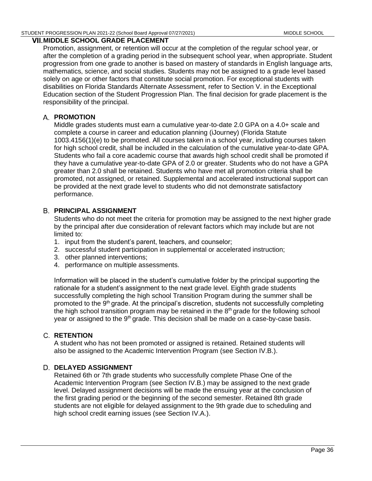### **MIDDLE SCHOOL GRADE PLACEMENT**

Promotion, assignment, or retention will occur at the completion of the regular school year, or after the completion of a grading period in the subsequent school year, when appropriate. Student progression from one grade to another is based on mastery of standards in English language arts, mathematics, science, and social studies. Students may not be assigned to a grade level based solely on age or other factors that constitute social promotion. For exceptional students with disabilities on Florida Standards Alternate Assessment, refer to Section V. in the Exceptional Education section of the Student Progression Plan. The final decision for grade placement is the responsibility of the principal.

# **PROMOTION**

Middle grades students must earn a cumulative year-to-date 2.0 GPA on a 4.0+ scale and complete a course in career and education planning (iJourney) (Florida Statute 1003.4156(1)(e) to be promoted. All courses taken in a school year, including courses taken for high school credit, shall be included in the calculation of the cumulative year-to-date GPA. Students who fail a core academic course that awards high school credit shall be promoted if they have a cumulative year-to-date GPA of 2.0 or greater. Students who do not have a GPA greater than 2.0 shall be retained. Students who have met all promotion criteria shall be promoted, not assigned, or retained. Supplemental and accelerated instructional support can be provided at the next grade level to students who did not demonstrate satisfactory performance.

# **PRINCIPAL ASSIGNMENT**

Students who do not meet the criteria for promotion may be assigned to the next higher grade by the principal after due consideration of relevant factors which may include but are not limited to:

- 1. input from the student's parent, teachers, and counselor;
- 2. successful student participation in supplemental or accelerated instruction;
- 3. other planned interventions;
- 4. performance on multiple assessments.

Information will be placed in the student's cumulative folder by the principal supporting the rationale for a student's assignment to the next grade level. Eighth grade students successfully completing the high school Transition Program during the summer shall be promoted to the 9<sup>th</sup> grade. At the principal's discretion, students not successfully completing the high school transition program may be retained in the 8<sup>th</sup> grade for the following school year or assigned to the 9<sup>th</sup> grade. This decision shall be made on a case-by-case basis.

# **RETENTION**

A student who has not been promoted or assigned is retained. Retained students will also be assigned to the Academic Intervention Program (see Section IV.B.).

# **D. DELAYED ASSIGNMENT**

Retained 6th or 7th grade students who successfully complete Phase One of the Academic Intervention Program (see Section IV.B.) may be assigned to the next grade level. Delayed assignment decisions will be made the ensuing year at the conclusion of the first grading period or the beginning of the second semester. Retained 8th grade students are not eligible for delayed assignment to the 9th grade due to scheduling and high school credit earning issues (see Section IV.A.).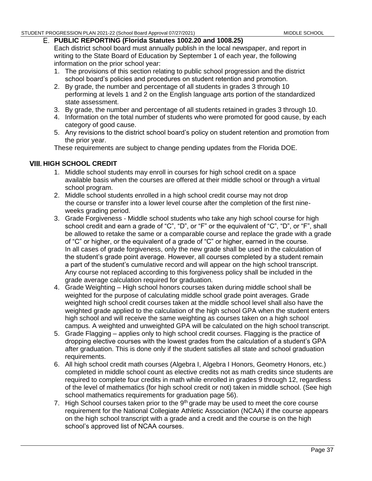# **PUBLIC REPORTING (Florida Statutes 1002.20 and 1008.25)**

Each district school board must annually publish in the local newspaper, and report in writing to the State Board of Education by September 1 of each year, the following information on the prior school year:

- 1. The provisions of this section relating to public school progression and the district school board's policies and procedures on student retention and promotion.
- 2. By grade, the number and percentage of all students in grades 3 through 10 performing at levels 1 and 2 on the English language arts portion of the standardized state assessment.
- 3. By grade, the number and percentage of all students retained in grades 3 through 10.
- 4. Information on the total number of students who were promoted for good cause, by each category of good cause.
- 5. Any revisions to the district school board's policy on student retention and promotion from the prior year.

These requirements are subject to change pending updates from the Florida DOE.

# **HIGH SCHOOL CREDIT**

- 1. Middle school students may enroll in courses for high school credit on a space available basis when the courses are offered at their middle school or through a virtual school program.
- 2. Middle school students enrolled in a high school credit course may not drop the course or transfer into a lower level course after the completion of the first nineweeks grading period.
- 3. Grade Forgiveness Middle school students who take any high school course for high school credit and earn a grade of "C", "D", or "F" or the equivalent of "C", "D", or "F", shall be allowed to retake the same or a comparable course and replace the grade with a grade of "C" or higher, or the equivalent of a grade of "C" or higher, earned in the course. In all cases of grade forgiveness, only the new grade shall be used in the calculation of the student's grade point average. However, all courses completed by a student remain a part of the student's cumulative record and will appear on the high school transcript. Any course not replaced according to this forgiveness policy shall be included in the grade average calculation required for graduation.
- 4. Grade Weighting High school honors courses taken during middle school shall be weighted for the purpose of calculating middle school grade point averages. Grade weighted high school credit courses taken at the middle school level shall also have the weighted grade applied to the calculation of the high school GPA when the student enters high school and will receive the same weighting as courses taken on a high school campus. A weighted and unweighted GPA will be calculated on the high school transcript.
- 5. Grade Flagging applies only to high school credit courses. Flagging is the practice of dropping elective courses with the lowest grades from the calculation of a student's GPA after graduation. This is done only if the student satisfies all state and school graduation requirements.
- 6. All high school credit math courses (Algebra I, Algebra I Honors, Geometry Honors, etc.) completed in middle school count as elective credits not as math credits since students are required to complete four credits in math while enrolled in grades 9 through 12, regardless of the level of mathematics (for high school credit or not) taken in middle school. (See high school mathematics requirements for graduation page 56).
- 7. High School courses taken prior to the  $9<sup>th</sup>$  grade may be used to meet the core course requirement for the National Collegiate Athletic Association (NCAA) if the course appears on the high school transcript with a grade and a credit and the course is on the high school's approved list of NCAA courses.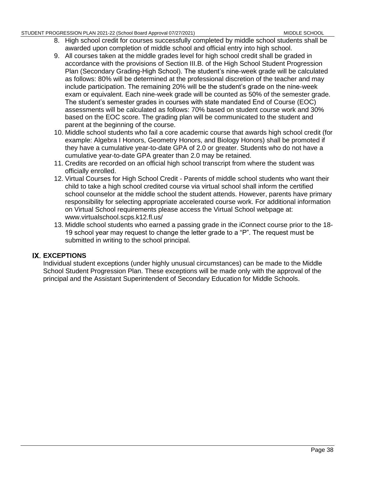- 8. High school credit for courses successfully completed by middle school students shall be awarded upon completion of middle school and official entry into high school.
- 9. All courses taken at the middle grades level for high school credit shall be graded in accordance with the provisions of Section III.B. of the High School Student Progression Plan (Secondary Grading-High School). The student's nine-week grade will be calculated as follows: 80% will be determined at the professional discretion of the teacher and may include participation. The remaining 20% will be the student's grade on the nine-week exam or equivalent. Each nine-week grade will be counted as 50% of the semester grade. The student's semester grades in courses with state mandated End of Course (EOC) assessments will be calculated as follows: 70% based on student course work and 30% based on the EOC score. The grading plan will be communicated to the student and parent at the beginning of the course.
- 10. Middle school students who fail a core academic course that awards high school credit (for example: Algebra I Honors, Geometry Honors, and Biology Honors) shall be promoted if they have a cumulative year-to-date GPA of 2.0 or greater. Students who do not have a cumulative year-to-date GPA greater than 2.0 may be retained.
- 11. Credits are recorded on an official high school transcript from where the student was officially enrolled.
- 12. Virtual Courses for High School Credit Parents of middle school students who want their child to take a high school credited course via virtual school shall inform the certified school counselor at the middle school the student attends. However, parents have primary responsibility for selecting appropriate accelerated course work. For additional information on Virtual School requirements please access the Virtual School webpage at: www.virtualschool.scps.k12.fl.us/
- 13. Middle school students who earned a passing grade in the iConnect course prior to the 18- 19 school year may request to change the letter grade to a "P". The request must be submitted in writing to the school principal.

# **IX. EXCEPTIONS**

Individual student exceptions (under highly unusual circumstances) can be made to the Middle School Student Progression Plan. These exceptions will be made only with the approval of the principal and the Assistant Superintendent of Secondary Education for Middle Schools.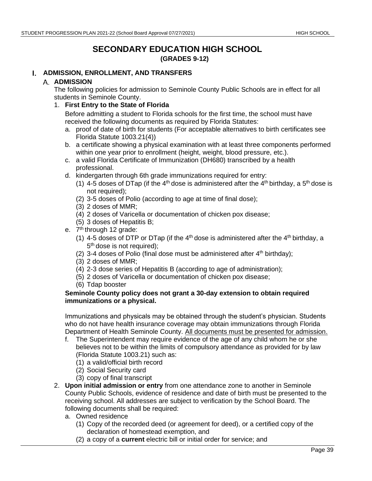# **SECONDARY EDUCATION HIGH SCHOOL (GRADES 9-12)**

# **ADMISSION, ENROLLMENT, AND TRANSFERS**

# **A. ADMISSION**

The following policies for admission to Seminole County Public Schools are in effect for all students in Seminole County.

1. **First Entry to the State of Florida**

Before admitting a student to Florida schools for the first time, the school must have received the following documents as required by Florida Statutes:

- a. proof of date of birth for students (For acceptable alternatives to birth certificates see Florida Statute 1003.21(4))
- b. a certificate showing a physical examination with at least three components performed within one year prior to enrollment (height, weight, blood pressure, etc.).
- c. a valid Florida Certificate of Immunization (DH680) transcribed by a health professional.
- d. kindergarten through 6th grade immunizations required for entry:
	- (1) 4-5 doses of DTap (if the 4<sup>th</sup> dose is administered after the 4<sup>th</sup> birthday, a 5<sup>th</sup> dose is not required);
	- (2) 3-5 doses of Polio (according to age at time of final dose);
	- (3) 2 doses of MMR;
	- (4) 2 doses of Varicella or documentation of chicken pox disease;
	- (5) 3 doses of Hepatitis B;
- e. 7<sup>th</sup> through 12 grade:
	- (1) 4-5 doses of DTP or DTap (if the  $4<sup>th</sup>$  dose is administered after the  $4<sup>th</sup>$  birthday, a 5<sup>th</sup> dose is not required);
	- (2) 3-4 doses of Polio (final dose must be administered after  $4<sup>th</sup>$  birthday);
	- (3) 2 doses of MMR;
	- (4) 2-3 dose series of Hepatitis B (according to age of administration);
	- (5) 2 doses of Varicella or documentation of chicken pox disease;
	- (6) Tdap booster

#### **Seminole County policy does not grant a 30-day extension to obtain required immunizations or a physical.**

Immunizations and physicals may be obtained through the student's physician. Students who do not have health insurance coverage may obtain immunizations through Florida Department of Health Seminole County. All documents must be presented for admission.

- f. The Superintendent may require evidence of the age of any child whom he or she believes not to be within the limits of compulsory attendance as provided for by law (Florida Statute 1003.21) such as:
	- (1) a valid/official birth record
	- (2) Social Security card
	- (3) copy of final transcript
- 2. **Upon initial admission or entry** from one attendance zone to another in Seminole County Public Schools, evidence of residence and date of birth must be presented to the receiving school. All addresses are subject to verification by the School Board. The following documents shall be required:
	- a. Owned residence
		- (1) Copy of the recorded deed (or agreement for deed), or a certified copy of the declaration of homestead exemption, and
		- (2) a copy of a **current** electric bill or initial order for service; and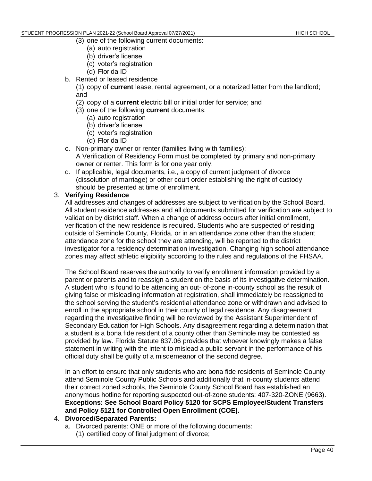- (3) one of the following current documents:
	- (a) auto registration
	- (b) driver's license
	- (c) voter's registration
	- (d) Florida ID
- b. Rented or leased residence
	- (1) copy of **current** lease, rental agreement, or a notarized letter from the landlord; and
	- (2) copy of a **current** electric bill or initial order for service; and
	- (3) one of the following **current** documents:
		- (a) auto registration
		- (b) driver's license
		- (c) voter's registration
		- (d) Florida ID
- c. Non-primary owner or renter (families living with families): A Verification of Residency Form must be completed by primary and non-primary owner or renter. This form is for one year only.
- d. If applicable, legal documents, i.e., a copy of current judgment of divorce (dissolution of marriage) or other court order establishing the right of custody should be presented at time of enrollment.

### 3. **Verifying Residence**

All addresses and changes of addresses are subject to verification by the School Board. All student residence addresses and all documents submitted for verification are subject to validation by district staff. When a change of address occurs after initial enrollment, verification of the new residence is required. Students who are suspected of residing outside of Seminole County, Florida, or in an attendance zone other than the student attendance zone for the school they are attending, will be reported to the district investigator for a residency determination investigation. Changing high school attendance zones may affect athletic eligibility according to the rules and regulations of the FHSAA.

The School Board reserves the authority to verify enrollment information provided by a parent or parents and to reassign a student on the basis of its investigative determination. A student who is found to be attending an out- of-zone in-county school as the result of giving false or misleading information at registration, shall immediately be reassigned to the school serving the student's residential attendance zone or withdrawn and advised to enroll in the appropriate school in their county of legal residence. Any disagreement regarding the investigative finding will be reviewed by the Assistant Superintendent of Secondary Education for High Schools. Any disagreement regarding a determination that a student is a bona fide resident of a county other than Seminole may be contested as provided by law. Florida Statute 837.06 provides that whoever knowingly makes a false statement in writing with the intent to mislead a public servant in the performance of his official duty shall be guilty of a misdemeanor of the second degree.

In an effort to ensure that only students who are bona fide residents of Seminole County attend Seminole County Public Schools and additionally that in-county students attend their correct zoned schools, the Seminole County School Board has established an anonymous hotline for reporting suspected out-of-zone students: 407-320-ZONE (9663). **Exceptions: See School Board [Policy 5120 f](http://www.scps.k12.fl.us/Portals/53/assets/pdf/PolicyFiles/boardpolicies.pdf)or SCPS Employee/Student Transfers and Policy 5121 for Controlled Open Enrollment (COE).**

# 4. **Divorced/Separated Parents:**

- a. Divorced parents: ONE or more of the following documents:
	- (1) certified copy of final judgment of divorce;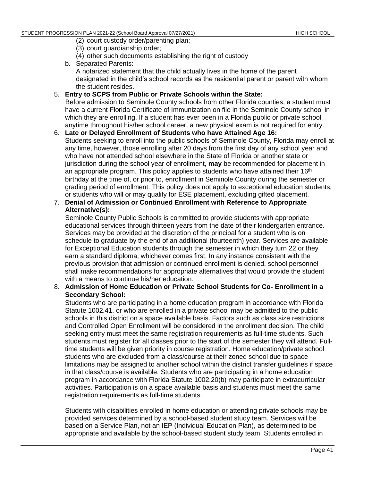- (2) court custody order/parenting plan;
- (3) court guardianship order;
- (4) other such documents establishing the right of custody
- b. Separated Parents: A notarized statement that the child actually lives in the home of the parent designated in the child's school records as the residential parent or parent with whom the student resides.

### 5. **Entry to SCPS from Public or Private Schools within the State:**

Before admission to Seminole County schools from other Florida counties, a student must have a current Florida Certificate of Immunization on file in the Seminole County school in which they are enrolling. If a student has ever been in a Florida public or private school anytime throughout his/her school career, a new physical exam is not required for entry.

- 6. **Late or Delayed Enrollment of Students who have Attained Age 16:** Students seeking to enroll into the public schools of Seminole County, Florida may enroll at any time, however, those enrolling after 20 days from the first day of any school year and who have not attended school elsewhere in the State of Florida or another state or jurisdiction during the school year of enrollment, **may** be recommended for placement in an appropriate program. This policy applies to students who have attained their  $16<sup>th</sup>$ birthday at the time of, or prior to, enrollment in Seminole County during the semester or grading period of enrollment. This policy does not apply to exceptional education students, or students who will or may qualify for ESE placement, excluding gifted placement.
- 7. **Denial of Admission or Continued Enrollment with Reference to Appropriate Alternative(s):**

Seminole County Public Schools is committed to provide students with appropriate educational services through thirteen years from the date of their kindergarten entrance. Services may be provided at the discretion of the principal for a student who is on schedule to graduate by the end of an additional (fourteenth) year. Services are available for Exceptional Education students through the semester in which they turn 22 or they earn a standard diploma, whichever comes first. In any instance consistent with the previous provision that admission or continued enrollment is denied, school personnel shall make recommendations for appropriate alternatives that would provide the student with a means to continue his/her education.

# 8. **Admission of Home Education or Private School Students for Co- Enrollment in a Secondary School:**

Students who are participating in a home education program in accordance with Florida Statute 1002.41, or who are enrolled in a private school may be admitted to the public schools in this district on a space available basis. Factors such as class size restrictions and Controlled Open Enrollment will be considered in the enrollment decision. The child seeking entry must meet the same registration requirements as full-time students. Such students must register for all classes prior to the start of the semester they will attend. Fulltime students will be given priority in course registration. Home education/private school students who are excluded from a class/course at their zoned school due to space limitations may be assigned to another school within the district transfer guidelines if space in that class/course is available. Students who are participating in a home education program in accordance with Florida Statute 1002.20(b) may participate in extracurricular activities. Participation is on a space available basis and students must meet the same registration requirements as full-time students.

Students with disabilities enrolled in home education or attending private schools may be provided services determined by a school-based student study team. Services will be based on a Service Plan, not an IEP (Individual Education Plan), as determined to be appropriate and available by the school-based student study team. Students enrolled in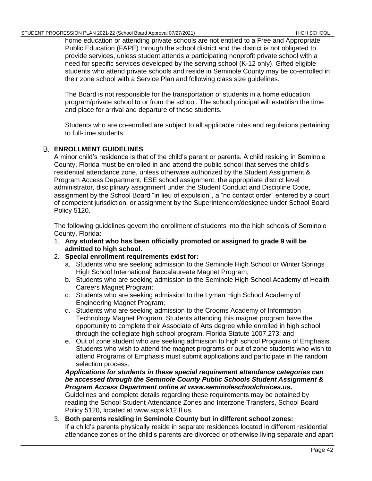home education or attending private schools are not entitled to a Free and Appropriate Public Education (FAPE) through the school district and the district is not obligated to provide services, unless student attends a participating nonprofit private school with a need for specific services developed by the serving school (K-12 only). Gifted eligible students who attend private schools and reside in Seminole County may be co-enrolled in their zone school with a Service Plan and following class size guidelines.

The Board is not responsible for the transportation of students in a home education program/private school to or from the school. The school principal will establish the time and place for arrival and departure of these students.

Students who are co-enrolled are subject to all applicable rules and regulations pertaining to full-time students.

# **ENROLLMENT GUIDELINES**

A minor child's residence is that of the child's parent or parents. A child residing in Seminole County, Florida must be enrolled in and attend the public school that serves the child's residential attendance zone, unless otherwise authorized by the Student Assignment & Program Access Department, ESE school assignment, the appropriate district level administrator, disciplinary assignment under the Student Conduct and Discipline Code, assignment by the School Board "in lieu of expulsion", a "no contact order" entered by a court of competent jurisdiction, or assignment by the Superintendent/designee under School [Board](http://www.scps.k12.fl.us/Portals/53/assets/pdf/PolicyFiles/boardpolicies.pdf)  [Policy 5120.](http://www.scps.k12.fl.us/Portals/53/assets/pdf/PolicyFiles/boardpolicies.pdf)

The following guidelines govern the enrollment of students into the high schools of Seminole County, Florida:

- 1. **Any student who has been officially promoted or assigned to grade 9 will be admitted to high school.**
- 2. **Special enrollment requirements exist for:**
	- a. Students who are seeking admission to the Seminole High School or Winter Springs High School International Baccalaureate Magnet Program;
	- b. Students who are seeking admission to the Seminole High School Academy of Health Careers Magnet Program;
	- c. Students who are seeking admission to the Lyman High School Academy of Engineering Magnet Program;
	- d. Students who are seeking admission to the Crooms Academy of Information Technology Magnet Program. Students attending this magnet program have the opportunity to complete their Associate of Arts degree while enrolled in high school through the collegiate high school program, Florida Statute 1007.273; and
	- e. Out of zone student who are seeking admission to high school Programs of Emphasis. Students who wish to attend the magnet programs or out of zone students who wish to attend Programs of Emphasis must submit applications and participate in the random selection process.

### *Applications for students in these special requirement attendance categories can be accessed through the Seminole County Public Schools Student Assignment & Program Access Department online at www.seminoleschoolchoices.us.*

Guidelines and complete details regarding these requirements may be obtained by reading the School Student Attendance Zones and Interzone Transfers, School Board Policy 5120, located at www.scps.k12.fl.us.

#### 3. **Both parents residing in Seminole County but in different school zones:** If a child's parents physically reside in separate residences located in different residential attendance zones or the child's parents are divorced or otherwise living separate and apart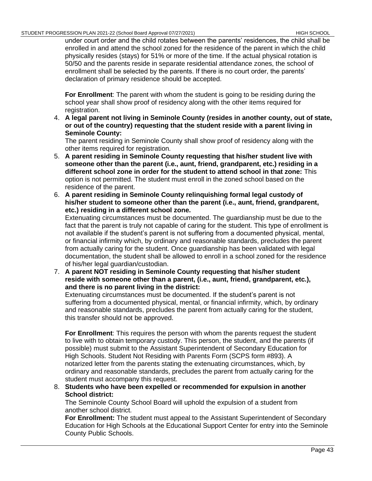under court order and the child rotates between the parents' residences, the child shall be enrolled in and attend the school zoned for the residence of the parent in which the child physically resides (stays) for 51% or more of the time. If the actual physical rotation is 50/50 and the parents reside in separate residential attendance zones, the school of enrollment shall be selected by the parents. If there is no court order, the parents' declaration of primary residence should be accepted.

**For Enrollment**: The parent with whom the student is going to be residing during the school year shall show proof of residency along with the other items required for registration.

4. **A legal parent not living in Seminole County (resides in another county, out of state, or out of the country) requesting that the student reside with a parent living in Seminole County:**

The parent residing in Seminole County shall show proof of residency along with the other items required for registration.

- 5. **A parent residing in Seminole County requesting that his/her student live with someone other than the parent (i.e., aunt, friend, grandparent, etc.) residing in a different school zone in order for the student to attend school in that zone:** This option is not permitted. The student must enroll in the zoned school based on the residence of the parent.
- 6. **A parent residing in Seminole County relinquishing formal legal custody of his/her student to someone other than the parent (i.e., aunt, friend, grandparent, etc.) residing in a different school zone.**

Extenuating circumstances must be documented. The guardianship must be due to the fact that the parent is truly not capable of caring for the student. This type of enrollment is not available if the student's parent is not suffering from a documented physical, mental, or financial infirmity which, by ordinary and reasonable standards, precludes the parent from actually caring for the student. Once guardianship has been validated with legal documentation, the student shall be allowed to enroll in a school zoned for the residence of his/her legal guardian/custodian.

7. **A parent NOT residing in Seminole County requesting that his/her student reside with someone other than a parent, (i.e., aunt, friend, grandparent, etc.), and there is no parent living in the district:**

Extenuating circumstances must be documented. If the student's parent is not suffering from a documented physical, mental, or financial infirmity, which, by ordinary and reasonable standards, precludes the parent from actually caring for the student, this transfer should not be approved.

**For Enrollment**: This requires the person with whom the parents request the student to live with to obtain temporary custody. This person, the student, and the parents (if possible) must submit to the Assistant Superintendent of Secondary Education for High Schools. Student Not Residing with Parents Form (SCPS form #893). A notarized letter from the parents stating the extenuating circumstances, which, by ordinary and reasonable standards, precludes the parent from actually caring for the student must accompany this request.

8. **Students who have been expelled or recommended for expulsion in another School district:**

The Seminole County School Board will uphold the expulsion of a student from another school district.

**For Enrollment:** The student must appeal to the Assistant Superintendent of Secondary Education for High Schools at the Educational Support Center for entry into the Seminole County Public Schools.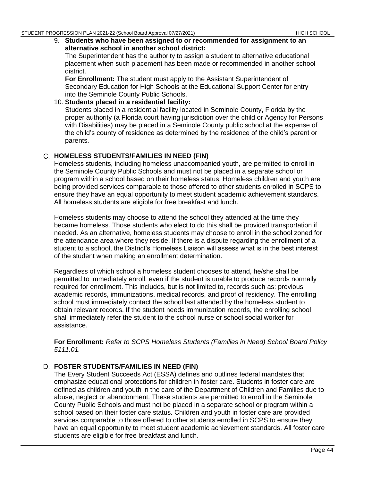9. **Students who have been assigned to or recommended for assignment to an alternative school in another school district:**

The Superintendent has the authority to assign a student to alternative educational placement when such placement has been made or recommended in another school district.

**For Enrollment:** The student must apply to the Assistant Superintendent of Secondary Education for High Schools at the Educational Support Center for entry into the Seminole County Public Schools.

10. **Students placed in a residential facility:** Students placed in a residential facility located in Seminole County, Florida by the proper authority (a Florida court having jurisdiction over the child or Agency for Persons with Disabilities) may be placed in a Seminole County public school at the expense of the child's county of residence as determined by the residence of the child's parent or parents.

# **HOMELESS STUDENTS/FAMILIES IN NEED (FIN)**

Homeless students, including homeless unaccompanied youth, are permitted to enroll in the Seminole County Public Schools and must not be placed in a separate school or program within a school based on their homeless status. Homeless children and youth are being provided services comparable to those offered to other students enrolled in SCPS to ensure they have an equal opportunity to meet student academic achievement standards. All homeless students are eligible for free breakfast and lunch.

Homeless students may choose to attend the school they attended at the time they became homeless. Those students who elect to do this shall be provided transportation if needed. As an alternative, homeless students may choose to enroll in the school zoned for the attendance area where they reside. If there is a dispute regarding the enrollment of a student to a school, the District's Homeless Liaison will assess what is in the best interest of the student when making an enrollment determination.

Regardless of which school a homeless student chooses to attend, he/she shall be permitted to immediately enroll, even if the student is unable to produce records normally required for enrollment. This includes, but is not limited to, records such as: previous academic records, immunizations, medical records, and proof of residency. The enrolling school must immediately contact the school last attended by the homeless student to obtain relevant records. If the student needs immunization records, the enrolling school shall immediately refer the student to the school nurse or school social worker for assistance.

**For Enrollment:** *Refer to SCPS Homeless Students (Families in Need) School Board Policy 5111.01.*

# **FOSTER STUDENTS/FAMILIES IN NEED (FIN)**

The Every Student Succeeds Act (ESSA) defines and outlines federal mandates that emphasize educational protections for children in foster care. Students in foster care are defined as children and youth in the care of the Department of Children and Families due to abuse, neglect or abandonment. These students are permitted to enroll in the Seminole County Public Schools and must not be placed in a separate school or program within a school based on their foster care status. Children and youth in foster care are provided services comparable to those offered to other students enrolled in SCPS to ensure they have an equal opportunity to meet student academic achievement standards. All foster care students are eligible for free breakfast and lunch.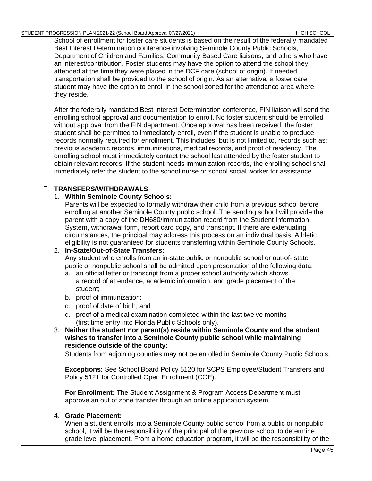School of enrollment for foster care students is based on the result of the federally mandated Best Interest Determination conference involving Seminole County Public Schools, Department of Children and Families, Community Based Care liaisons, and others who have an interest/contribution. Foster students may have the option to attend the school they attended at the time they were placed in the DCF care (school of origin). If needed, transportation shall be provided to the school of origin. As an alternative, a foster care student may have the option to enroll in the school zoned for the attendance area where they reside.

After the federally mandated Best Interest Determination conference, FIN liaison will send the enrolling school approval and documentation to enroll. No foster student should be enrolled without approval from the FIN department. Once approval has been received, the foster student shall be permitted to immediately enroll, even if the student is unable to produce records normally required for enrollment. This includes, but is not limited to, records such as: previous academic records, immunizations, medical records, and proof of residency. The enrolling school must immediately contact the school last attended by the foster student to obtain relevant records. If the student needs immunization records, the enrolling school shall immediately refer the student to the school nurse or school social worker for assistance.

# **TRANSFERS/WITHDRAWALS**

# 1. **Within Seminole County Schools:**

Parents will be expected to formally withdraw their child from a previous school before enrolling at another Seminole County public school. The sending school will provide the parent with a copy of the DH680/immunization record from the Student Information System, withdrawal form, report card copy, and transcript. If there are extenuating circumstances, the principal may address this process on an individual basis. Athletic eligibility is not guaranteed for students transferring within Seminole County Schools.

# 2. **In-State/Out-of-State Transfers:**

Any student who enrolls from an in-state public or nonpublic school or out-of- state public or nonpublic school shall be admitted upon presentation of the following data:

- a. an official letter or transcript from a proper school authority which shows a record of attendance, academic information, and grade placement of the student;
- b. proof of immunization;
- c. proof of date of birth; and
- d. proof of a medical examination completed within the last twelve months (first time entry into Florida Public Schools only).
- 3. **Neither the student nor parent(s) reside within Seminole County and the student wishes to transfer into a Seminole County public school while maintaining residence outside of the county:**

Students from adjoining counties may not be enrolled in Seminole County Public Schools.

**Exceptions:** See School Board [Policy 5120 f](http://www.scps.k12.fl.us/Portals/53/assets/pdf/PolicyFiles/boardpolicies.pdf)or SCPS Employee/Student Transfers and Policy 5121 for Controlled Open Enrollment (COE).

**For Enrollment:** The Student Assignment & Program Access Department must approve an out of zone transfer through an online application system.

# 4. **Grade Placement:**

When a student enrolls into a Seminole County public school from a public or nonpublic school, it will be the responsibility of the principal of the previous school to determine grade level placement. From a home education program, it will be the responsibility of the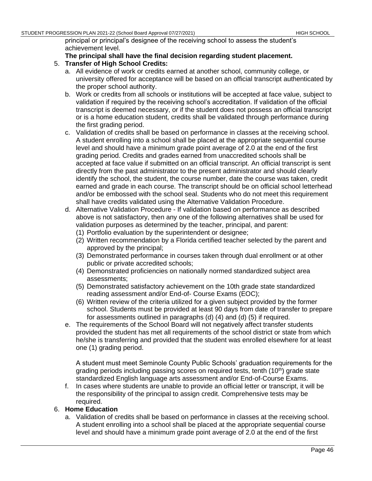principal or principal's designee of the receiving school to assess the student's achievement level.

### **The principal shall have the final decision regarding student placement.**

- 5. **Transfer of High School Credits:**
	- a. All evidence of work or credits earned at another school, community college, or university offered for acceptance will be based on an official transcript authenticated by the proper school authority.
	- b. Work or credits from all schools or institutions will be accepted at face value, subject to validation if required by the receiving school's accreditation. If validation of the official transcript is deemed necessary, or if the student does not possess an official transcript or is a home education student, credits shall be validated through performance during the first grading period.
	- c. Validation of credits shall be based on performance in classes at the receiving school. A student enrolling into a school shall be placed at the appropriate sequential course level and should have a minimum grade point average of 2.0 at the end of the first grading period. Credits and grades earned from unaccredited schools shall be accepted at face value if submitted on an official transcript. An official transcript is sent directly from the past administrator to the present administrator and should clearly identify the school, the student, the course number, date the course was taken, credit earned and grade in each course. The transcript should be on official school letterhead and/or be embossed with the school seal. Students who do not meet this requirement shall have credits validated using the Alternative Validation Procedure.
	- d. Alternative Validation Procedure If validation based on performance as described above is not satisfactory, then any one of the following alternatives shall be used for validation purposes as determined by the teacher, principal, and parent:
		- (1) Portfolio evaluation by the superintendent or designee;
		- (2) Written recommendation by a Florida certified teacher selected by the parent and approved by the principal;
		- (3) Demonstrated performance in courses taken through dual enrollment or at other public or private accredited schools;
		- (4) Demonstrated proficiencies on nationally normed standardized subject area assessments;
		- (5) Demonstrated satisfactory achievement on the 10th grade state standardized reading assessment and/or End-of- Course Exams (EOC);
		- (6) Written review of the criteria utilized for a given subject provided by the former school. Students must be provided at least 90 days from date of transfer to prepare for assessments outlined in paragraphs (d) (4) and (d) (5) if required.
	- e. The requirements of the School Board will not negatively affect transfer students provided the student has met all requirements of the school district or state from which he/she is transferring and provided that the student was enrolled elsewhere for at least one (1) grading period.

A student must meet Seminole County Public Schools' graduation requirements for the grading periods including passing scores on required tests, tenth  $(10<sup>th</sup>)$  grade state standardized English language arts assessment and/or End-of-Course Exams.

f. In cases where students are unable to provide an official letter or transcript, it will be the responsibility of the principal to assign credit. Comprehensive tests may be required.

#### 6. **Home Education**

a. Validation of credits shall be based on performance in classes at the receiving school. A student enrolling into a school shall be placed at the appropriate sequential course level and should have a minimum grade point average of 2.0 at the end of the first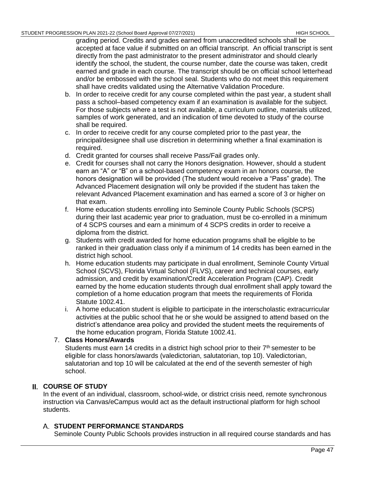grading period. Credits and grades earned from unaccredited schools shall be accepted at face value if submitted on an official transcript. An official transcript is sent directly from the past administrator to the present administrator and should clearly identify the school, the student, the course number, date the course was taken, credit earned and grade in each course. The transcript should be on official school letterhead and/or be embossed with the school seal. Students who do not meet this requirement shall have credits validated using the Alternative Validation Procedure.

- b. In order to receive credit for any course completed within the past year, a student shall pass a school–based competency exam if an examination is available for the subject. For those subjects where a test is not available, a curriculum outline, materials utilized, samples of work generated, and an indication of time devoted to study of the course shall be required.
- c. In order to receive credit for any course completed prior to the past year, the principal/designee shall use discretion in determining whether a final examination is required.
- d. Credit granted for courses shall receive Pass/Fail grades only.
- e. Credit for courses shall not carry the Honors designation. However, should a student earn an "A" or "B" on a school-based competency exam in an honors course, the honors designation will be provided (The student would receive a "Pass" grade). The Advanced Placement designation will only be provided if the student has taken the relevant Advanced Placement examination and has earned a score of 3 or higher on that exam.
- f. Home education students enrolling into Seminole County Public Schools (SCPS) during their last academic year prior to graduation, must be co-enrolled in a minimum of 4 SCPS courses and earn a minimum of 4 SCPS credits in order to receive a diploma from the district.
- g. Students with credit awarded for home education programs shall be eligible to be ranked in their graduation class only if a minimum of 14 credits has been earned in the district high school.
- h. Home education students may participate in dual enrollment, Seminole County Virtual School (SCVS), Florida Virtual School (FLVS), career and technical courses, early admission, and credit by examination/Credit Acceleration Program (CAP). Credit earned by the home education students through dual enrollment shall apply toward the completion of a home education program that meets the requirements of Florida Statute 1002.41.
- i. A home education student is eligible to participate in the interscholastic extracurricular activities at the public school that he or she would be assigned to attend based on the district's attendance area policy and provided the student meets the requirements of the home education program, Florida Statute 1002.41.

# 7. **Class Honors/Awards**

Students must earn 14 credits in a district high school prior to their  $7<sup>th</sup>$  semester to be eligible for class honors/awards (valedictorian, salutatorian, top 10). Valedictorian, salutatorian and top 10 will be calculated at the end of the seventh semester of high school.

# **COURSE OF STUDY**

In the event of an individual, classroom, school-wide, or district crisis need, remote synchronous instruction via Canvas/eCampus would act as the default instructional platform for high school students.

# **STUDENT PERFORMANCE STANDARDS**

Seminole County Public Schools provides instruction in all required course standards and has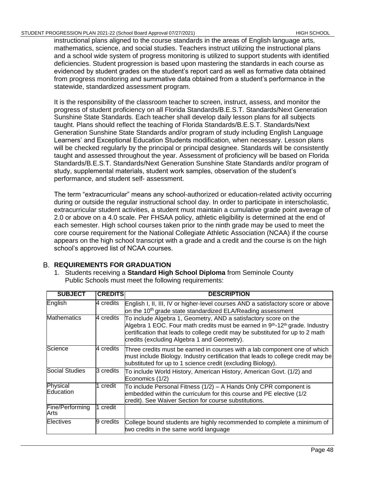#### STUDENT PROGRESSION PLAN 2021-22 (School Board Approval 07/27/2021) HIGH SCHOOL HIGH SCHOOL

instructional plans aligned to the course standards in the areas of English language arts, mathematics, science, and social studies. Teachers instruct utilizing the instructional plans and a school wide system of progress monitoring is utilized to support students with identified deficiencies. Student progression is based upon mastering the standards in each course as evidenced by student grades on the student's report card as well as formative data obtained from progress monitoring and summative data obtained from a student's performance in the statewide, standardized assessment program.

It is the responsibility of the classroom teacher to screen, instruct, assess, and monitor the progress of student proficiency on all Florida Standards/B.E.S.T. Standards/Next Generation Sunshine State Standards. Each teacher shall develop daily lesson plans for all subjects taught. Plans should reflect the teaching of Florida Standards/B.E.S.T. Standards/Next Generation Sunshine State Standards and/or program of study including English Language Learners' and Exceptional Education Students modification, when necessary. Lesson plans will be checked regularly by the principal or principal designee. Standards will be consistently taught and assessed throughout the year. Assessment of proficiency will be based on Florida Standards/B.E.S.T. Standards/Next Generation Sunshine State Standards and/or program of study, supplemental materials, student work samples, observation of the student's performance, and student self- assessment.

The term "extracurricular" means any school-authorized or education-related activity occurring during or outside the regular instructional school day. In order to participate in interscholastic, extracurricular student activities, a student must maintain a cumulative grade point average of 2.0 or above on a 4.0 scale. Per FHSAA policy, athletic eligibility is determined at the end of each semester. High school courses taken prior to the ninth grade may be used to meet the core course requirement for the National Collegiate Athletic Association (NCAA) if the course appears on the high school transcript with a grade and a credit and the course is on the high school's approved list of NCAA courses.

# **REQUIREMENTS FOR GRADUATION**

1. Students receiving a **Standard High School Diploma** from Seminole County Public Schools must meet the following requirements:

| <b>SUBJECT</b>          | <b>CREDITS</b> | <b>DESCRIPTION</b>                                                                                                                                                                                                                                                                                       |
|-------------------------|----------------|----------------------------------------------------------------------------------------------------------------------------------------------------------------------------------------------------------------------------------------------------------------------------------------------------------|
| English                 | 4 credits      | English I, II, III, IV or higher-level courses AND a satisfactory score or above<br>on the 10 <sup>th</sup> grade state standardized ELA/Reading assessment                                                                                                                                              |
| <b>Mathematics</b>      | 4 credits      | To include Algebra 1, Geometry, AND a satisfactory score on the<br>Algebra 1 EOC. Four math credits must be earned in 9 <sup>th</sup> -12 <sup>th</sup> grade. Industry<br>certification that leads to college credit may be substituted for up to 2 math<br>credits (excluding Algebra 1 and Geometry). |
| Science                 | 4 credits      | Three credits must be earned in courses with a lab component one of which<br>must include Biology. Industry certification that leads to college credit may be<br>substituted for up to 1 science credit (excluding Biology).                                                                             |
| <b>Social Studies</b>   | 3 credits      | To include World History, American History, American Govt. (1/2) and<br>Economics (1/2)                                                                                                                                                                                                                  |
| Physical<br>Education   | credit         | To include Personal Fitness (1/2) - A Hands Only CPR component is<br>embedded within the curriculum for this course and PE elective (1/2<br>credit). See Waiver Section for course substitutions.                                                                                                        |
| Fine/Performing<br>Arts | credit         |                                                                                                                                                                                                                                                                                                          |
| Electives               | 9 credits      | College bound students are highly recommended to complete a minimum of<br>two credits in the same world language                                                                                                                                                                                         |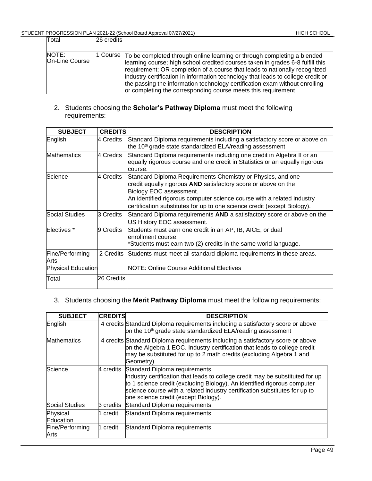| Total                   | 26 credits l |                                                                                                                                                                                                                                                                                                                                                                                                                                                                                      |
|-------------------------|--------------|--------------------------------------------------------------------------------------------------------------------------------------------------------------------------------------------------------------------------------------------------------------------------------------------------------------------------------------------------------------------------------------------------------------------------------------------------------------------------------------|
| NOTE:<br>On-Line Course |              | 1 Course To be completed through online learning or through completing a blended<br>learning course; high school credited courses taken in grades 6-8 fulfill this<br>requirement; OR completion of a course that leads to nationally recognized<br>industry certification in information technology that leads to college credit or<br>the passing the information technology certification exam without enrolling<br>or completing the corresponding course meets this requirement |

2. Students choosing the **Scholar's Pathway Diploma** must meet the following requirements:

| <b>SUBJECT</b>            | <b>CREDITS</b> | <b>DESCRIPTION</b>                                                                                                                                                                                                                                                                                             |
|---------------------------|----------------|----------------------------------------------------------------------------------------------------------------------------------------------------------------------------------------------------------------------------------------------------------------------------------------------------------------|
| English                   | 4 Credits      | Standard Diploma requirements including a satisfactory score or above on<br>the 10 <sup>th</sup> grade state standardized ELA/reading assessment                                                                                                                                                               |
| <b>Mathematics</b>        | 4 Credits      | Standard Diploma requirements including one credit in Algebra II or an<br>equally rigorous course and one credit in Statistics or an equally rigorous<br>course.                                                                                                                                               |
| Science                   | 4 Credits      | Standard Diploma Requirements Chemistry or Physics, and one<br>credit equally rigorous AND satisfactory score or above on the<br>Biology EOC assessment.<br>An identified rigorous computer science course with a related industry<br>certification substitutes for up to one science credit (except Biology). |
| Social Studies            | 3 Credits      | Standard Diploma requirements AND a satisfactory score or above on the<br>US History EOC assessment.                                                                                                                                                                                                           |
| Electives <sup>*</sup>    | 9 Credits      | Students must earn one credit in an AP, IB, AICE, or dual<br>enrollment course.<br>*Students must earn two (2) credits in the same world language.                                                                                                                                                             |
| Fine/Performing<br>Arts   | 2 Credits      | Students must meet all standard diploma requirements in these areas.                                                                                                                                                                                                                                           |
| <b>Physical Education</b> |                | NOTE: Online Course Additional Electives                                                                                                                                                                                                                                                                       |
| Total                     | 26 Credits     |                                                                                                                                                                                                                                                                                                                |

# 3. Students choosing the **Merit Pathway Diploma** must meet the following requirements:

| <b>SUBJECT</b>          | <b>CREDITS</b> | <b>DESCRIPTION</b>                                                                                                                                                                                                                                                                                                         |
|-------------------------|----------------|----------------------------------------------------------------------------------------------------------------------------------------------------------------------------------------------------------------------------------------------------------------------------------------------------------------------------|
| English                 |                | 4 credits Standard Diploma requirements including a satisfactory score or above<br>on the 10 <sup>th</sup> grade state standardized ELA/reading assessment                                                                                                                                                                 |
| <b>Mathematics</b>      |                | 4 credits Standard Diploma requirements including a satisfactory score or above<br>on the Algebra 1 EOC. Industry certification that leads to college credit<br>may be substituted for up to 2 math credits (excluding Algebra 1 and<br>Geometry).                                                                         |
| Science                 |                | 4 credits Standard Diploma requirements<br>Industry certification that leads to college credit may be substituted for up<br>to 1 science credit (excluding Biology). An identified rigorous computer<br>science course with a related industry certification substitutes for up to<br>one science credit (except Biology). |
| <b>Social Studies</b>   | 3 credits      | Standard Diploma requirements.                                                                                                                                                                                                                                                                                             |
| Physical<br>Education   | credit         | Standard Diploma requirements.                                                                                                                                                                                                                                                                                             |
| Fine/Performing<br>Arts | credit         | Standard Diploma requirements.                                                                                                                                                                                                                                                                                             |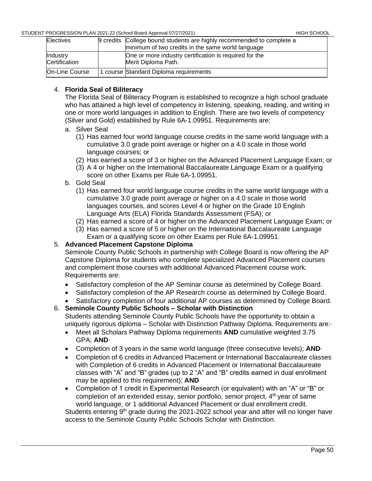| <b>Electives</b>          | 9 credits College bound students are highly recommended to complete a<br>minimum of two credits in the same world language |
|---------------------------|----------------------------------------------------------------------------------------------------------------------------|
| Industry<br>Certification | One or more industry certification is required for the<br>Merit Diploma Path.                                              |
| On-Line Course            | course Standard Diploma requirements                                                                                       |

# 4. **Florida Seal of Biliteracy**

The Florida Seal of Biliteracy Program is established to recognize a high school graduate who has attained a high level of competency in listening, speaking, reading, and writing in one or more world languages in addition to English. There are two levels of competency (Silver and Gold) established by Rule 6A-1.09951. Requirements are:

- a. Silver Seal
	- (1) Has earned four world language course credits in the same world language with a cumulative 3.0 grade point average or higher on a 4.0 scale in those world language courses; or
	- (2) Has earned a score of 3 or higher on the Advanced Placement Language Exam; or
	- (3) A 4 or higher on the International Baccalaureate Language Exam or a qualifying score on other Exams per Rule 6A-1.09951.
- b. Gold Seal
	- (1) Has earned four world language course credits in the same world language with a cumulative 3.0 grade point average or higher on a 4.0 scale in those world languages courses, and scores Level 4 or higher on the Grade 10 English Language Arts (ELA) Florida Standards Assessment (FSA); or
	- (2) Has earned a score of 4 or higher on the Advanced Placement Language Exam; or
	- (3) Has earned a score of 5 or higher on the International Baccalaureate Language Exam or a qualifying score on other Exams per Rule 6A-1.09951.

# 5. **Advanced Placement Capstone Diploma**

Seminole County Public Schools in partnership with College Board is now offering the AP Capstone Diploma for students who complete specialized Advanced Placement courses and complement those courses with additional Advanced Placement course work. Requirements are:

- Satisfactory completion of the AP Seminar course as determined by College Board.
- Satisfactory completion of the AP Research course as determined by College Board.
- Satisfactory completion of four additional AP courses as determined by College Board.

6. **Seminole County Public Schools – Scholar with Distinction** Students attending Seminole County Public Schools have the opportunity to obtain a uniquely rigorous diploma – Scholar with Distinction Pathway Diploma. Requirements are:∙

- Meet all Scholars Pathway Diploma requirements **AND** cumulative weighted 3.75 GPA; **AND**∙
- Completion of 3 years in the same world language (three consecutive levels); **AND**∙
- Completion of 6 credits in Advanced Placement or International Baccalaureate classes with Completion of 6 credits in Advanced Placement or International Baccalaureate classes with "A" and "B" grades (up to 2 "A" and "B" credits earned in dual enrollment may be applied to this requirement); **AND**
- Completion of 1 credit in Experimental Research (or equivalent) with an "A" or "B" or completion of an extended essay, senior portfolio, senior project,  $4<sup>th</sup>$  year of same world language, or 1 additional Advanced Placement or dual enrollment credit.

Students entering 9<sup>th</sup> grade during the 2021-2022 school year and after will no longer have access to the Seminole County Public Schools Scholar with Distinction.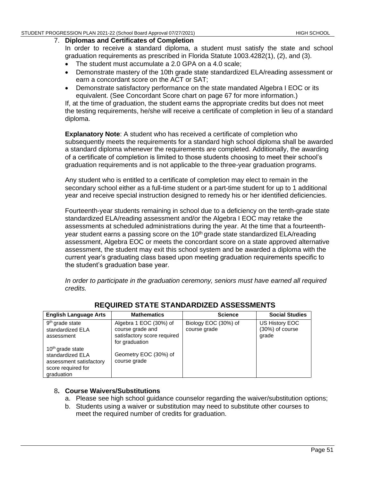#### 7. **Diplomas and Certificates of Completion**

In order to receive a standard diploma, a student must satisfy the state and school graduation requirements as prescribed in Florida Statute 1003.4282(1), (2), and (3).

- The student must accumulate a 2.0 GPA on a 4.0 scale;
- Demonstrate mastery of the 10th grade state standardized ELA/reading assessment or earn a concordant score on the ACT or SAT;
- Demonstrate satisfactory performance on the state mandated Algebra I EOC or its equivalent. (See Concordant Score chart on page 67 for more information.)

If, at the time of graduation, the student earns the appropriate credits but does not meet the testing requirements, he/she will receive a certificate of completion in lieu of a standard diploma.

**Explanatory Note**: A student who has received a certificate of completion who subsequently meets the requirements for a standard high school diploma shall be awarded a standard diploma whenever the requirements are completed. Additionally, the awarding of a certificate of completion is limited to those students choosing to meet their school's graduation requirements and is not applicable to the three-year graduation programs.

Any student who is entitled to a certificate of completion may elect to remain in the secondary school either as a full-time student or a part-time student for up to 1 additional year and receive special instruction designed to remedy his or her identified deficiencies.

Fourteenth-year students remaining in school due to a deficiency on the tenth-grade state standardized ELA/reading assessment and/or the Algebra I EOC may retake the assessments at scheduled administrations during the year. At the time that a fourteenthyear student earns a passing score on the 10<sup>th</sup> grade state standardized ELA/reading assessment, Algebra EOC or meets the concordant score on a state approved alternative assessment, the student may exit this school system and be awarded a diploma with the current year's graduating class based upon meeting graduation requirements specific to the student's graduation base year.

*In order to participate in the graduation ceremony, seniors must have earned all required credits.*

| <b>English Language Arts</b>                                                                                    | <b>Mathematics</b>                                                                          | <b>Science</b>                       | <b>Social Studies</b>                        |
|-----------------------------------------------------------------------------------------------------------------|---------------------------------------------------------------------------------------------|--------------------------------------|----------------------------------------------|
| 9 <sup>th</sup> grade state<br>standardized ELA<br>assessment                                                   | Algebra 1 EOC (30%) of<br>course grade and<br>satisfactory score required<br>for graduation | Biology EOC (30%) of<br>course grade | US History EOC<br>$(30%)$ of course<br>grade |
| 10 <sup>th</sup> grade state<br>standardized ELA<br>assessment satisfactory<br>score required for<br>graduation | Geometry EOC (30%) of<br>course grade                                                       |                                      |                                              |

# **REQUIRED STATE STANDARDIZED ASSESSMENTS**

# 8**. Course Waivers/Substitutions**

- a. Please see high school guidance counselor regarding the waiver/substitution options;
- b. Students using a waiver or substitution may need to substitute other courses to meet the required number of credits for graduation.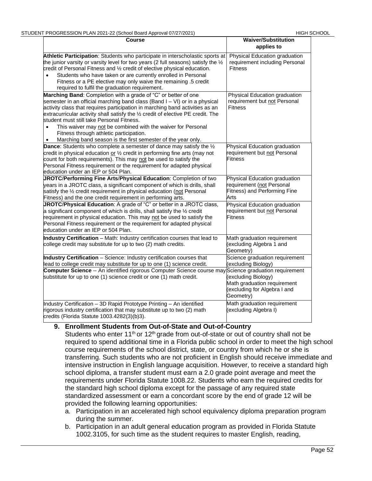| <b>Course</b>                                                                                                                                                                                                                                                                                                                                                                                                                                                                                                                                                      | <b>Waiver/Substitution</b><br>applies to                                                                                                                 |
|--------------------------------------------------------------------------------------------------------------------------------------------------------------------------------------------------------------------------------------------------------------------------------------------------------------------------------------------------------------------------------------------------------------------------------------------------------------------------------------------------------------------------------------------------------------------|----------------------------------------------------------------------------------------------------------------------------------------------------------|
| Athletic Participation: Students who participate in interscholastic sports at<br>the junior varsity or varsity level for two years (2 full seasons) satisfy the $\frac{1}{2}$<br>credit of Personal Fitness and 1/2 credit of elective physical education.<br>Students who have taken or are currently enrolled in Personal<br>$\bullet$<br>Fitness or a PE elective may only waive the remaining .5 credit<br>required to fulfil the graduation requirement.                                                                                                      | Physical Education graduation<br>requirement including Personal<br><b>Fitness</b>                                                                        |
| Marching Band: Completion with a grade of "C" or better of one<br>semester in an official marching band class (Band I - VI) or in a physical<br>activity class that requires participation in marching band activities as an<br>extracurricular activity shall satisfy the 1/2 credit of elective PE credit. The<br>student must still take Personal Fitness.<br>This waiver may not be combined with the waiver for Personal<br>$\bullet$<br>Fitness through athletic participation.<br>Marching band season is the first semester of the year only.<br>$\bullet$ | Physical Education graduation<br>requirement but not Personal<br><b>Fitness</b>                                                                          |
| Dance: Students who complete a semester of dance may satisfy the 1/2<br>credit in physical education or $\frac{1}{2}$ credit in performing fine arts (may not<br>count for both requirements). This may not be used to satisfy the<br>Personal Fitness requirement or the requirement for adapted physical<br>education under an IEP or 504 Plan.                                                                                                                                                                                                                  | Physical Education graduation<br>requirement but not Personal<br><b>Fitness</b>                                                                          |
| JROTC/Performing Fine Arts/Physical Education: Completion of two<br>years in a JROTC class, a significant component of which is drills, shall<br>satisfy the 1/2 credit requirement in physical education (not Personal<br>Fitness) and the one credit requirement in performing arts.                                                                                                                                                                                                                                                                             | Physical Education graduation<br>requirement (not Personal<br>Fitness) and Performing Fine<br>Arts                                                       |
| JROTC/Physical Education: A grade of "C" or better in a JROTC class,<br>a significant component of which is drills, shall satisfy the $\frac{1}{2}$ credit<br>requirement in physical education. This may not be used to satisfy the<br>Personal Fitness requirement or the requirement for adapted physical<br>education under an IEP or 504 Plan.                                                                                                                                                                                                                | Physical Education graduation<br>requirement but not Personal<br><b>Fitness</b>                                                                          |
| Industry Certification - Math: Industry certification courses that lead to<br>college credit may substitute for up to two (2) math credits.                                                                                                                                                                                                                                                                                                                                                                                                                        | Math graduation requirement<br>(excluding Algebra 1 and<br>Geometry)                                                                                     |
| Industry Certification - Science: Industry certification courses that<br>lead to college credit may substitute for up to one (1) science credit.<br><b>Computer Science</b> -- An identified rigorous Computer Science course may Science graduation requirement<br>substitute for up to one (1) science credit or one (1) math credit.                                                                                                                                                                                                                            | Science graduation requirement<br>(excluding Biology)<br>(excluding Biology)<br>Math graduation requirement<br>(excluding for Algebra I and<br>Geometry) |
| Industry Certification - 3D Rapid Prototype Printing - An identified<br>rigorous industry certification that may substitute up to two (2) math<br>credits (Florida Statute 1003.4282(3)(b)3).                                                                                                                                                                                                                                                                                                                                                                      | Math graduation requirement<br>(excluding Algebra I)                                                                                                     |

#### **9. Enrollment Students from Out-of-State and Out-of-Country**

Students who enter 11<sup>th</sup> or 12<sup>th</sup> grade from out-of-state or out of country shall not be required to spend additional time in a Florida public school in order to meet the high school course requirements of the school district, state, or country from which he or she is transferring. Such students who are not proficient in English should receive immediate and intensive instruction in English language acquisition. However, to receive a standard high school diploma, a transfer student must earn a 2.0 grade point average and meet the requirements under Florida Statute 1008.22. Students who earn the required credits for the standard high school diploma except for the passage of any required state standardized assessment or earn a concordant score by the end of grade 12 will be provided the following learning opportunities:

- a. Participation in an accelerated high school equivalency diploma preparation program during the summer.
- b. Participation in an adult general education program as provided in Florida Statute 1002.3105, for such time as the student requires to master English, reading,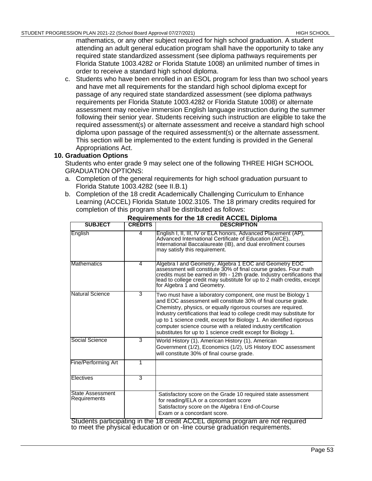mathematics, or any other subject required for high school graduation. A student attending an adult general education program shall have the opportunity to take any required state standardized assessment (see diploma pathways requirements per Florida Statute 1003.4282 or Florida Statute 1008) an unlimited number of times in order to receive a standard high school diploma.

c. Students who have been enrolled in an ESOL program for less than two school years and have met all requirements for the standard high school diploma except for passage of any required state standardized assessment (see diploma pathways requirements per Florida Statute 1003.4282 or Florida Statute 1008) or alternate assessment may receive immersion English language instruction during the summer following their senior year. Students receiving such instruction are eligible to take the required assessment(s) or alternate assessment and receive a standard high school diploma upon passage of the required assessment(s) or the alternate assessment. This section will be implemented to the extent funding is provided in the General Appropriations Act.

# **10. Graduation Options**

Students who enter grade 9 may select one of the following THREE HIGH SCHOOL GRADUATION OPTIONS:

- a. Completion of the general requirements for high school graduation pursuant to Florida Statute 1003.4282 (see II.B.1)
- b. Completion of the 18 credit Academically Challenging Curriculum to Enhance Learning (ACCEL) Florida Statute 1002.3105. The 18 primary credits required for completion of this program shall be distributed as follows:

| <b>SUBJECT</b>                          | <b>CREDITS</b> | <b>DESCRIPTION</b>                                                                                                                                                                                                                                                                                                                                                                                                                                                               |
|-----------------------------------------|----------------|----------------------------------------------------------------------------------------------------------------------------------------------------------------------------------------------------------------------------------------------------------------------------------------------------------------------------------------------------------------------------------------------------------------------------------------------------------------------------------|
| English                                 | 4              | English I, II, III, IV or ELA honors, Advanced Placement (AP),<br>Advanced International Certificate of Education (AICE),<br>International Baccalaureate (IB), and dual enrollment courses<br>may satisfy this requirement.                                                                                                                                                                                                                                                      |
| <b>Mathematics</b>                      | 4              | Algebra I and Geometry, Algebra 1 EOC and Geometry EOC<br>assessment will constitute 30% of final course grades. Four math<br>credits must be earned in 9th - 12th grade. Industry certifications that<br>lead to college credit may substitute for up to 2 math credits, except<br>for Algebra 1 and Geometry.                                                                                                                                                                  |
| Natural Science                         | 3              | Two must have a laboratory component, one must be Biology 1<br>and EOC assessment will constitute 30% of final course grade.<br>Chemistry, physics, or equally rigorous courses are required.<br>Industry certifications that lead to college credit may substitute for<br>up to 1 science credit, except for Biology 1. An identified rigorous<br>computer science course with a related industry certification<br>substitutes for up to 1 science credit except for Biology 1. |
| Social Science                          | $\overline{3}$ | World History (1), American History (1), American<br>Government (1/2), Economics (1/2), US History EOC assessment<br>will constitute 30% of final course grade.                                                                                                                                                                                                                                                                                                                  |
| Fine/Performing Art                     | 1              |                                                                                                                                                                                                                                                                                                                                                                                                                                                                                  |
| Electives                               | 3              |                                                                                                                                                                                                                                                                                                                                                                                                                                                                                  |
| <b>State Assessment</b><br>Requirements |                | Satisfactory score on the Grade 10 required state assessment<br>for reading/ELA or a concordant score<br>Satisfactory score on the Algebra I End-of-Course<br>Exam or a concordant score.                                                                                                                                                                                                                                                                                        |

# **Requirements for the 18 credit ACCEL Diploma**

Students participating in the 18 credit ACCEL diploma program are not required to meet the physical education or on -line course graduation requirements.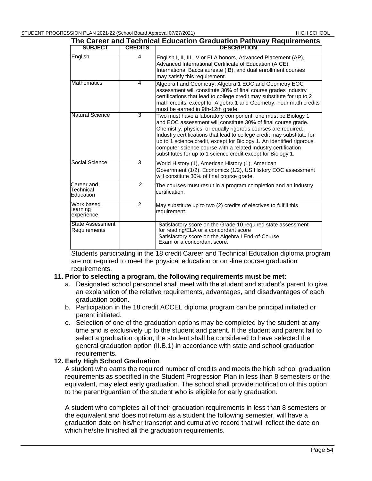|                                         |                | The Career and Technical Education Graduation Pathway Requirements                                                                                                                                                                                                                                                                                                                                                                                                               |
|-----------------------------------------|----------------|----------------------------------------------------------------------------------------------------------------------------------------------------------------------------------------------------------------------------------------------------------------------------------------------------------------------------------------------------------------------------------------------------------------------------------------------------------------------------------|
| <b>SUBJECT</b>                          | <b>CREDITS</b> | <b>DESCRIPTION</b>                                                                                                                                                                                                                                                                                                                                                                                                                                                               |
| English                                 | 4              | English I, II, III, IV or ELA honors, Advanced Placement (AP),<br>Advanced International Certificate of Education (AICE),<br>International Baccalaureate (IB), and dual enrollment courses<br>may satisfy this requirement.                                                                                                                                                                                                                                                      |
| <b>Mathematics</b>                      | 4              | Algebra I and Geometry, Algebra 1 EOC and Geometry EOC<br>assessment will constitute 30% of final course grades Industry<br>certifications that lead to college credit may substitute for up to 2<br>math credits, except for Algebra 1 and Geometry. Four math credits<br>must be earned in 9th-12th grade.                                                                                                                                                                     |
| Natural Science                         | 3              | Two must have a laboratory component, one must be Biology 1<br>and EOC assessment will constitute 30% of final course grade.<br>Chemistry, physics, or equally rigorous courses are required.<br>Industry certifications that lead to college credit may substitute for<br>up to 1 science credit, except for Biology 1. An identified rigorous<br>computer science course with a related industry certification<br>substitutes for up to 1 science credit except for Biology 1. |
| Social Science                          | 3              | World History (1), American History (1), American<br>Government (1/2), Economics (1/2), US History EOC assessment<br>will constitute 30% of final course grade.                                                                                                                                                                                                                                                                                                                  |
| Career and<br>Technical<br>Education    | 2              | The courses must result in a program completion and an industry<br>certification.                                                                                                                                                                                                                                                                                                                                                                                                |
| Work based<br>learning<br>experience    | 2              | May substitute up to two (2) credits of electives to fulfill this<br>requirement.                                                                                                                                                                                                                                                                                                                                                                                                |
| <b>State Assessment</b><br>Requirements |                | Satisfactory score on the Grade 10 required state assessment<br>for reading/ELA or a concordant score<br>Satisfactory score on the Algebra I End-of-Course<br>Exam or a concordant score.                                                                                                                                                                                                                                                                                        |

Students participating in the 18 credit Career and Technical Education diploma program are not required to meet the physical education or on -line course graduation requirements.

#### **11. Prior to selecting a program, the following requirements must be met:**

- a. Designated school personnel shall meet with the student and student's parent to give an explanation of the relative requirements, advantages, and disadvantages of each graduation option.
- b. Participation in the 18 credit ACCEL diploma program can be principal initiated or parent initiated.
- c. Selection of one of the graduation options may be completed by the student at any time and is exclusively up to the student and parent. If the student and parent fail to select a graduation option, the student shall be considered to have selected the general graduation option (II.B.1) in accordance with state and school graduation requirements.

#### **12. Early High School Graduation**

A student who earns the required number of credits and meets the high school graduation requirements as specified in the Student Progression Plan in less than 8 semesters or the equivalent, may elect early graduation. The school shall provide notification of this option to the parent/guardian of the student who is eligible for early graduation.

A student who completes all of their graduation requirements in less than 8 semesters or the equivalent and does not return as a student the following semester, will have a graduation date on his/her transcript and cumulative record that will reflect the date on which he/she finished all the graduation requirements.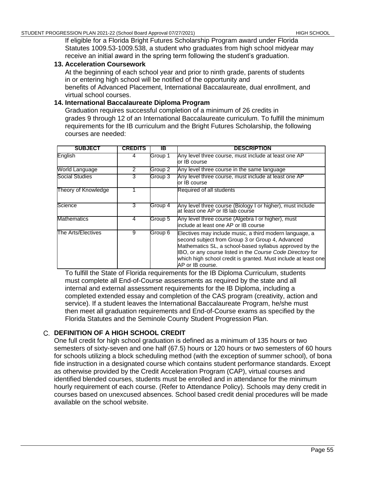If eligible for a Florida Bright Futures Scholarship Program award under Florida Statutes 1009.53-1009.538, a student who graduates from high school midyear may receive an initial award in the spring term following the student's graduation.

### **13. Acceleration Coursework**

At the beginning of each school year and prior to ninth grade, parents of students in or entering high school will be notified of the opportunity and benefits of Advanced Placement, International Baccalaureate, dual enrollment, and virtual school courses.

# **14. International Baccalaureate Diploma Program**

Graduation requires successful completion of a minimum of 26 credits in grades 9 through 12 of an International Baccalaureate curriculum. To fulfill the minimum requirements for the IB curriculum and the Bright Futures Scholarship, the following courses are needed:

| <b>SUBJECT</b>        | <b>CREDITS</b> | IB      | <b>DESCRIPTION</b>                                                                                                                                                                                                                                                                                                         |
|-----------------------|----------------|---------|----------------------------------------------------------------------------------------------------------------------------------------------------------------------------------------------------------------------------------------------------------------------------------------------------------------------------|
| English               | 4              | Group 1 | Any level three course, must include at least one AP<br>or IB course                                                                                                                                                                                                                                                       |
| World Language        | 2              | Group 2 | Any level three course in the same language                                                                                                                                                                                                                                                                                |
| <b>Social Studies</b> | 3              | Group 3 | Any level three course, must include at least one AP<br>or IB course                                                                                                                                                                                                                                                       |
| Theory of Knowledge   |                |         | Required of all students                                                                                                                                                                                                                                                                                                   |
| Science               | 3              | Group 4 | Any level three course (Biology I or higher), must include<br>at least one AP or IB lab course                                                                                                                                                                                                                             |
| <b>Mathematics</b>    | 4              | Group 5 | Any level three course (Algebra I or higher), must<br>include at least one AP or IB course                                                                                                                                                                                                                                 |
| The Arts/Electives    | 9              | Group 6 | Electives may include music, a third modern language, a<br>second subject from Group 3 or Group 4, Advanced<br>Mathematics SL, a school-based syllabus approved by the<br>IBO, or any course listed in the Course Code Directory for<br>which high school credit is granted. Must include at least one<br>AP or IB course. |

To fulfill the State of Florida requirements for the IB Diploma Curriculum, students must complete all End-of-Course assessments as required by the state and all internal and external assessment requirements for the IB Diploma, including a completed extended essay and completion of the CAS program (creativity, action and service). If a student leaves the International Baccalaureate Program, he/she must then meet all graduation requirements and End-of-Course exams as specified by the Florida Statutes and the Seminole County Student Progression Plan.

# **DEFINITION OF A HIGH SCHOOL CREDIT**

One full credit for high school graduation is defined as a minimum of 135 hours or two semesters of sixty-seven and one half (67.5) hours or 120 hours or two semesters of 60 hours for schools utilizing a block scheduling method (with the exception of summer school), of bona fide instruction in a designated course which contains student performance standards. Except as otherwise provided by the Credit Acceleration Program (CAP), virtual courses and identified blended courses, students must be enrolled and in attendance for the minimum hourly requirement of each course. (Refer to Attendance Policy). Schools may deny credit in courses based on unexcused absences. School based credit denial procedures will be made available on the school website.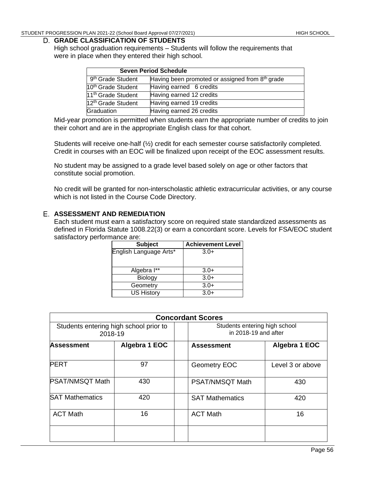#### **GRADE CLASSIFICATION OF STUDENTS**

High school graduation requirements – Students will follow the requirements that were in place when they entered their high school.

| <b>Seven Period Schedule</b>   |                                                             |  |
|--------------------------------|-------------------------------------------------------------|--|
| 9 <sup>th</sup> Grade Student  | Having been promoted or assigned from 8 <sup>th</sup> grade |  |
| 10 <sup>th</sup> Grade Student | Having earned 6 credits                                     |  |
| 11 <sup>th</sup> Grade Student | Having earned 12 credits                                    |  |
| 12 <sup>th</sup> Grade Student | Having earned 19 credits                                    |  |
| Graduation                     | Having earned 26 credits                                    |  |

Mid-year promotion is permitted when students earn the appropriate number of credits to join their cohort and are in the appropriate English class for that cohort.

Students will receive one-half (½) credit for each semester course satisfactorily completed. Credit in courses with an EOC will be finalized upon receipt of the EOC assessment results.

No student may be assigned to a grade level based solely on age or other factors that constitute social promotion.

No credit will be granted for non-interscholastic athletic extracurricular activities, or any course which is not listed in the Course Code Directory.

### **ASSESSMENT AND REMEDIATION**

Each student must earn a satisfactory score on required state standardized assessments as defined in Florida Statute 1008.22(3) or earn a concordant score. Levels for FSA/EOC student satisfactory performance are:

| <b>Subject</b>         | <b>Achievement Level</b> |
|------------------------|--------------------------|
| English Language Arts* | $3.0+$                   |
| Algebra I**            | $3.0+$                   |
| Biology                | $3.0+$                   |
| Geometry               | $3.0+$                   |
| <b>US History</b>      | $3.0+$                   |

| <b>Concordant Scores</b>                          |               |  |                                                       |                  |
|---------------------------------------------------|---------------|--|-------------------------------------------------------|------------------|
| Students entering high school prior to<br>2018-19 |               |  | Students entering high school<br>in 2018-19 and after |                  |
| <b>Assessment</b>                                 | Algebra 1 EOC |  | <b>Assessment</b>                                     | Algebra 1 EOC    |
| <b>PERT</b>                                       | 97            |  | Geometry EOC                                          | Level 3 or above |
| <b>PSAT/NMSQT Math</b>                            | 430           |  | PSAT/NMSQT Math                                       | 430              |
| <b>SAT Mathematics</b>                            | 420           |  | <b>SAT Mathematics</b>                                | 420              |
| <b>ACT Math</b>                                   | 16            |  | <b>ACT Math</b>                                       | 16               |
|                                                   |               |  |                                                       |                  |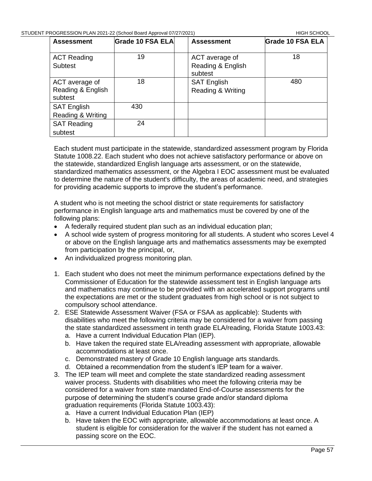| <b>Assessment</b>                              | Grade 10 FSA ELA | <b>Assessment</b>                              | <b>Grade 10 FSA ELA</b> |
|------------------------------------------------|------------------|------------------------------------------------|-------------------------|
| <b>ACT Reading</b><br><b>Subtest</b>           | 19               | ACT average of<br>Reading & English<br>subtest | 18                      |
| ACT average of<br>Reading & English<br>subtest | 18               | <b>SAT English</b><br>Reading & Writing        | 480                     |
| <b>SAT English</b><br>Reading & Writing        | 430              |                                                |                         |
| <b>SAT Reading</b><br>subtest                  | 24               |                                                |                         |

Each student must participate in the statewide, standardized assessment program by Florida Statute 1008.22. Each student who does not achieve satisfactory performance or above on the statewide, standardized English language arts assessment, or on the statewide, standardized mathematics assessment, or the Algebra I EOC assessment must be evaluated to determine the nature of the student's difficulty, the areas of academic need, and strategies for providing academic supports to improve the student's performance.

A student who is not meeting the school district or state requirements for satisfactory performance in English language arts and mathematics must be covered by one of the following plans:

- A federally required student plan such as an individual education plan;
- A school wide system of progress monitoring for all students. A student who scores Level 4 or above on the English language arts and mathematics assessments may be exempted from participation by the principal, or,
- An individualized progress monitoring plan.
- 1. Each student who does not meet the minimum performance expectations defined by the Commissioner of Education for the statewide assessment test in English language arts and mathematics may continue to be provided with an accelerated support programs until the expectations are met or the student graduates from high school or is not subject to compulsory school attendance.
- 2. ESE Statewide Assessment Waiver (FSA or FSAA as applicable): Students with disabilities who meet the following criteria may be considered for a waiver from passing the state standardized assessment in tenth grade ELA/reading, Florida Statute 1003.43:
	- a. Have a current Individual Education Plan (IEP).
	- b. Have taken the required state ELA/reading assessment with appropriate, allowable accommodations at least once.
	- c. Demonstrated mastery of Grade 10 English language arts standards.
	- d. Obtained a recommendation from the student's IEP team for a waiver.
- 3. The IEP team will meet and complete the state standardized reading assessment waiver process. Students with disabilities who meet the following criteria may be considered for a waiver from state mandated End-of-Course assessments for the purpose of determining the student's course grade and/or standard diploma graduation requirements (Florida Statute 1003.43):
	- a. Have a current Individual Education Plan (IEP)
	- b. Have taken the EOC with appropriate, allowable accommodations at least once. A student is eligible for consideration for the waiver if the student has not earned a passing score on the EOC.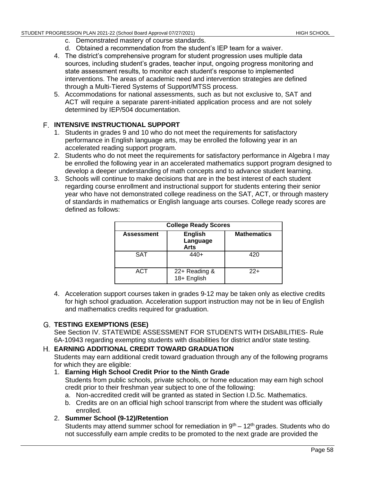- c. Demonstrated mastery of course standards.
- d. Obtained a recommendation from the student's IEP team for a waiver.
- 4. The district's comprehensive program for student progression uses multiple data sources, including student's grades, teacher input, ongoing progress monitoring and state assessment results, to monitor each student's response to implemented interventions. The areas of academic need and intervention strategies are defined through a Multi-Tiered Systems of Support/MTSS process.
- 5. Accommodations for national assessments, such as but not exclusive to, SAT and ACT will require a separate parent-initiated application process and are not solely determined by IEP/504 documentation.

# **INTENSIVE INSTRUCTIONAL SUPPORT**

- 1. Students in grades 9 and 10 who do not meet the requirements for satisfactory performance in English language arts, may be enrolled the following year in an accelerated reading support program.
- 2. Students who do not meet the requirements for satisfactory performance in Algebra I may be enrolled the following year in an accelerated mathematics support program designed to develop a deeper understanding of math concepts and to advance student learning.
- 3. Schools will continue to make decisions that are in the best interest of each student regarding course enrollment and instructional support for students entering their senior year who have not demonstrated college readiness on the SAT, ACT, or through mastery of standards in mathematics or English language arts courses. College ready scores are defined as follows:

| <b>College Ready Scores</b> |                                    |                    |  |
|-----------------------------|------------------------------------|--------------------|--|
| <b>Assessment</b>           | <b>English</b><br>Language<br>Arts | <b>Mathematics</b> |  |
| <b>SAT</b>                  | $440+$                             | 420                |  |
| <b>ACT</b>                  | 22+ Reading &<br>18+ English       | $22+$              |  |

4. Acceleration support courses taken in grades 9-12 may be taken only as elective credits for high school graduation. Acceleration support instruction may not be in lieu of English and mathematics credits required for graduation.

# **TESTING EXEMPTIONS (ESE)**

See Section IV. STATEWIDE ASSESSMENT FOR STUDENTS WITH DISABILITIES- Rule 6A-1094[3](https://www.flrules.org/gateway/ruleno.asp?id=6A-1.094222) regarding exempting students with disabilities for district and/or state testing.

# **EARNING ADDITIONAL CREDIT TOWARD GRADUATION**

Students may earn additional credit toward graduation through any of the following programs for which they are eligible:

- 1. **Earning High School Credit Prior to the Ninth Grade** Students from public schools, private schools, or home education may earn high school credit prior to their freshman year subject to one of the following:
	- a. Non-accredited credit will be granted as stated in Section I.D.5c. Mathematics.
	- b. Credits are on an official high school transcript from where the student was officially enrolled.
- 2. **Summer School (9-12)/Retention**

Students may attend summer school for remediation in  $9<sup>th</sup> - 12<sup>th</sup>$  grades. Students who do not successfully earn ample credits to be promoted to the next grade are provided the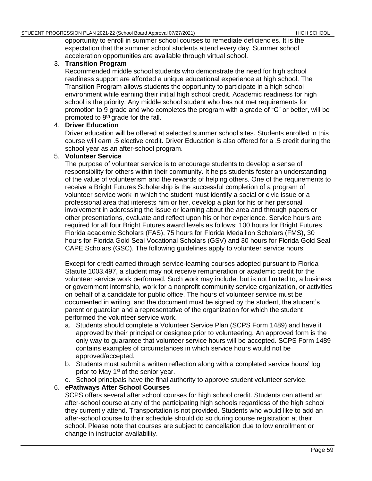opportunity to enroll in summer school courses to remediate deficiencies. It is the expectation that the summer school students attend every day. Summer school acceleration opportunities are available through virtual school.

# 3. **Transition Program**

Recommended middle school students who demonstrate the need for high school readiness support are afforded a unique educational experience at high school. The Transition Program allows students the opportunity to participate in a high school environment while earning their initial high school credit. Academic readiness for high school is the priority. Any middle school student who has not met requirements for promotion to 9 grade and who completes the program with a grade of "C" or better, will be promoted to 9th grade for the fall.

# 4. **Driver Education**

Driver education will be offered at selected summer school sites. Students enrolled in this course will earn .5 elective credit. Driver Education is also offered for a .5 credit during the school year as an after-school program.

# 5. **Volunteer Service**

The purpose of volunteer service is to encourage students to develop a sense of responsibility for others within their community. It helps students foster an understanding of the value of volunteerism and the rewards of helping others. One of the requirements to receive a Bright Futures Scholarship is the successful completion of a program of volunteer service work in which the student must identify a social or civic issue or a professional area that interests him or her, develop a plan for his or her personal involvement in addressing the issue or learning about the area and through papers or other presentations, evaluate and reflect upon his or her experience. Service hours are required for all four Bright Futures award levels as follows: 100 hours for Bright Futures Florida academic Scholars (FAS), 75 hours for Florida Medallion Scholars (FMS), 30 hours for Florida Gold Seal Vocational Scholars (GSV) and 30 hours for Florida Gold Seal CAPE Scholars (GSC). The following guidelines apply to volunteer service hours:

Except for credit earned through service-learning courses adopted pursuant to Florida Statute 1003.497, a student may not receive remuneration or academic credit for the volunteer service work performed. Such work may include, but is not limited to, a business or government internship, work for a nonprofit community service organization, or activities on behalf of a candidate for public office. The hours of volunteer service must be documented in writing, and the document must be signed by the student, the student's parent or guardian and a representative of the organization for which the student performed the volunteer service work.

- a. Students should complete a Volunteer Service Plan (SCPS Form 1489) and have it approved by their principal or designee prior to volunteering. An approved form is the only way to guarantee that volunteer service hours will be accepted. SCPS Form 1489 contains examples of circumstances in which service hours would not be approved/accepted.
- b. Students must submit a written reflection along with a completed service hours' log prior to May 1<sup>st</sup> of the senior year.
- c. School principals have the final authority to approve student volunteer service.

# 6. **ePathways After School Courses**

SCPS offers several after school courses for high school credit. Students can attend an after-school course at any of the participating high schools regardless of the high school they currently attend. Transportation is not provided. Students who would like to add an after-school course to their schedule should do so during course registration at their school. Please note that courses are subject to cancellation due to low enrollment or change in instructor availability.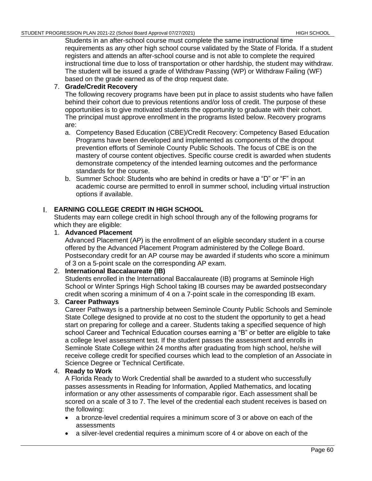Students in an after-school course must complete the same instructional time requirements as any other high school course validated by the State of Florida. If a student registers and attends an after-school course and is not able to complete the required instructional time due to loss of transportation or other hardship, the student may withdraw. The student will be issued a grade of Withdraw Passing (WP) or Withdraw Failing (WF) based on the grade earned as of the drop request date.

# 7. **Grade/Credit Recovery**

The following recovery programs have been put in place to assist students who have fallen behind their cohort due to previous retentions and/or loss of credit. The purpose of these opportunities is to give motivated students the opportunity to graduate with their cohort. The principal must approve enrollment in the programs listed below. Recovery programs are:

- a. Competency Based Education (CBE)/Credit Recovery: Competency Based Education Programs have been developed and implemented as components of the dropout prevention efforts of Seminole County Public Schools. The focus of CBE is on the mastery of course content objectives. Specific course credit is awarded when students demonstrate competency of the intended learning outcomes and the performance standards for the course.
- b. Summer School: Students who are behind in credits or have a "D" or "F" in an academic course are permitted to enroll in summer school, including virtual instruction options if available.

# **EARNING COLLEGE CREDIT IN HIGH SCHOOL**

Students may earn college credit in high school through any of the following programs for which they are eligible:

# 1. **Advanced Placement**

Advanced Placement (AP) is the enrollment of an eligible secondary student in a course offered by the Advanced Placement Program administered by the College Board. Postsecondary credit for an AP course may be awarded if students who score a minimum of 3 on a 5-point scale on the corresponding AP exam.

# 2. **International Baccalaureate (IB)**

Students enrolled in the International Baccalaureate (IB) programs at Seminole High School or Winter Springs High School taking IB courses may be awarded postsecondary credit when scoring a minimum of 4 on a 7-point scale in the corresponding IB exam.

# 3. **Career Pathways**

Career Pathways is a partnership between Seminole County Public Schools and Seminole State College designed to provide at no cost to the student the opportunity to get a head start on preparing for college and a career. Students taking a specified sequence of high school Career and Technical Education courses earning a "B" or better are eligible to take a college level assessment test. If the student passes the assessment and enrolls in Seminole State College within 24 months after graduating from high school, he/she will receive college credit for specified courses which lead to the completion of an Associate in Science Degree or Technical Certificate.

# 4. **Ready to Work**

A Florida Ready to Work Credential shall be awarded to a student who successfully passes assessments in Reading for Information, Applied Mathematics, and locating information or any other assessments of comparable rigor. Each assessment shall be scored on a scale of 3 to 7. The level of the credential each student receives is based on the following:

- a bronze-level credential requires a minimum score of 3 or above on each of the assessments
- a silver-level credential requires a minimum score of 4 or above on each of the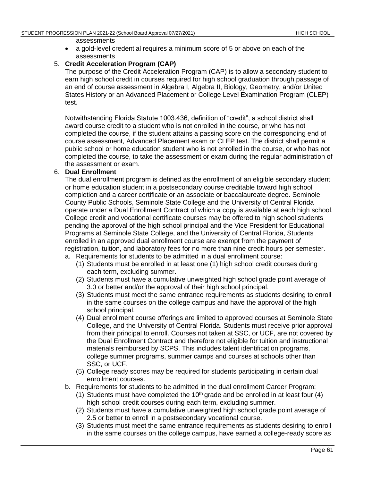#### assessments

• a gold-level credential requires a minimum score of 5 or above on each of the assessments

# 5. **Credit Acceleration Program (CAP)**

The purpose of the Credit Acceleration Program (CAP) is to allow a secondary student to earn high school credit in courses required for high school graduation through passage of an end of course assessment in Algebra I, Algebra II, Biology, Geometry, and/or United States History or an Advanced Placement or College Level Examination Program (CLEP) test.

Notwithstanding Florida Statute 1003.436, definition of "credit", a school district shall award course credit to a student who is not enrolled in the course, or who has not completed the course, if the student attains a passing score on the corresponding end of course assessment, Advanced Placement exam or CLEP test. The district shall permit a public school or home education student who is not enrolled in the course, or who has not completed the course, to take the assessment or exam during the regular administration of the assessment or exam.

### 6. **Dual Enrollment**

The dual enrollment program is defined as the enrollment of an eligible secondary student or home education student in a postsecondary course creditable toward high school completion and a career certificate or an associate or baccalaureate degree. Seminole County Public Schools, Seminole State College and the University of Central Florida operate under a Dual Enrollment Contract of which a copy is available at each high school. College credit and vocational certificate courses may be offered to high school students pending the approval of the high school principal and the Vice President for Educational Programs at Seminole State College, and the University of Central Florida, Students enrolled in an approved dual enrollment course are exempt from the payment of registration, tuition, and laboratory fees for no more than nine credit hours per semester.

- a. Requirements for students to be admitted in a dual enrollment course:
	- (1) Students must be enrolled in at least one (1) high school credit courses during each term, excluding summer.
	- (2) Students must have a cumulative unweighted high school grade point average of 3.0 or better and/or the approval of their high school principal.
	- (3) Students must meet the same entrance requirements as students desiring to enroll in the same courses on the college campus and have the approval of the high school principal.
	- (4) Dual enrollment course offerings are limited to approved courses at Seminole State College, and the University of Central Florida. Students must receive prior approval from their principal to enroll. Courses not taken at SSC, or UCF, are not covered by the Dual Enrollment Contract and therefore not eligible for tuition and instructional materials reimbursed by SCPS. This includes talent identification programs, college summer programs, summer camps and courses at schools other than SSC, or UCF.
	- (5) College ready scores may be required for students participating in certain dual enrollment courses.
- b. Requirements for students to be admitted in the dual enrollment Career Program:
	- (1) Students must have completed the  $10<sup>th</sup>$  grade and be enrolled in at least four (4) high school credit courses during each term, excluding summer.
	- (2) Students must have a cumulative unweighted high school grade point average of 2.5 or better to enroll in a postsecondary vocational course.
	- (3) Students must meet the same entrance requirements as students desiring to enroll in the same courses on the college campus, have earned a college-ready score as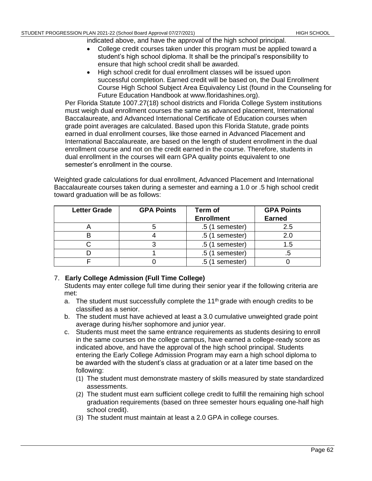indicated above, and have the approval of the high school principal.

- College credit courses taken under this program must be applied toward a student's high school diploma. It shall be the principal's responsibility to ensure that high school credit shall be awarded.
- High school credit for dual enrollment classes will be issued upon successful completion. Earned credit will be based on, the Dual Enrollment Course High School Subject Area Equivalency List (found in the Counseling for Future Education Handbook at www.floridashines.org).

Per Florida Statute 1007.27(18) school districts and Florida College System institutions must weigh dual enrollment courses the same as advanced placement, International Baccalaureate, and Advanced International Certificate of Education courses when grade point averages are calculated. Based upon this Florida Statute, grade points earned in dual enrollment courses, like those earned in Advanced Placement and International Baccalaureate, are based on the length of student enrollment in the dual enrollment course and not on the credit earned in the course. Therefore, students in dual enrollment in the courses will earn GPA quality points equivalent to one semester's enrollment in the course.

Weighted grade calculations for dual enrollment, Advanced Placement and International Baccalaureate courses taken during a semester and earning a 1.0 or .5 high school credit toward graduation will be as follows:

| <b>Letter Grade</b> | <b>GPA Points</b> | Term of           | <b>GPA Points</b> |
|---------------------|-------------------|-------------------|-------------------|
|                     |                   | <b>Enrollment</b> | <b>Earned</b>     |
|                     |                   | $.5(1$ semester)  | 2.5               |
|                     |                   | $.5(1$ semester)  |                   |
|                     |                   | $.5(1$ semester)  | .5                |
|                     |                   | $.5(1$ semester)  |                   |
|                     |                   | $.5(1$ semester)  |                   |

# 7. **Early College Admission (Full Time College)**

Students may enter college full time during their senior year if the following criteria are met:

- a. The student must successfully complete the  $11<sup>th</sup>$  grade with enough credits to be classified as a senior.
- b. The student must have achieved at least a 3.0 cumulative unweighted grade point average during his/her sophomore and junior year.
- c. Students must meet the same entrance requirements as students desiring to enroll in the same courses on the college campus, have earned a college-ready score as indicated above, and have the approval of the high school principal. Students entering the Early College Admission Program may earn a high school diploma to be awarded with the student's class at graduation or at a later time based on the following:
	- (1) The student must demonstrate mastery of skills measured by state standardized assessments.
	- (2) The student must earn sufficient college credit to fulfill the remaining high school graduation requirements (based on three semester hours equaling one-half high school credit).
	- (3) The student must maintain at least a 2.0 GPA in college courses.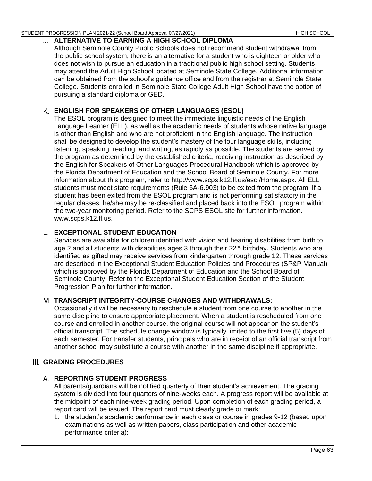#### STUDENT PROGRESSION PLAN 2021-22 (School Board Approval 07/27/2021) HIGH SCHOOL HIGH SCHOOL

# **ALTERNATIVE TO EARNING A HIGH SCHOOL DIPLOMA**

Although Seminole County Public Schools does not recommend student withdrawal from the public school system, there is an alternative for a student who is eighteen or older who does not wish to pursue an education in a traditional public high school setting. Students may attend the Adult High School located at Seminole State College. Additional information can be obtained from the school's guidance office and from the registrar at Seminole State College. Students enrolled in Seminole State College Adult High School have the option of pursuing a standard diploma or GED.

# **ENGLISH FOR SPEAKERS OF OTHER LANGUAGES (ESOL)**

The ESOL program is designed to meet the immediate linguistic needs of the English Language Learner (ELL), as well as the academic needs of students whose native language is other than English and who are not proficient in the English language. The instruction shall be designed to develop the student's mastery of the four language skills, including listening, speaking, reading, and writing, as rapidly as possible. The students are served by the program as determined by the established criteria, receiving instruction as described by the English for Speakers of Other Languages Procedural Handbook which is approved by the Florida Department of Education and the School Board of Seminole County. For more information about this program, refer to http://www.scps.k12.fl.us/esol/Home.aspx. All ELL students must meet state requirements (Rule 6A-6.903) to be exited from the program. If a student has been exited from the ESOL program and is not performing satisfactory in the regular classes, he/she may be re-classified and placed back into the ESOL program within the two-year monitoring period. Refer to the SCPS ESOL site for further information. www.scps.k12.fl.us.

# **EXCEPTIONAL STUDENT EDUCATION**

Services are available for children identified with vision and hearing disabilities from birth to age 2 and all students with disabilities ages 3 through their 22<sup>nd</sup> birthday. Students who are identified as gifted may receive services from kindergarten through grade 12. These services are described in the Exceptional Student Education Policies and Procedures (SP&P Manual) which is approved by the Florida Department of Education and the School Board of Seminole County. Refer to the Exceptional Student Education Section of the Student Progression Plan for further information.

# **TRANSCRIPT INTEGRITY-COURSE CHANGES AND WITHDRAWALS:**

Occasionally it will be necessary to reschedule a student from one course to another in the same discipline to ensure appropriate placement. When a student is rescheduled from one course and enrolled in another course, the original course will not appear on the student's official transcript. The schedule change window is typically limited to the first five (5) days of each semester. For transfer students, principals who are in receipt of an official transcript from another school may substitute a course with another in the same discipline if appropriate.

# **GRADING PROCEDURES**

# **REPORTING STUDENT PROGRESS**

All parents/guardians will be notified quarterly of their student's achievement. The grading system is divided into four quarters of nine-weeks each. A progress report will be available at the midpoint of each nine-week grading period. Upon completion of each grading period, a report card will be issued. The report card must clearly grade or mark:

1. the student's academic performance in each class or course in grades 9-12 (based upon examinations as well as written papers, class participation and other academic performance criteria);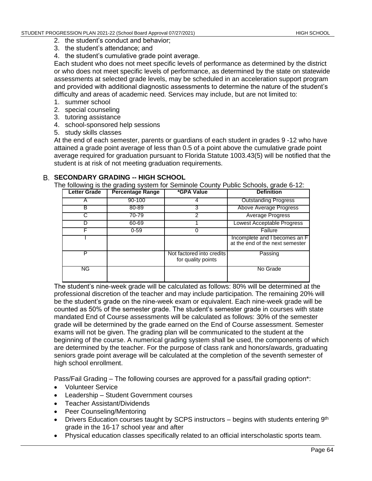- 2. the student's conduct and behavior;
- 3. the student's attendance; and
- 4. the student's cumulative grade point average.

Each student who does not meet specific levels of performance as determined by the district or who does not meet specific levels of performance, as determined by the state on statewide assessments at selected grade levels, may be scheduled in an acceleration support program and provided with additional diagnostic assessments to determine the nature of the student's difficulty and areas of academic need. Services may include, but are not limited to:

- 1. summer school
- 2. special counseling
- 3. tutoring assistance
- 4. school-sponsored help sessions
- 5. study skills classes

At the end of each semester, parents or guardians of each student in grades 9 -12 who have attained a grade point average of less than 0.5 of a point above the cumulative grade point average required for graduation pursuant to Florida Statute [1003.43\(5\)](https://www.flsenate.gov/laws/statutes/2011/1003.43) will be notified that the student is at risk of not meeting graduation requirements.

# **SECONDARY GRADING -- HIGH SCHOOL**

The following is the grading system for Seminole County Public Schools, grade 6-12:

| <b>Letter Grade</b> | <b>Percentage Range</b> | *GPA Value                                      | <b>Definition</b>                                                |
|---------------------|-------------------------|-------------------------------------------------|------------------------------------------------------------------|
|                     | $90 - 100$              |                                                 | <b>Outstanding Progress</b>                                      |
| в                   | 80-89                   | 3                                               | Above Average Progress                                           |
|                     | 70-79                   | 2                                               | <b>Average Progress</b>                                          |
|                     | 60-69                   |                                                 | Lowest Acceptable Progress                                       |
|                     | $0 - 59$                | 0                                               | Failure                                                          |
|                     |                         |                                                 | Incomplete and I becomes an F<br>at the end of the next semester |
| Р                   |                         | Not factored into credits<br>for quality points | Passing                                                          |
| ΝG                  |                         |                                                 | No Grade                                                         |

The student's nine-week grade will be calculated as follows: 80% will be determined at the professional discretion of the teacher and may include participation. The remaining 20% will be the student's grade on the nine-week exam or equivalent. Each nine-week grade will be counted as 50% of the semester grade. The student's semester grade in courses with state mandated End of Course assessments will be calculated as follows: 30% of the semester grade will be determined by the grade earned on the End of Course assessment. Semester exams will not be given. The grading plan will be communicated to the student at the beginning of the course. A numerical grading system shall be used, the components of which are determined by the teacher. For the purpose of class rank and honors/awards, graduating seniors grade point average will be calculated at the completion of the seventh semester of high school enrollment.

Pass/Fail Grading – The following courses are approved for a pass/fail grading option\*:

- Volunteer Service
- Leadership Student Government courses
- Teacher Assistant/Dividends
- Peer Counseling/Mentoring
- Drivers Education courses taught by SCPS instructors begins with students entering  $9<sup>th</sup>$ grade in the 16-17 school year and after
- Physical education classes specifically related to an official interscholastic sports team.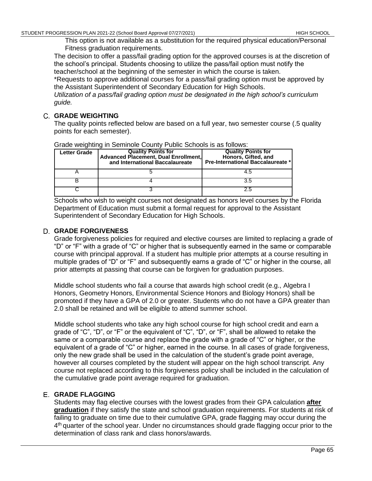This option is not available as a substitution for the required physical education/Personal Fitness graduation requirements.

The decision to offer a pass/fail grading option for the approved courses is at the discretion of the school's principal. Students choosing to utilize the pass/fail option must notify the teacher/school at the beginning of the semester in which the course is taken.

\*Requests to approve additional courses for a pass/fail grading option must be approved by the Assistant Superintendent of Secondary Education for High Schools.

*Utilization of a pass/fail grading option must be designated in the high school's curriculum guide.*

# **GRADE WEIGHTING**

The quality points reflected below are based on a full year, two semester course (.5 quality points for each semester).

| <b>Letter Grade</b> | <b>Quality Points for</b><br>Advanced Placement, Dual Enrollment,<br>and International Baccalaureate | <b>Quality Points for</b><br>Honors, Gifted, and<br><b>Pre-International Baccalaureate *</b> |
|---------------------|------------------------------------------------------------------------------------------------------|----------------------------------------------------------------------------------------------|
|                     |                                                                                                      | 4.5                                                                                          |
|                     |                                                                                                      |                                                                                              |
|                     |                                                                                                      |                                                                                              |

Grade weighting in Seminole County Public Schools is as follows:

Schools who wish to weight courses not designated as honors level courses by the Florida Department of Education must submit a formal request for approval to the Assistant Superintendent of Secondary Education for High Schools.

# **GRADE FORGIVENESS**

Grade forgiveness policies for required and elective courses are limited to replacing a grade of "D" or "F" with a grade of "C" or higher that is subsequently earned in the same or comparable course with principal approval. If a student has multiple prior attempts at a course resulting in multiple grades of "D" or "F" and subsequently earns a grade of "C" or higher in the course, all prior attempts at passing that course can be forgiven for graduation purposes.

Middle school students who fail a course that awards high school credit (e.g., Algebra I Honors, Geometry Honors, Environmental Science Honors and Biology Honors) shall be promoted if they have a GPA of 2.0 or greater. Students who do not have a GPA greater than 2.0 shall be retained and will be eligible to attend summer school.

Middle school students who take any high school course for high school credit and earn a grade of "C", "D", or "F" or the equivalent of "C", "D", or "F", shall be allowed to retake the same or a comparable course and replace the grade with a grade of "C" or higher, or the equivalent of a grade of "C" or higher, earned in the course. In all cases of grade forgiveness, only the new grade shall be used in the calculation of the student's grade point average, however all courses completed by the student will appear on the high school transcript. Any course not replaced according to this forgiveness policy shall be included in the calculation of the cumulative grade point average required for graduation.

# **GRADE FLAGGING**

Students may flag elective courses with the lowest grades from their GPA calculation **after graduation** if they satisfy the state and school graduation requirements. For students at risk of failing to graduate on time due to their cumulative GPA, grade flagging may occur during the 4<sup>th</sup> quarter of the school year. Under no circumstances should grade flagging occur prior to the determination of class rank and class honors/awards.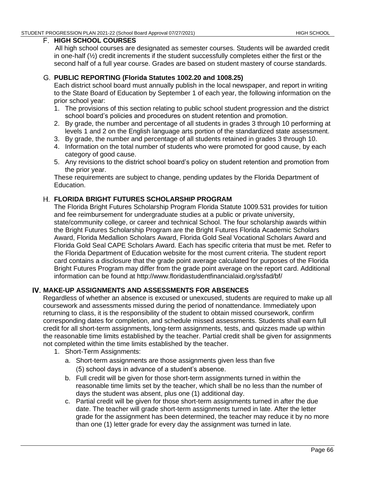### **HIGH SCHOOL COURSES**

All high school courses are designated as semester courses. Students will be awarded credit in one-half (½) credit increments if the student successfully completes either the first or the second half of a full year course. Grades are based on student mastery of course standards.

# **PUBLIC REPORTING (Florida Statutes 1002.20 and 1008.25)**

Each district school board must annually publish in the local newspaper, and report in writing to the State Board of Education by September 1 of each year, the following information on the prior school year:

- 1. The provisions of this section relating to public school student progression and the district school board's policies and procedures on student retention and promotion.
- 2. By grade, the number and percentage of all students in grades 3 through 10 performing at levels 1 and 2 on the English language arts portion of the standardized state assessment.
- 3. By grade, the number and percentage of all students retained in grades 3 through 10.
- 4. Information on the total number of students who were promoted for good cause, by each category of good cause.
- 5. Any revisions to the district school board's policy on student retention and promotion from the prior year.

These requirements are subject to change, pending updates by the Florida Department of Education.

# **FLORIDA BRIGHT FUTURES SCHOLARSHIP PROGRAM**

The Florida Bright Futures Scholarship Program Florida Statute 1009.531 provides for tuition and fee reimbursement for undergraduate studies at a public or private university, state/community college, or career and technical School. The four scholarship awards within the Bright Futures Scholarship Program are the Bright Futures Florida Academic Scholars Award, Florida Medallion Scholars Award, Florida Gold Seal Vocational Scholars Award and Florida Gold Seal CAPE Scholars Award. Each has specific criteria that must be met. Refer to the Florida Department of Education website for the most current criteria. The student report card contains a disclosure that the grade point average calculated for purposes of the Florida Bright Futures Program may differ from the grade point average on the report card. Additional information can be found at http://www.floridastudentfinancialaid.org/ssfad/b[f/](http://www.floridastudentfinancialaid.org/ssfad/bf/)

# **MAKE-UP ASSIGNMENTS AND ASSESSMENTS FOR ABSENCES**

Regardless of whether an absence is excused or unexcused, students are required to make up all coursework and assessments missed during the period of nonattendance. Immediately upon returning to class, it is the responsibility of the student to obtain missed coursework, confirm corresponding dates for completion, and schedule missed assessments. Students shall earn full credit for all short-term assignments, long-term assignments, tests, and quizzes made up within the reasonable time limits established by the teacher. Partial credit shall be given for assignments not completed within the time limits established by the teacher.

- 1. Short-Term Assignments:
	- a. Short-term assignments are those assignments given less than five (5) school days in advance of a student's absence.
	- b. Full credit will be given for those short-term assignments turned in within the reasonable time limits set by the teacher, which shall be no less than the number of days the student was absent, plus one (1) additional day.
	- c. Partial credit will be given for those short-term assignments turned in after the due date. The teacher will grade short-term assignments turned in late. After the letter grade for the assignment has been determined, the teacher may reduce it by no more than one (1) letter grade for every day the assignment was turned in late.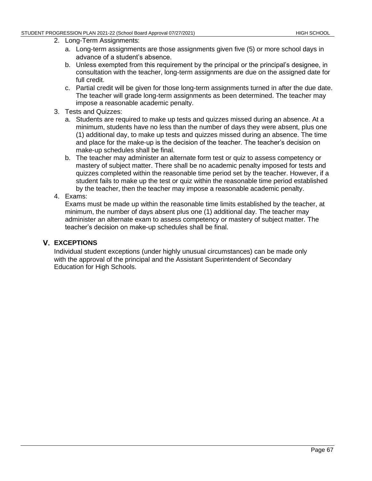- 2. Long-Term Assignments:
	- a. Long-term assignments are those assignments given five (5) or more school days in advance of a student's absence.
	- b. Unless exempted from this requirement by the principal or the principal's designee, in consultation with the teacher, long-term assignments are due on the assigned date for full credit.
	- c. Partial credit will be given for those long-term assignments turned in after the due date. The teacher will grade long-term assignments as been determined. The teacher may impose a reasonable academic penalty.
- 3. Tests and Quizzes:
	- a. Students are required to make up tests and quizzes missed during an absence. At a minimum, students have no less than the number of days they were absent, plus one (1) additional day, to make up tests and quizzes missed during an absence. The time and place for the make-up is the decision of the teacher. The teacher's decision on make-up schedules shall be final.
	- b. The teacher may administer an alternate form test or quiz to assess competency or mastery of subject matter. There shall be no academic penalty imposed for tests and quizzes completed within the reasonable time period set by the teacher. However, if a student fails to make up the test or quiz within the reasonable time period established by the teacher, then the teacher may impose a reasonable academic penalty.

#### 4. Exams:

Exams must be made up within the reasonable time limits established by the teacher, at minimum, the number of days absent plus one (1) additional day. The teacher may administer an alternate exam to assess competency or mastery of subject matter. The teacher's decision on make-up schedules shall be final.

#### **EXCEPTIONS**

Individual student exceptions (under highly unusual circumstances) can be made only with the approval of the principal and the Assistant Superintendent of Secondary Education for High Schools.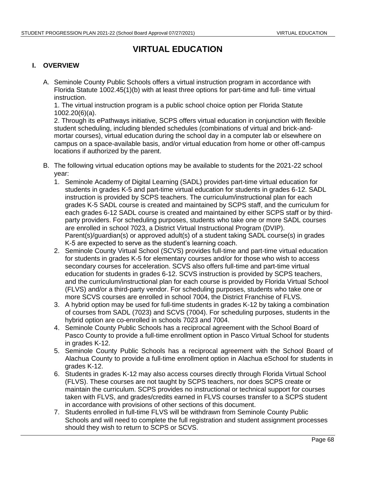## **VIRTUAL EDUCATION**

#### **I. OVERVIEW**

A. Seminole County Public Schools offers a virtual instruction program in accordance with Florida Statute 1002.45(1)(b) with at least three options for part-time and full- time virtual instruction.

1. The virtual instruction program is a public school choice option per Florida Statute 1002.20(6)(a).

2. Through its ePathways initiative, SCPS offers virtual education in conjunction with flexible student scheduling, including blended schedules (combinations of virtual and brick-andmortar courses), virtual education during the school day in a computer lab or elsewhere on campus on a space-available basis, and/or virtual education from home or other off-campus locations if authorized by the parent.

- B. The following virtual education options may be available to students for the 2021-22 school year:
	- 1. Seminole Academy of Digital Learning (SADL) provides part-time virtual education for students in grades K-5 and part-time virtual education for students in grades 6-12. SADL instruction is provided by SCPS teachers. The curriculum/instructional plan for each grades K-5 SADL course is created and maintained by SCPS staff, and the curriculum for each grades 6-12 SADL course is created and maintained by either SCPS staff or by thirdparty providers. For scheduling purposes, students who take one or more SADL courses are enrolled in school 7023, a District Virtual Instructional Program (DVIP). Parent(s)/guardian(s) or approved adult(s) of a student taking SADL course(s) in grades K-5 are expected to serve as the student's learning coach.
	- 2. Seminole County Virtual School (SCVS) provides full-time and part-time virtual education for students in grades K-5 for elementary courses and/or for those who wish to access secondary courses for acceleration. SCVS also offers full-time and part-time virtual education for students in grades 6-12. SCVS instruction is provided by SCPS teachers, and the curriculum/instructional plan for each course is provided by Florida Virtual School (FLVS) and/or a third-party vendor. For scheduling purposes, students who take one or more SCVS courses are enrolled in school 7004, the District Franchise of FLVS.
	- 3. A hybrid option may be used for full-time students in grades K-12 by taking a combination of courses from SADL (7023) and SCVS (7004). For scheduling purposes, students in the hybrid option are co-enrolled in schools 7023 and 7004.
	- 4. Seminole County Public Schools has a reciprocal agreement with the School Board of Pasco County to provide a full-time enrollment option in Pasco Virtual School for students in grades K-12.
	- 5. Seminole County Public Schools has a reciprocal agreement with the School Board of Alachua County to provide a full-time enrollment option in Alachua eSchool for students in grades K-12.
	- 6. Students in grades K-12 may also access courses directly through Florida Virtual School (FLVS). These courses are not taught by SCPS teachers, nor does SCPS create or maintain the curriculum. SCPS provides no instructional or technical support for courses taken with FLVS, and grades/credits earned in FLVS courses transfer to a SCPS student in accordance with provisions of other sections of this document.
	- 7. Students enrolled in full-time FLVS will be withdrawn from Seminole County Public Schools and will need to complete the full registration and student assignment processes should they wish to return to SCPS or SCVS.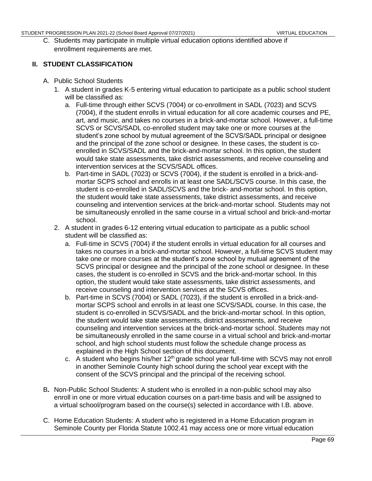C. Students may participate in multiple virtual education options identified above if enrollment requirements are met.

#### **II. STUDENT CLASSIFICATION**

- A. Public School Students
	- 1. A student in grades K-5 entering virtual education to participate as a public school student will be classified as:
		- a. Full-time through either SCVS (7004) or co-enrollment in SADL (7023) and SCVS (7004), if the student enrolls in virtual education for all core academic courses and PE, art, and music, and takes no courses in a brick-and-mortar school. However, a full-time SCVS or SCVS/SADL co-enrolled student may take one or more courses at the student's zone school by mutual agreement of the SCVS/SADL principal or designee and the principal of the zone school or designee. In these cases, the student is coenrolled in SCVS/SADL and the brick-and-mortar school. In this option, the student would take state assessments, take district assessments, and receive counseling and intervention services at the SCVS/SADL offices.
		- b. Part-time in SADL (7023) or SCVS (7004), if the student is enrolled in a brick-andmortar SCPS school and enrolls in at least one SADL/SCVS course. In this case, the student is co-enrolled in SADL/SCVS and the brick- and-mortar school. In this option, the student would take state assessments, take district assessments, and receive counseling and intervention services at the brick-and-mortar school. Students may not be simultaneously enrolled in the same course in a virtual school and brick-and-mortar school.
	- 2. A student in grades 6-12 entering virtual education to participate as a public school student will be classified as:
		- a. Full-time in SCVS (7004) if the student enrolls in virtual education for all courses and takes no courses in a brick-and-mortar school. However, a full-time SCVS student may take one or more courses at the student's zone school by mutual agreement of the SCVS principal or designee and the principal of the zone school or designee. In these cases, the student is co-enrolled in SCVS and the brick-and-mortar school. In this option, the student would take state assessments, take district assessments, and receive counseling and intervention services at the SCVS offices.
		- b. Part-time in SCVS (7004) or SADL (7023), if the student is enrolled in a brick-andmortar SCPS school and enrolls in at least one SCVS/SADL course. In this case, the student is co-enrolled in SCVS/SADL and the brick-and-mortar school. In this option, the student would take state assessments, district assessments, and receive counseling and intervention services at the brick-and-mortar school. Students may not be simultaneously enrolled in the same course in a virtual school and brick-and-mortar school, and high school students must follow the schedule change process as explained in the High School section of this document.
		- c. A student who begins his/her 12<sup>th</sup> grade school year full-time with SCVS may not enroll in another Seminole County high school during the school year except with the consent of the SCVS principal and the principal of the receiving school.
- B**.** Non-Public School Students: A student who is enrolled in a non-public school may also enroll in one or more virtual education courses on a part-time basis and will be assigned to a virtual school/program based on the course(s) selected in accordance with I.B. above.
- C. Home Education Students: A student who is registered in a Home Education program in Seminole County per Florida Statute 1002.41 may access one or more virtual education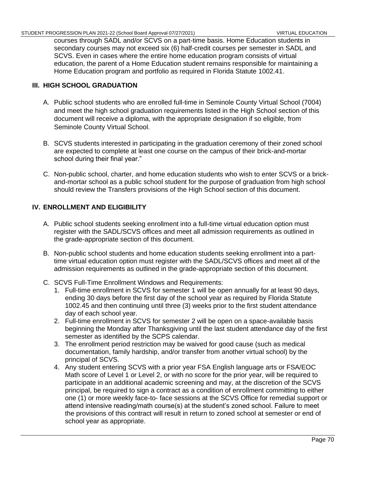courses through SADL and/or SCVS on a part-time basis. Home Education students in secondary courses may not exceed six (6) half-credit courses per semester in SADL and SCVS. Even in cases where the entire home education program consists of virtual education, the parent of a Home Education student remains responsible for maintaining a Home Education program and portfolio as required in Florida Statute 1002.41.

#### **III. HIGH SCHOOL GRADUATION**

- A. Public school students who are enrolled full-time in Seminole County Virtual School (7004) and meet the high school graduation requirements listed in the High School section of this document will receive a diploma, with the appropriate designation if so eligible, from Seminole County Virtual School.
- B. SCVS students interested in participating in the graduation ceremony of their zoned school are expected to complete at least one course on the campus of their brick-and-mortar school during their final year."
- C. Non-public school, charter, and home education students who wish to enter SCVS or a brickand-mortar school as a public school student for the purpose of graduation from high school should review the Transfers provisions of the High School section of this document.

#### **IV. ENROLLMENT AND ELIGIBILITY**

- A. Public school students seeking enrollment into a full-time virtual education option must register with the SADL/SCVS offices and meet all admission requirements as outlined in the grade-appropriate section of this document.
- B. Non-public school students and home education students seeking enrollment into a parttime virtual education option must register with the SADL/SCVS offices and meet all of the admission requirements as outlined in the grade-appropriate section of this document.
- C. SCVS Full-Time Enrollment Windows and Requirements:
	- 1. Full-time enrollment in SCVS for semester 1 will be open annually for at least 90 days, ending 30 days before the first day of the school year as required by Florida Statute 1002.45 and then continuing until three (3) weeks prior to the first student attendance day of each school year.
	- 2. Full-time enrollment in SCVS for semester 2 will be open on a space-available basis beginning the Monday after Thanksgiving until the last student attendance day of the first semester as identified by the SCPS calendar.
	- 3. The enrollment period restriction may be waived for good cause (such as medical documentation, family hardship, and/or transfer from another virtual school) by the principal of SCVS.
	- 4. Any student entering SCVS with a prior year FSA English language arts or FSA/EOC Math score of Level 1 or Level 2, or with no score for the prior year, will be required to participate in an additional academic screening and may, at the discretion of the SCVS principal, be required to sign a contract as a condition of enrollment committing to either one (1) or more weekly face-to- face sessions at the SCVS Office for remedial support or attend intensive reading/math course(s) at the student's zoned school. Failure to meet the provisions of this contract will result in return to zoned school at semester or end of school year as appropriate.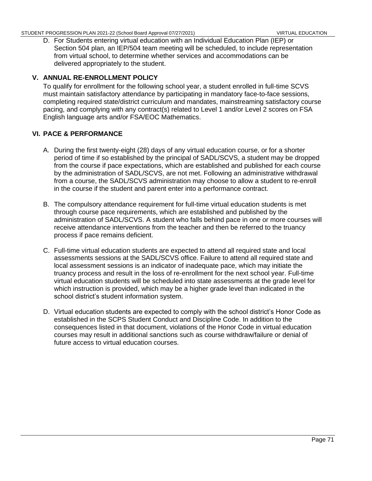D. For Students entering virtual education with an Individual Education Plan (IEP) or Section 504 plan, an IEP/504 team meeting will be scheduled, to include representation from virtual school, to determine whether services and accommodations can be delivered appropriately to the student.

#### **V. ANNUAL RE-ENROLLMENT POLICY**

To qualify for enrollment for the following school year, a student enrolled in full-time SCVS must maintain satisfactory attendance by participating in mandatory face-to-face sessions, completing required state/district curriculum and mandates, mainstreaming satisfactory course pacing, and complying with any contract(s) related to Level 1 and/or Level 2 scores on FSA English language arts and/or FSA/EOC Mathematics.

#### **VI. PACE & PERFORMANCE**

- A. During the first twenty-eight (28) days of any virtual education course, or for a shorter period of time if so established by the principal of SADL/SCVS, a student may be dropped from the course if pace expectations, which are established and published for each course by the administration of SADL/SCVS, are not met. Following an administrative withdrawal from a course, the SADL/SCVS administration may choose to allow a student to re-enroll in the course if the student and parent enter into a performance contract.
- B. The compulsory attendance requirement for full-time virtual education students is met through course pace requirements, which are established and published by the administration of SADL/SCVS. A student who falls behind pace in one or more courses will receive attendance interventions from the teacher and then be referred to the truancy process if pace remains deficient.
- C. Full-time virtual education students are expected to attend all required state and local assessments sessions at the SADL/SCVS office. Failure to attend all required state and local assessment sessions is an indicator of inadequate pace, which may initiate the truancy process and result in the loss of re-enrollment for the next school year. Full-time virtual education students will be scheduled into state assessments at the grade level for which instruction is provided, which may be a higher grade level than indicated in the school district's student information system.
- D. Virtual education students are expected to comply with the school district's Honor Code as established in the SCPS Student Conduct and Discipline Code. In addition to the consequences listed in that document, violations of the Honor Code in virtual education courses may result in additional sanctions such as course withdraw/failure or denial of future access to virtual education courses.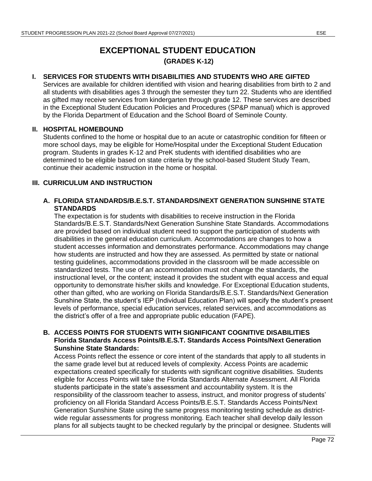# **EXCEPTIONAL STUDENT EDUCATION (GRADES K-12)**

#### **I. SERVICES FOR STUDENTS WITH DISABILITIES AND STUDENTS WHO ARE GIFTED**

Services are available for children identified with vision and hearing disabilities from birth to 2 and all students with disabilities ages 3 through the semester they turn 22. Students who are identified as gifted may receive services from kindergarten through grade 12. These services are described in the Exceptional Student Education Policies and Procedures [\(SP&P](http://www.scps.k12.fl.us/Portals/53/assets/pdf/PolicyFiles/ESSS_PP.pdf) manual) which is approved by the Florida Department of Education and the School Board of Seminole County.

#### **II. HOSPITAL HOMEBOUND**

Students confined to the home or hospital due to an acute or catastrophic condition for fifteen or more school days, may be eligible for Home/Hospital under the Exceptional Student Education program. Students in grades K-12 and PreK students with identified disabilities who are determined to be eligible based on state criteria by the school-based Student Study Team, continue their academic instruction in the home or hospital.

#### **III. CURRICULUM AND INSTRUCTION**

#### **A. FLORIDA STANDARDS/B.E.S.T. STANDARDS/NEXT GENERATION SUNSHINE STATE STANDARDS**

The expectation is for students with disabilities to receive instruction in the Florida Standards/B.E.S.T. Standards/Next Generation Sunshine State Standards. Accommodations are provided based on individual student need to support the participation of students with disabilities in the general education curriculum. Accommodations are changes to how a student accesses information and demonstrates performance. Accommodations may change how students are instructed and how they are assessed. As permitted by state or national testing guidelines, accommodations provided in the classroom will be made accessible on standardized tests. The use of an accommodation must not change the standards, the instructional level, or the content; instead it provides the student with equal access and equal opportunity to demonstrate his/her skills and knowledge. For Exceptional Education students, other than gifted, who are working on Florida Standards/B.E.S.T. Standards/Next Generation Sunshine State, the student's IEP (Individual Education Plan) will specify the student's present levels of performance, special education services, related services, and accommodations as the district's offer of a free and appropriate public education (FAPE).

#### **B. ACCESS POINTS FOR STUDENTS WITH SIGNIFICANT COGNITIVE DISABILITIES Florida Standards Access Points/B.E.S.T. Standards Access Points/Next Generation Sunshine State Standards:**

Access Points reflect the essence or core intent of the standards that apply to all students in the same grade level but at reduced levels of complexity. Access Points are academic expectations created specifically for students with significant cognitive disabilities. Students eligible for Access Points will take the Florida Standards Alternate Assessment. All Florida students participate in the state's assessment and accountability system. It is the responsibility of the classroom teacher to assess, instruct, and monitor progress of students' proficiency on all Florida Standard Access Points/B.E.S.T. Standards Access Points/Next Generation Sunshine State using the same progress monitoring testing schedule as districtwide regular assessments for progress monitoring. Each teacher shall develop daily lesson plans for all subjects taught to be checked regularly by the principal or designee. Students will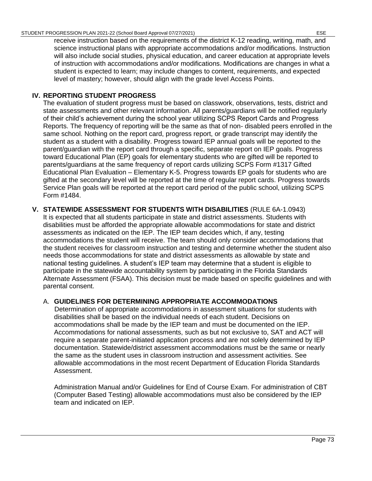receive instruction based on the requirements of the district K-12 reading, writing, math, and science instructional plans with appropriate accommodations and/or modifications. Instruction will also include social studies, physical education, and career education at appropriate levels of instruction with accommodations and/or modifications. Modifications are changes in what a student is expected to learn; may include changes to content, requirements, and expected level of mastery; however, should align with the grade level Access Points.

#### **IV. REPORTING STUDENT PROGRESS**

The evaluation of student progress must be based on classwork, observations, tests, district and state assessments and other relevant information. All parents/guardians will be notified regularly of their child's achievement during the school year utilizing SCPS Report Cards and Progress Reports. The frequency of reporting will be the same as that of non- disabled peers enrolled in the same school. Nothing on the report card, progress report, or grade transcript may identify the student as a student with a disability. Progress toward IEP annual goals will be reported to the parent/guardian with the report card through a specific, separate report on IEP goals. Progress toward Educational Plan (EP) goals for elementary students who are gifted will be reported to parents/guardians at the same frequency of report cards utilizing SCPS Form #1317 Gifted Educational Plan Evaluation – Elementary K-5. Progress towards EP goals for students who are gifted at the secondary level will be reported at the time of regular report cards. Progress towards Service Plan goals will be reported at the report card period of the public school, utilizing SCPS Form #1484.

#### **V. STATEWIDE ASSESSMENT FOR STUDENTS WITH DISABILITIES** [\(RULE 6A-1.0943\)](https://www.flrules.org/gateway/ruleno.asp?id=6A-1.094222)

It is expected that all students participate in state and district assessments. Students with disabilities must be afforded the appropriate allowable accommodations for state and district assessments as indicated on the IEP. The IEP team decides which, if any, testing accommodations the student will receive. The team should only consider accommodations that the student receives for classroom instruction and testing and determine whether the student also needs those accommodations for state and district assessments as allowable by state and national testing guidelines. A student's IEP team may determine that a student is eligible to participate in the statewide accountability system by participating in the Florida Standards Alternate Assessment (FSAA). This decision must be made based on specific guidelines and with parental consent.

#### A. **GUIDELINES FOR DETERMINING APPROPRIATE ACCOMMODATIONS**

Determination of appropriate accommodations in assessment situations for students with disabilities shall be based on the individual needs of each student. Decisions on accommodations shall be made by the IEP team and must be documented on the IEP. Accommodations for national assessments, such as but not exclusive to, SAT and ACT will require a separate parent-initiated application process and are not solely determined by IEP documentation. Statewide/district assessment accommodations must be the same or nearly the same as the student uses in classroom instruction and assessment activities. See allowable accommodations in the most recent Department of Education Florida Standards Assessment.

Administration Manual and/or Guidelines for End of Course Exam. For administration of CBT (Computer Based Testing) allowable accommodations must also be considered by the IEP team and indicated on IEP.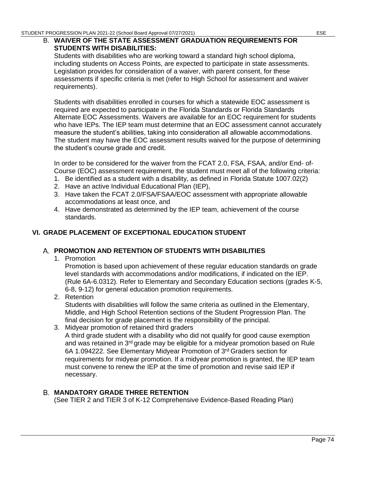#### B. **WAIVER OF THE STATE ASSESSMENT GRADUATION REQUIREMENTS FOR STUDENTS WITH DISABILITIES:**

Students with disabilities who are working toward a standard high school diploma, including students on Access Points, are expected to participate in state assessments. Legislation provides for consideration of a waiver, with parent consent, for these assessments if specific criteria is met (refer to High School for assessment and waiver requirements).

Students with disabilities enrolled in courses for which a statewide EOC assessment is required are expected to participate in the Florida Standards or Florida Standards Alternate EOC Assessments. Waivers are available for an EOC requirement for students who have IEPs. The IEP team must determine that an EOC assessment cannot accurately measure the student's abilities, taking into consideration all allowable accommodations. The student may have the EOC assessment results waived for the purpose of determining the student's course grade and credit.

In order to be considered for the waiver from the FCAT 2.0, FSA, FSAA, and/or End- of-Course (EOC) assessment requirement, the student must meet all of the following criteria:

- 1. Be identified as a student with a disability, as defined in Florida Statute 1007.02(2)
- 2. Have an active Individual Educational Plan (IEP),
- 3. Have taken the FCAT 2.0/FSA/FSAA/EOC assessment with appropriate allowable accommodations at least once, and
- 4. Have demonstrated as determined by the IEP team, achievement of the course standards.

#### **VI. GRADE PLACEMENT OF EXCEPTIONAL EDUCATION STUDENT**

#### **PROMOTION AND RETENTION OF STUDENTS WITH DISABILITIES**

1. Promotion

Promotion is based upon achievement of these regular education standards on grade level standards with accommodations and/or modifications, if indicated on the IEP. (Rule 6A-6.0312)*.* Refer to Elementary and Secondary Education sections (grades K-5, 6-8, 9-12) for general education promotion requirements.

- 2. Retention Students with disabilities will follow the same criteria as outlined in the Elementary, Middle, and High School Retention sections of the Student Progression Plan. The final decision for grade placement is the responsibility of the principal.
- 3. Midyear promotion of retained third graders A third grade student with a disability who did not qualify for good cause exemption and was retained in 3<sup>rd</sup> grade may be eligible for a midyear promotion based on Rule [6A 1.094222.](https://www.flrules.org/gateway/ruleno.asp?id=6A-1.094222) See Elementary Midyear Promotion of 3rd Graders section for requirements for midyear promotion. If a midyear promotion is granted, the IEP team must convene to renew the IEP at the time of promotion and revise said IEP if necessary.

#### **MANDATORY GRADE THREE RETENTION**

(See TIER 2 and TIER 3 of K-12 Comprehensive Evidence-Based Reading Plan)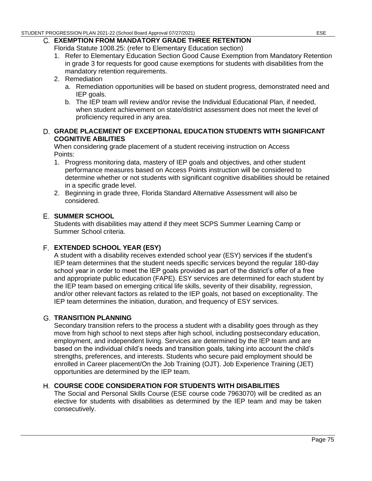### **EXEMPTION FROM MANDATORY GRADE THREE RETENTION**

Florida Statute 1008.25: (refer to Elementary Education section)

- 1. Refer to Elementary Education Section Good Cause Exemption from Mandatory Retention in grade 3 for requests for good cause exemptions for students with disabilities from the mandatory retention requirements.
- 2. Remediation
	- a. Remediation opportunities will be based on student progress, demonstrated need and IEP goals.
	- b. The IEP team will review and/or revise the Individual Educational Plan, if needed, when student achievement on state/district assessment does not meet the level of proficiency required in any area.

#### **GRADE PLACEMENT OF EXCEPTIONAL EDUCATION STUDENTS WITH SIGNIFICANT COGNITIVE ABILITIES**

When considering grade placement of a student receiving instruction on Access Points:

- 1. Progress monitoring data, mastery of IEP goals and objectives, and other student performance measures based on Access Points instruction will be considered to determine whether or not students with significant cognitive disabilities should be retained in a specific grade level.
- 2. Beginning in grade three, Florida Standard Alternative Assessment will also be considered.

#### **SUMMER SCHOOL**

Students with disabilities may attend if they meet SCPS Summer Learning Camp or Summer School criteria.

#### **EXTENDED SCHOOL YEAR (ESY)**

A student with a disability receives extended school year (ESY) services if the student's IEP team determines that the student needs specific services beyond the regular 180-day school year in order to meet the IEP goals provided as part of the district's offer of a free and appropriate public education (FAPE). ESY services are determined for each student by the IEP team based on emerging critical life skills, severity of their disability, regression, and/or other relevant factors as related to the IEP goals, not based on exceptionality. The IEP team determines the initiation, duration, and frequency of ESY services.

#### **TRANSITION PLANNING**

Secondary transition refers to the process a student with a disability goes through as they move from high school to next steps after high school, including postsecondary education, employment, and independent living. Services are determined by the IEP team and are based on the individual child's needs and transition goals, taking into account the child's strengths, preferences, and interests. Students who secure paid employment should be enrolled in Career placement/On the Job Training (OJT). Job Experience Training (JET) opportunities are determined by the IEP team.

#### **COURSE CODE CONSIDERATION FOR STUDENTS WITH DISABILITIES**

The Social and Personal Skills Course (ESE course code 7963070) will be credited as an elective for students with disabilities as determined by the IEP team and may be taken consecutively.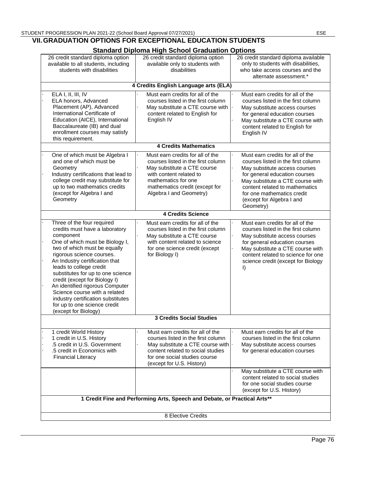#### **VII.GRADUATION OPTIONS FOR EXCEPTIONAL EDUCATION STUDENTS**

| <b>Standard Diploma High School Graduation Options</b>                                                                                                                                                                                                                                                                                                                                                                                                                         |                                                                                                                                                                                                                      |                                                                                                                                                                                                                                                                                        |  |
|--------------------------------------------------------------------------------------------------------------------------------------------------------------------------------------------------------------------------------------------------------------------------------------------------------------------------------------------------------------------------------------------------------------------------------------------------------------------------------|----------------------------------------------------------------------------------------------------------------------------------------------------------------------------------------------------------------------|----------------------------------------------------------------------------------------------------------------------------------------------------------------------------------------------------------------------------------------------------------------------------------------|--|
| 26 credit standard diploma option<br>available to all students, including<br>students with disabilities                                                                                                                                                                                                                                                                                                                                                                        | 26 credit standard diploma option<br>available only to students with<br>disabilities                                                                                                                                 | 26 credit standard diploma available<br>only to students with disabilities,<br>who take access courses and the<br>alternate assessment.*                                                                                                                                               |  |
| 4 Credits English Language arts (ELA)                                                                                                                                                                                                                                                                                                                                                                                                                                          |                                                                                                                                                                                                                      |                                                                                                                                                                                                                                                                                        |  |
| ELA I, II, III, IV<br>ELA honors, Advanced<br>Placement (AP), Advanced<br>International Certificate of<br>Education (AICE), International<br>Baccalaureate (IB) and dual<br>enrollment courses may satisfy<br>this requirement.                                                                                                                                                                                                                                                | Must earn credits for all of the<br>courses listed in the first column<br>May substitute a CTE course with<br>content related to English for<br>English IV                                                           | Must earn credits for all of the<br>courses listed in the first column<br>May substitute access courses<br>for general education courses<br>May substitute a CTE course with<br>content related to English for<br>English IV                                                           |  |
| <b>4 Credits Mathematics</b>                                                                                                                                                                                                                                                                                                                                                                                                                                                   |                                                                                                                                                                                                                      |                                                                                                                                                                                                                                                                                        |  |
| One of which must be Algebra I<br>and one of which must be<br>Geometry<br>Industry certifications that lead to<br>college credit may substitute for<br>up to two mathematics credits<br>(except for Algebra I and<br>Geometry                                                                                                                                                                                                                                                  | Must earn credits for all of the<br>courses listed in the first column<br>May substitute a CTE course<br>with content related to<br>mathematics for one<br>mathematics credit (except for<br>Algebra I and Geometry) | Must earn credits for all of the<br>courses listed in the first column<br>May substitute access courses<br>for general education courses<br>May substitute a CTE course with<br>content related to mathematics<br>for one mathematics credit<br>(except for Algebra I and<br>Geometry) |  |
| <b>4 Credits Science</b>                                                                                                                                                                                                                                                                                                                                                                                                                                                       |                                                                                                                                                                                                                      |                                                                                                                                                                                                                                                                                        |  |
| Three of the four required<br>credits must have a laboratory<br>component<br>One of which must be Biology I,<br>two of which must be equally<br>rigorous science courses.<br>An Industry certification that<br>leads to college credit<br>substitutes for up to one science<br>credit (except for Biology I)<br>An identified rigorous Computer<br>Science course with a related<br>industry certification substitutes<br>for up to one science credit<br>(except for Biology) | Must earn credits for all of the<br>courses listed in the first column<br>May substitute a CTE course<br>with content related to science<br>for one science credit (except<br>for Biology I)                         | Must earn credits for all of the<br>courses listed in the first column<br>May substitute access courses<br>for general education courses<br>May substitute a CTE course with<br>content related to science for one<br>science credit (except for Biology<br>I)                         |  |
| <b>3 Credits Social Studies</b>                                                                                                                                                                                                                                                                                                                                                                                                                                                |                                                                                                                                                                                                                      |                                                                                                                                                                                                                                                                                        |  |
| 1 credit World History<br>1 credit in U.S. History<br>.5 credit in U.S. Government<br>.5 credit in Economics with<br><b>Financial Literacy</b>                                                                                                                                                                                                                                                                                                                                 | Must earn credits for all of the<br>courses listed in the first column<br>May substitute a CTE course with<br>content related to social studies<br>for one social studies course<br>(except for U.S. History)        | Must earn credits for all of the<br>courses listed in the first column<br>May substitute access courses<br>for general education courses                                                                                                                                               |  |
|                                                                                                                                                                                                                                                                                                                                                                                                                                                                                |                                                                                                                                                                                                                      | May substitute a CTE course with<br>content related to social studies<br>for one social studies course<br>(except for U.S. History)                                                                                                                                                    |  |
| 1 Credit Fine and Performing Arts, Speech and Debate, or Practical Arts**                                                                                                                                                                                                                                                                                                                                                                                                      |                                                                                                                                                                                                                      |                                                                                                                                                                                                                                                                                        |  |
| 8 Elective Credits                                                                                                                                                                                                                                                                                                                                                                                                                                                             |                                                                                                                                                                                                                      |                                                                                                                                                                                                                                                                                        |  |

Page 76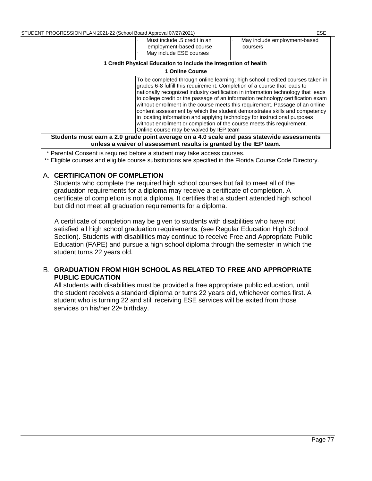|                                                                                                                                                                                                                                                                                                                                                                                                                                                                                                                                                                                                                                                                                                        | Must include .5 credit in an<br>employment-based course<br>May include ESE courses | May include employment-based<br>course/s |  |
|--------------------------------------------------------------------------------------------------------------------------------------------------------------------------------------------------------------------------------------------------------------------------------------------------------------------------------------------------------------------------------------------------------------------------------------------------------------------------------------------------------------------------------------------------------------------------------------------------------------------------------------------------------------------------------------------------------|------------------------------------------------------------------------------------|------------------------------------------|--|
| 1 Credit Physical Education to include the integration of health                                                                                                                                                                                                                                                                                                                                                                                                                                                                                                                                                                                                                                       |                                                                                    |                                          |  |
| 1 Online Course                                                                                                                                                                                                                                                                                                                                                                                                                                                                                                                                                                                                                                                                                        |                                                                                    |                                          |  |
| To be completed through online learning; high school credited courses taken in<br>grades 6-8 fulfill this requirement. Completion of a course that leads to<br>nationally recognized industry certification in information technology that leads<br>to college credit or the passage of an information technology certification exam<br>without enrollment in the course meets this requirement. Passage of an online<br>content assessment by which the student demonstrates skills and competency<br>in locating information and applying technology for instructional purposes<br>without enrollment or completion of the course meets this requirement.<br>Online course may be waived by IEP team |                                                                                    |                                          |  |
| Students must earn a 2.0 grade point average on a 4.0 scale and pass statewide assessments                                                                                                                                                                                                                                                                                                                                                                                                                                                                                                                                                                                                             |                                                                                    |                                          |  |
| unless a waiver of assessment results is granted by the IEP team.                                                                                                                                                                                                                                                                                                                                                                                                                                                                                                                                                                                                                                      |                                                                                    |                                          |  |

\* Parental Consent is required before a student may take access courses.

\*\* Eligible courses and eligible course substitutions are specified in the Florida Course Code Directory.

#### **CERTIFICATION OF COMPLETION**

Students who complete the required high school courses but fail to meet all of the graduation requirements for a diploma may receive a certificate of completion. A certificate of completion is not a diploma. It certifies that a student attended high school but did not meet all graduation requirements for a diploma.

A certificate of completion may be given to students with disabilities who have not satisfied all high school graduation requirements, (see Regular Education High School Section). Students with disabilities may continue to receive Free and Appropriate Public Education (FAPE) and pursue a high school diploma through the semester in which the student turns 22 years old.

#### **GRADUATION FROM HIGH SCHOOL AS RELATED TO FREE AND APPROPRIATE PUBLIC EDUCATION**

All students with disabilities must be provided a free appropriate public education, until the student receives a standard diploma or turns 22 years old, whichever comes first. A student who is turning 22 and still receiving ESE services will be exited from those services on his/her 22<sup>nd</sup> birthday.

Page 77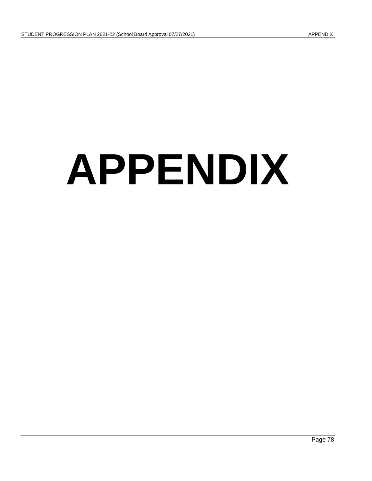# **APPENDIX**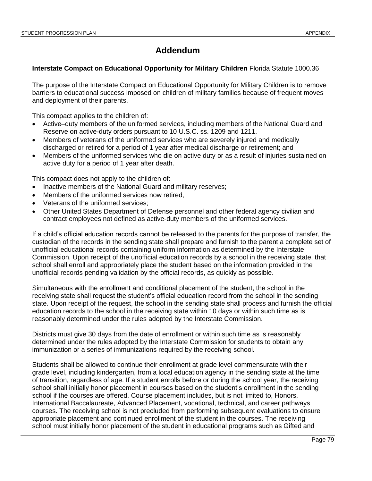## **Addendum**

#### **Interstate Compact on Educational Opportunity for Military Children** Florida Statute 1000.36

The purpose of the Interstate Compact on Educational Opportunity for Military Children is to remove barriers to educational success imposed on children of military families because of frequent moves and deployment of their parents.

This compact applies to the children of:

- Active–duty members of the uniformed services, including members of the National Guard and Reserve on active-duty orders pursuant to 10 U.S.C. ss. 1209 and 1211.
- Members of veterans of the uniformed services who are severely injured and medically discharged or retired for a period of 1 year after medical discharge or retirement; and
- Members of the uniformed services who die on active duty or as a result of injuries sustained on active duty for a period of 1 year after death.

This compact does not apply to the children of:

- Inactive members of the National Guard and military reserves;
- Members of the uniformed services now retired,
- Veterans of the uniformed services;
- Other United States Department of Defense personnel and other federal agency civilian and contract employees not defined as active-duty members of the uniformed services.

If a child's official education records cannot be released to the parents for the purpose of transfer, the custodian of the records in the sending state shall prepare and furnish to the parent a complete set of unofficial educational records containing uniform information as determined by the Interstate Commission. Upon receipt of the unofficial education records by a school in the receiving state, that school shall enroll and appropriately place the student based on the information provided in the unofficial records pending validation by the official records, as quickly as possible.

Simultaneous with the enrollment and conditional placement of the student, the school in the receiving state shall request the student's official education record from the school in the sending state. Upon receipt of the request, the school in the sending state shall process and furnish the official education records to the school in the receiving state within 10 days or within such time as is reasonably determined under the rules adopted by the Interstate Commission.

Districts must give 30 days from the date of enrollment or within such time as is reasonably determined under the rules adopted by the Interstate Commission for students to obtain any immunization or a series of immunizations required by the receiving school.

Students shall be allowed to continue their enrollment at grade level commensurate with their grade level, including kindergarten, from a local education agency in the sending state at the time of transition, regardless of age. If a student enrolls before or during the school year, the receiving school shall initially honor placement in courses based on the student's enrollment in the sending school if the courses are offered. Course placement includes, but is not limited to, Honors, International Baccalaureate, Advanced Placement, vocational, technical, and career pathways courses. The receiving school is not precluded from performing subsequent evaluations to ensure appropriate placement and continued enrollment of the student in the courses. The receiving school must initially honor placement of the student in educational programs such as Gifted and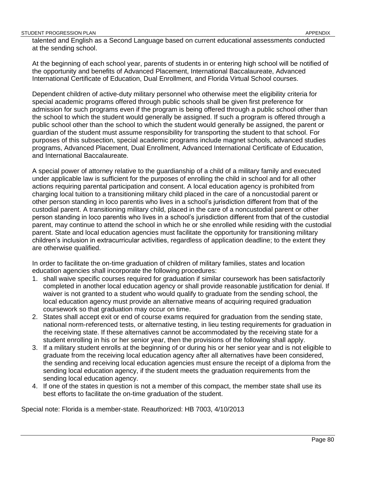talented and English as a Second Language based on current educational assessments conducted at the sending school.

At the beginning of each school year, parents of students in or entering high school will be notified of the opportunity and benefits of Advanced Placement, International Baccalaureate, Advanced International Certificate of Education, Dual Enrollment, and Florida Virtual School courses.

Dependent children of active-duty military personnel who otherwise meet the eligibility criteria for special academic programs offered through public schools shall be given first preference for admission for such programs even if the program is being offered through a public school other than the school to which the student would generally be assigned. If such a program is offered through a public school other than the school to which the student would generally be assigned, the parent or guardian of the student must assume responsibility for transporting the student to that school. For purposes of this subsection, special academic programs include magnet schools, advanced studies programs, Advanced Placement, Dual Enrollment, Advanced International Certificate of Education, and International Baccalaureate.

A special power of attorney relative to the guardianship of a child of a military family and executed under applicable law is sufficient for the purposes of enrolling the child in school and for all other actions requiring parental participation and consent. A local education agency is prohibited from charging local tuition to a transitioning military child placed in the care of a noncustodial parent or other person standing in loco parentis who lives in a school's jurisdiction different from that of the custodial parent. A transitioning military child, placed in the care of a noncustodial parent or other person standing in loco parentis who lives in a school's jurisdiction different from that of the custodial parent, may continue to attend the school in which he or she enrolled while residing with the custodial parent. State and local education agencies must facilitate the opportunity for transitioning military children's inclusion in extracurricular activities, regardless of application deadline; to the extent they are otherwise qualified.

In order to facilitate the on-time graduation of children of military families, states and location education agencies shall incorporate the following procedures:

- 1. shall waive specific courses required for graduation if similar coursework has been satisfactorily completed in another local education agency or shall provide reasonable justification for denial. If waiver is not granted to a student who would qualify to graduate from the sending school, the local education agency must provide an alternative means of acquiring required graduation coursework so that graduation may occur on time.
- 2. States shall accept exit or end of course exams required for graduation from the sending state, national norm-referenced tests, or alternative testing, in lieu testing requirements for graduation in the receiving state. If these alternatives cannot be accommodated by the receiving state for a student enrolling in his or her senior year, then the provisions of the following shall apply.
- 3. If a military student enrolls at the beginning of or during his or her senior year and is not eligible to graduate from the receiving local education agency after all alternatives have been considered, the sending and receiving local education agencies must ensure the receipt of a diploma from the sending local education agency, if the student meets the graduation requirements from the sending local education agency.
- 4. If one of the states in question is not a member of this compact, the member state shall use its best efforts to facilitate the on-time graduation of the student.

Special note: Florida is a member-state. Reauthorized: HB 7003, 4/10/2013